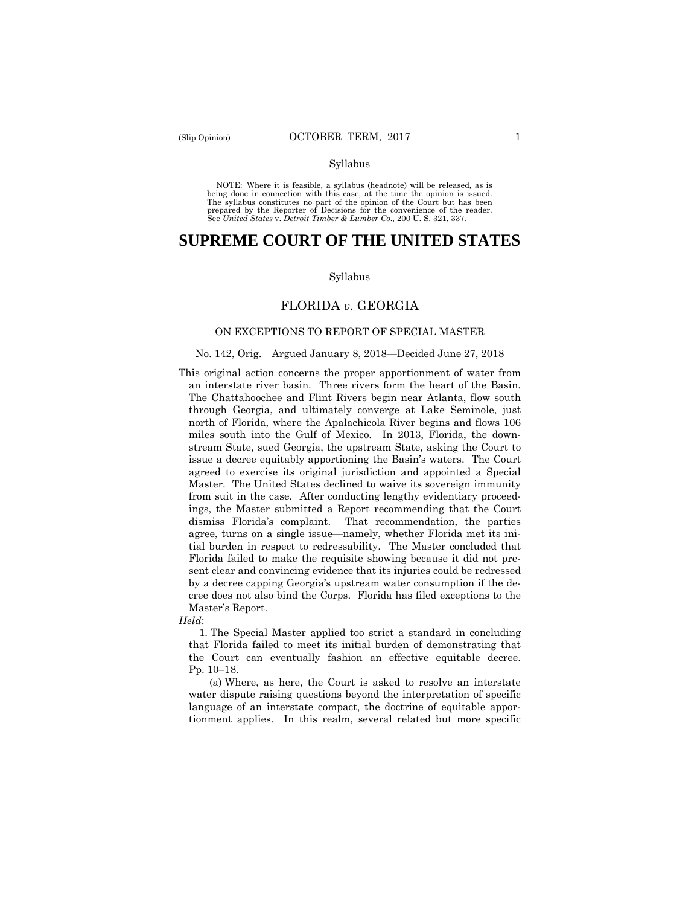#### Syllabus

 NOTE: Where it is feasible, a syllabus (headnote) will be released, as is being done in connection with this case, at the time the opinion is issued. The syllabus constitutes no part of the opinion of the Court but has been<br>prepared by the Reporter of Decisions for the convenience of the reader.<br>See United States v. Detroit Timber & Lumber Co., 200 U.S. 321, 337.

# **SUPREME COURT OF THE UNITED STATES**

#### Syllabus

## FLORIDA *v.* GEORGIA

### ON EXCEPTIONS TO REPORT OF SPECIAL MASTER

#### No. 142, Orig. Argued January 8, 2018—Decided June 27, 2018

an interstate river basin. Three rivers form the heart of the Basin. This original action concerns the proper apportionment of water from The Chattahoochee and Flint Rivers begin near Atlanta, flow south. through Georgia, and ultimately converge at Lake Seminole, just north of Florida, where the Apalachicola River begins and flows 106 miles south into the Gulf of Mexico. In 2013, Florida, the downstream State, sued Georgia, the upstream State, asking the Court to issue a decree equitably apportioning the Basin's waters. The Court agreed to exercise its original jurisdiction and appointed a Special Master. The United States declined to waive its sovereign immunity from suit in the case. After conducting lengthy evidentiary proceedings, the Master submitted a Report recommending that the Court dismiss Florida's complaint. That recommendation, the parties agree, turns on a single issue—namely, whether Florida met its initial burden in respect to redressability. The Master concluded that Florida failed to make the requisite showing because it did not present clear and convincing evidence that its injuries could be redressed by a decree capping Georgia's upstream water consumption if the decree does not also bind the Corps. Florida has filed exceptions to the Master's Report.

*Held*:

1. The Special Master applied too strict a standard in concluding that Florida failed to meet its initial burden of demonstrating that the Court can eventually fashion an effective equitable decree. Pp. 10–18.

(a) Where, as here, the Court is asked to resolve an interstate water dispute raising questions beyond the interpretation of specific language of an interstate compact, the doctrine of equitable apportionment applies. In this realm, several related but more specific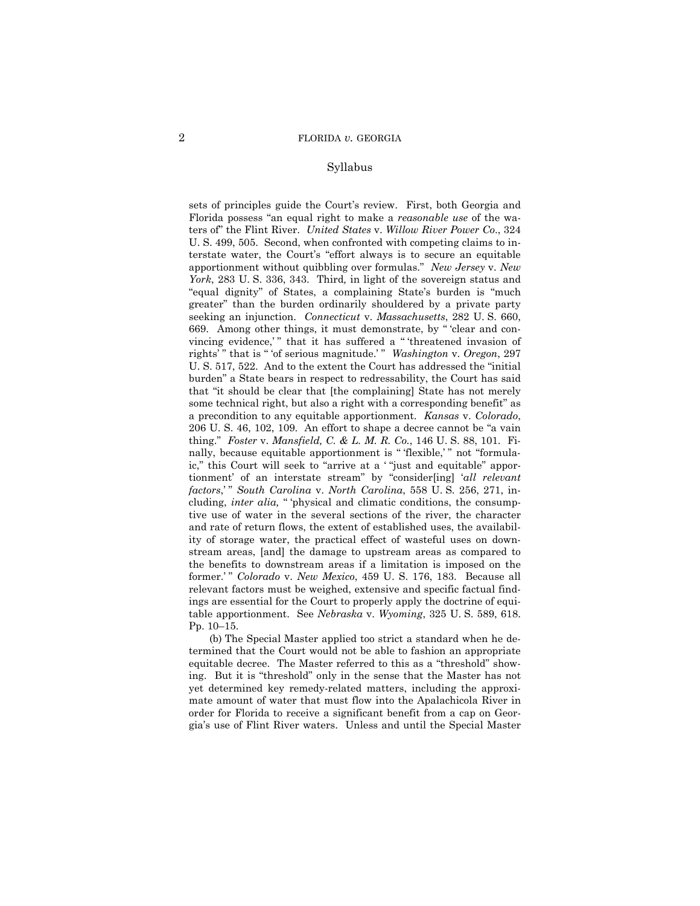### Syllabus

 ters of" the Flint River. *United States* v. *Willow River Power Co*., 324 sets of principles guide the Court's review. First, both Georgia and Florida possess "an equal right to make a *reasonable use* of the wa-U. S. 499, 505. Second, when confronted with competing claims to interstate water, the Court's "effort always is to secure an equitable apportionment without quibbling over formulas." *New Jersey* v. *New York*, 283 U. S. 336, 343. Third*,* in light of the sovereign status and "equal dignity" of States, a complaining State's burden is "much greater" than the burden ordinarily shouldered by a private party seeking an injunction. *Connecticut* v. *Massachusetts*, 282 U. S. 660, 669. Among other things, it must demonstrate, by " 'clear and convincing evidence,'" that it has suffered a "'threatened invasion of rights' " that is " 'of serious magnitude.' " *Washington* v. *Oregon*, 297 U. S. 517, 522. And to the extent the Court has addressed the "initial burden" a State bears in respect to redressability, the Court has said that "it should be clear that [the complaining] State has not merely some technical right, but also a right with a corresponding benefit" as a precondition to any equitable apportionment. *Kansas* v. *Colorado*, 206 U. S. 46, 102, 109. An effort to shape a decree cannot be "a vain thing." *Foster* v. *Mansfield, C. & L. M. R. Co.*, 146 U. S. 88, 101. Finally, because equitable apportionment is "'flexible,'" not "formulaic," this Court will seek to "arrive at a ' "just and equitable" apportionment' of an interstate stream" by "consider[ing] '*all relevant factors*,' " *South Carolina* v. *North Carolina*, 558 U. S. 256, 271, including, *inter alia,* " 'physical and climatic conditions, the consumptive use of water in the several sections of the river, the character and rate of return flows, the extent of established uses, the availability of storage water, the practical effect of wasteful uses on downstream areas, [and] the damage to upstream areas as compared to the benefits to downstream areas if a limitation is imposed on the former.' " *Colorado* v. *New Mexico*, 459 U. S. 176, 183. Because all relevant factors must be weighed, extensive and specific factual findings are essential for the Court to properly apply the doctrine of equitable apportionment. See *Nebraska* v. *Wyoming*, 325 U. S. 589, 618. Pp. 10–15.

(b) The Special Master applied too strict a standard when he determined that the Court would not be able to fashion an appropriate equitable decree. The Master referred to this as a "threshold" showing. But it is "threshold" only in the sense that the Master has not yet determined key remedy-related matters, including the approximate amount of water that must flow into the Apalachicola River in order for Florida to receive a significant benefit from a cap on Georgia's use of Flint River waters. Unless and until the Special Master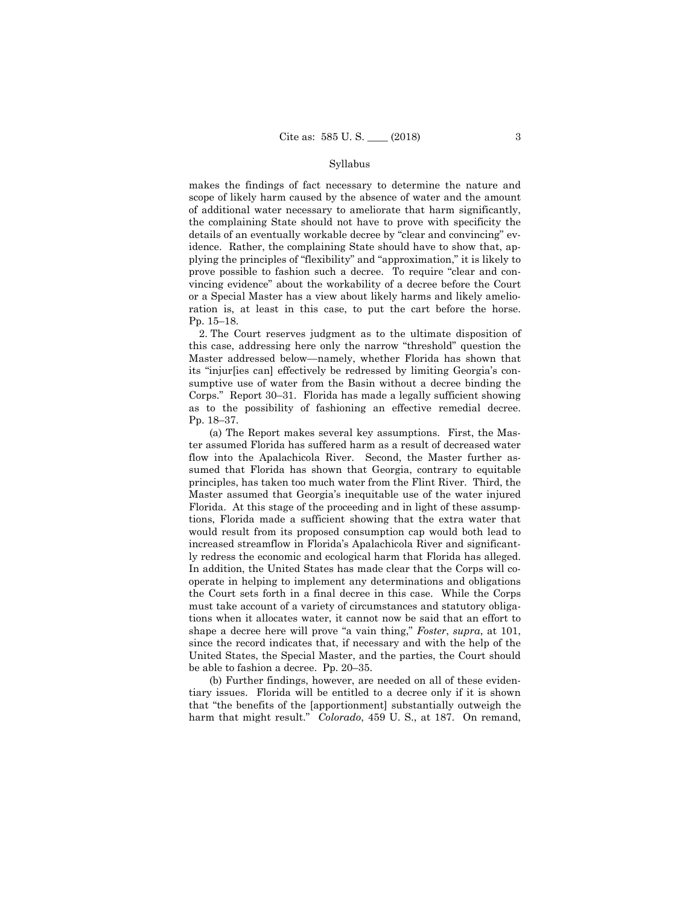#### Syllabus

makes the findings of fact necessary to determine the nature and scope of likely harm caused by the absence of water and the amount of additional water necessary to ameliorate that harm significantly, the complaining State should not have to prove with specificity the details of an eventually workable decree by "clear and convincing" evidence. Rather, the complaining State should have to show that, applying the principles of "flexibility" and "approximation," it is likely to prove possible to fashion such a decree. To require "clear and convincing evidence" about the workability of a decree before the Court or a Special Master has a view about likely harms and likely amelioration is, at least in this case, to put the cart before the horse. Pp. 15–18.

2. The Court reserves judgment as to the ultimate disposition of this case, addressing here only the narrow "threshold" question the Master addressed below—namely, whether Florida has shown that its "injur[ies can] effectively be redressed by limiting Georgia's consumptive use of water from the Basin without a decree binding the Corps." Report 30–31. Florida has made a legally sufficient showing as to the possibility of fashioning an effective remedial decree. Pp. 18–37.

 principles, has taken too much water from the Flint River. Third, the (a) The Report makes several key assumptions. First, the Master assumed Florida has suffered harm as a result of decreased water flow into the Apalachicola River. Second, the Master further assumed that Florida has shown that Georgia, contrary to equitable Master assumed that Georgia's inequitable use of the water injured Florida. At this stage of the proceeding and in light of these assumptions, Florida made a sufficient showing that the extra water that would result from its proposed consumption cap would both lead to increased streamflow in Florida's Apalachicola River and significantly redress the economic and ecological harm that Florida has alleged. In addition, the United States has made clear that the Corps will cooperate in helping to implement any determinations and obligations the Court sets forth in a final decree in this case. While the Corps must take account of a variety of circumstances and statutory obligations when it allocates water, it cannot now be said that an effort to shape a decree here will prove "a vain thing," *Foster*, *supra*, at 101, since the record indicates that, if necessary and with the help of the United States, the Special Master, and the parties, the Court should be able to fashion a decree. Pp. 20–35.

(b) Further findings, however, are needed on all of these evidentiary issues. Florida will be entitled to a decree only if it is shown that "the benefits of the [apportionment] substantially outweigh the harm that might result." *Colorado*, 459 U. S., at 187. On remand,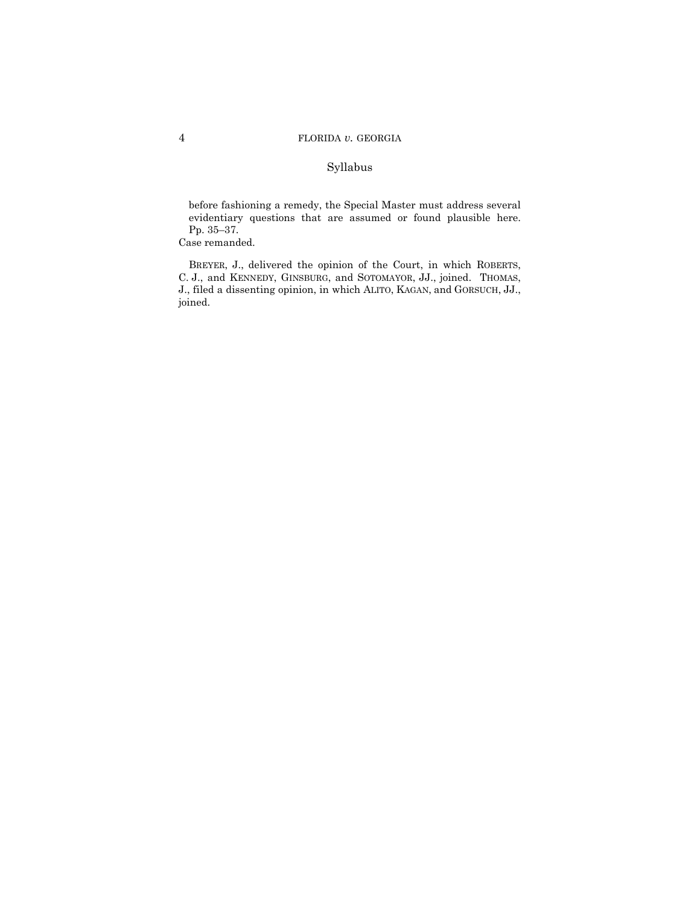## Syllabus

 evidentiary questions that are assumed or found plausible here. Pp. 35–37. before fashioning a remedy, the Special Master must address several

Case remanded.

 BREYER, J., delivered the opinion of the Court, in which ROBERTS, C. J., and KENNEDY, GINSBURG, and SOTOMAYOR, JJ., joined. THOMAS, J., filed a dissenting opinion, in which ALITO, KAGAN, and GORSUCH, JJ., joined.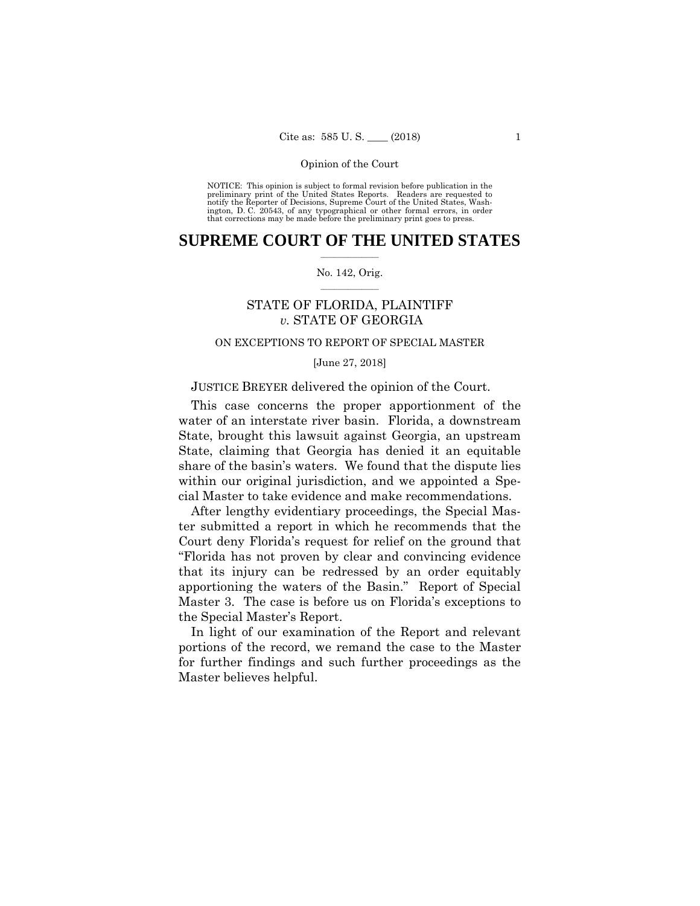preliminary print of the United States Reports. Readers are requested to notify the Reporter of Decisions, Supreme Court of the United States, Wash- ington, D. C. 20543, of any typographical or other formal errors, in order that corrections may be made before the preliminary print goes to press. NOTICE: This opinion is subject to formal revision before publication in the

## $\frac{1}{2}$  ,  $\frac{1}{2}$  ,  $\frac{1}{2}$  ,  $\frac{1}{2}$  ,  $\frac{1}{2}$  ,  $\frac{1}{2}$  ,  $\frac{1}{2}$ **SUPREME COURT OF THE UNITED STATES**

### $\frac{1}{2}$  ,  $\frac{1}{2}$  ,  $\frac{1}{2}$  ,  $\frac{1}{2}$  ,  $\frac{1}{2}$  ,  $\frac{1}{2}$ No. 142, Orig.

## STATE OF FLORIDA, PLAINTIFF *v.* STATE OF GEORGIA

## ON EXCEPTIONS TO REPORT OF SPECIAL MASTER

[June 27, 2018]

## JUSTICE BREYER delivered the opinion of the Court.

This case concerns the proper apportionment of the water of an interstate river basin. Florida, a downstream State, brought this lawsuit against Georgia, an upstream State, claiming that Georgia has denied it an equitable share of the basin's waters. We found that the dispute lies within our original jurisdiction, and we appointed a Special Master to take evidence and make recommendations.

After lengthy evidentiary proceedings, the Special Master submitted a report in which he recommends that the Court deny Florida's request for relief on the ground that "Florida has not proven by clear and convincing evidence that its injury can be redressed by an order equitably apportioning the waters of the Basin." Report of Special Master 3. The case is before us on Florida's exceptions to the Special Master's Report.

In light of our examination of the Report and relevant portions of the record, we remand the case to the Master for further findings and such further proceedings as the Master believes helpful.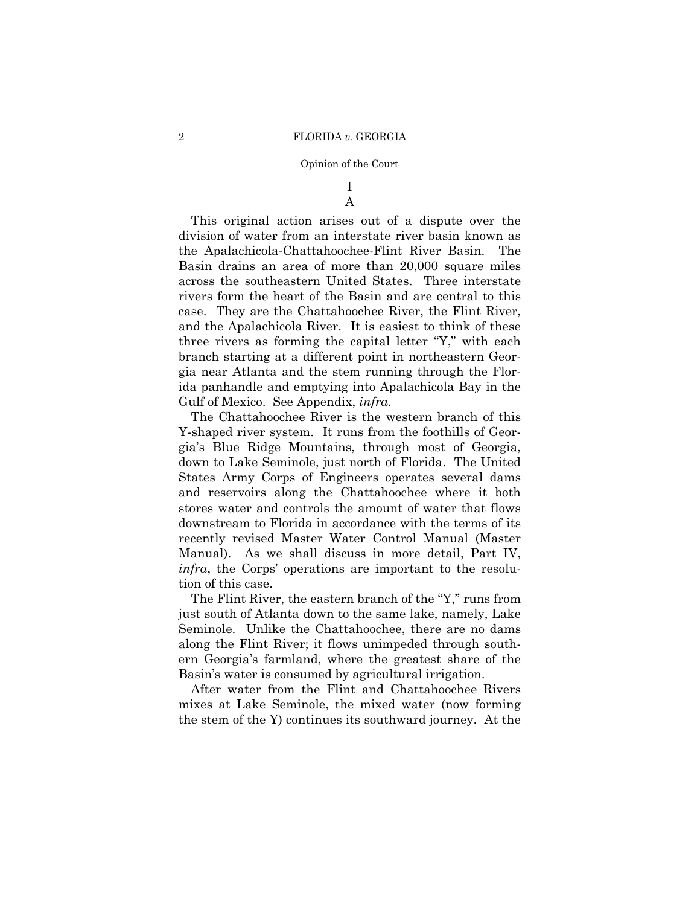## I A

This original action arises out of a dispute over the division of water from an interstate river basin known as the Apalachicola-Chattahoochee-Flint River Basin. The Basin drains an area of more than 20,000 square miles across the southeastern United States. Three interstate rivers form the heart of the Basin and are central to this case. They are the Chattahoochee River, the Flint River, and the Apalachicola River. It is easiest to think of these three rivers as forming the capital letter "Y," with each branch starting at a different point in northeastern Georgia near Atlanta and the stem running through the Florida panhandle and emptying into Apalachicola Bay in the Gulf of Mexico. See Appendix, *infra*.

The Chattahoochee River is the western branch of this Y-shaped river system. It runs from the foothills of Georgia's Blue Ridge Mountains, through most of Georgia, down to Lake Seminole, just north of Florida. The United States Army Corps of Engineers operates several dams and reservoirs along the Chattahoochee where it both stores water and controls the amount of water that flows downstream to Florida in accordance with the terms of its recently revised Master Water Control Manual (Master Manual). As we shall discuss in more detail, Part IV, *infra*, the Corps' operations are important to the resolution of this case.

The Flint River, the eastern branch of the "Y," runs from just south of Atlanta down to the same lake, namely, Lake Seminole. Unlike the Chattahoochee, there are no dams along the Flint River; it flows unimpeded through southern Georgia's farmland, where the greatest share of the Basin's water is consumed by agricultural irrigation.

After water from the Flint and Chattahoochee Rivers mixes at Lake Seminole, the mixed water (now forming the stem of the Y) continues its southward journey. At the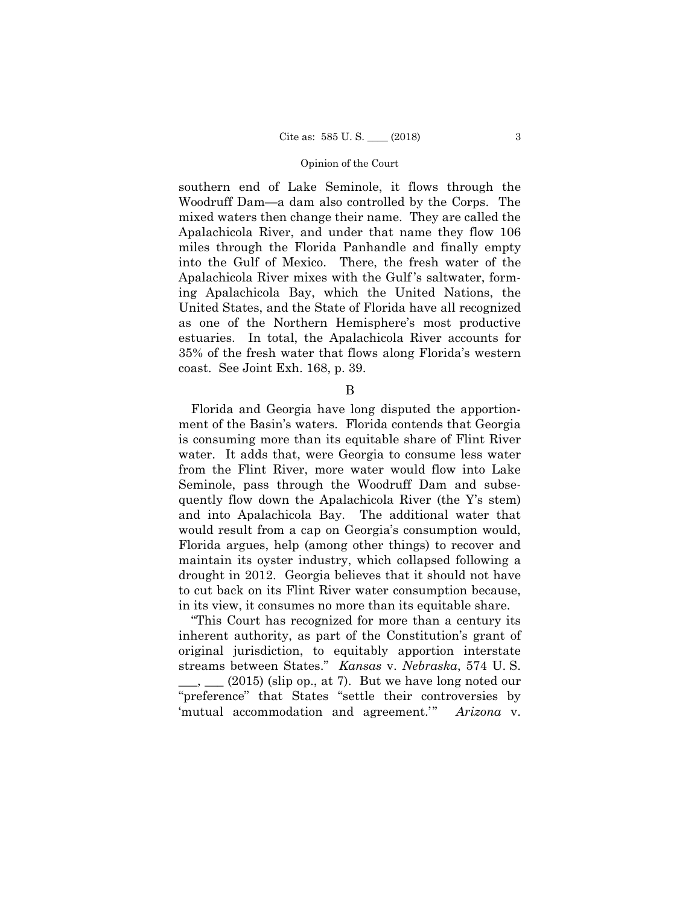southern end of Lake Seminole, it flows through the Woodruff Dam—a dam also controlled by the Corps. The mixed waters then change their name. They are called the Apalachicola River, and under that name they flow 106 miles through the Florida Panhandle and finally empty into the Gulf of Mexico. There, the fresh water of the Apalachicola River mixes with the Gulf 's saltwater, forming Apalachicola Bay, which the United Nations, the United States, and the State of Florida have all recognized as one of the Northern Hemisphere's most productive estuaries. In total, the Apalachicola River accounts for 35% of the fresh water that flows along Florida's western coast. See Joint Exh. 168, p. 39.

B

Florida and Georgia have long disputed the apportionment of the Basin's waters. Florida contends that Georgia is consuming more than its equitable share of Flint River water. It adds that, were Georgia to consume less water from the Flint River, more water would flow into Lake Seminole, pass through the Woodruff Dam and subsequently flow down the Apalachicola River (the Y's stem) and into Apalachicola Bay. The additional water that would result from a cap on Georgia's consumption would, Florida argues, help (among other things) to recover and maintain its oyster industry, which collapsed following a drought in 2012. Georgia believes that it should not have to cut back on its Flint River water consumption because, in its view, it consumes no more than its equitable share.

"This Court has recognized for more than a century its inherent authority, as part of the Constitution's grant of original jurisdiction, to equitably apportion interstate streams between States." *Kansas* v. *Nebraska*, 574 U. S.  $\mu$ ,  $(2015)$  (slip op., at 7). But we have long noted our "preference" that States "settle their controversies by 'mutual accommodation and agreement.'" *Arizona* v.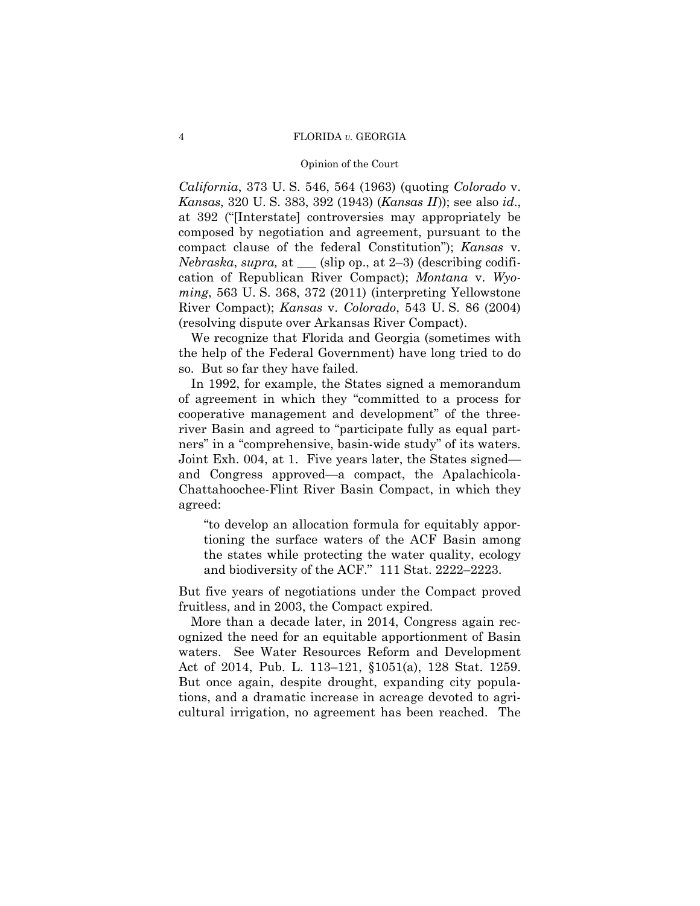## Opinion of the Court

*California*, 373 U. S. 546, 564 (1963) (quoting *Colorado* v. *Kansas*, 320 U. S. 383, 392 (1943) (*Kansas II*)); see also *id*., at 392 ("[Interstate] controversies may appropriately be composed by negotiation and agreement, pursuant to the compact clause of the federal Constitution"); *Kansas* v. *Nebraska*, *supra,* at \_\_\_ (slip op., at 2–3) (describing codification of Republican River Compact); *Montana* v. *Wyoming*, 563 U. S. 368, 372 (2011) (interpreting Yellowstone River Compact); *Kansas* v. *Colorado*, 543 U. S. 86 (2004) (resolving dispute over Arkansas River Compact).

We recognize that Florida and Georgia (sometimes with the help of the Federal Government) have long tried to do so. But so far they have failed.

In 1992, for example, the States signed a memorandum of agreement in which they "committed to a process for cooperative management and development" of the threeriver Basin and agreed to "participate fully as equal partners" in a "comprehensive, basin-wide study" of its waters. Joint Exh. 004, at 1. Five years later, the States signed and Congress approved—a compact, the Apalachicola-Chattahoochee-Flint River Basin Compact, in which they agreed:

"to develop an allocation formula for equitably apportioning the surface waters of the ACF Basin among the states while protecting the water quality, ecology and biodiversity of the ACF." 111 Stat. 2222–2223.

But five years of negotiations under the Compact proved fruitless, and in 2003, the Compact expired.

More than a decade later, in 2014, Congress again recognized the need for an equitable apportionment of Basin waters. See Water Resources Reform and Development Act of 2014, Pub. L. 113–121, §1051(a), 128 Stat. 1259. But once again, despite drought, expanding city populations, and a dramatic increase in acreage devoted to agricultural irrigation, no agreement has been reached. The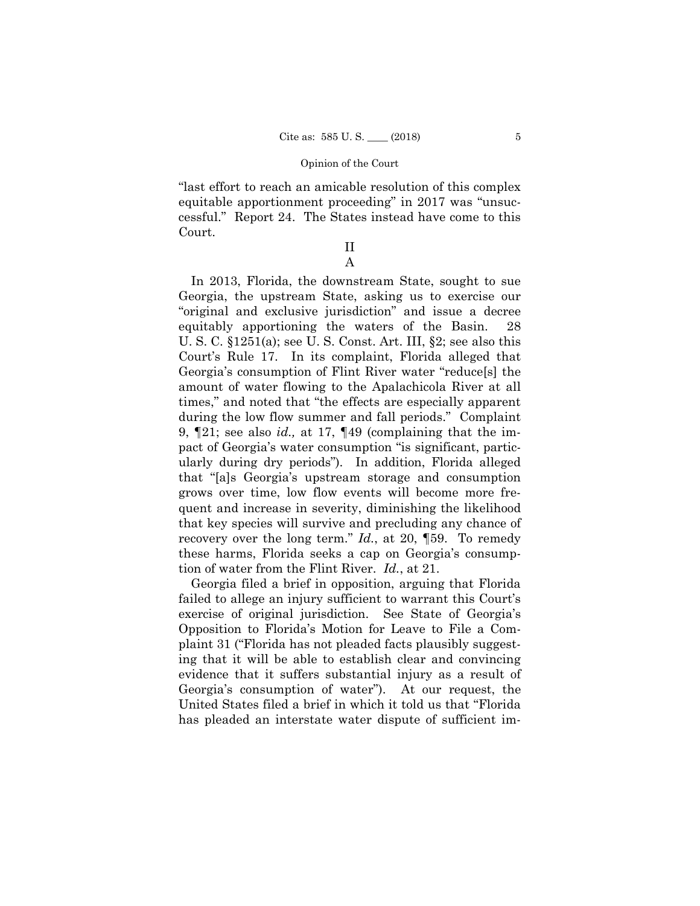"last effort to reach an amicable resolution of this complex equitable apportionment proceeding" in 2017 was "unsuccessful." Report 24. The States instead have come to this Court.

## II A

 tion of water from the Flint River. *Id.*, at 21. In 2013, Florida, the downstream State, sought to sue Georgia, the upstream State, asking us to exercise our "original and exclusive jurisdiction" and issue a decree equitably apportioning the waters of the Basin. 28 U. S. C. §1251(a); see U. S. Const. Art. III, §2; see also this Court's Rule 17. In its complaint, Florida alleged that Georgia's consumption of Flint River water "reduce[s] the amount of water flowing to the Apalachicola River at all times," and noted that "the effects are especially apparent during the low flow summer and fall periods." Complaint 9, ¶21; see also *id.,* at 17, ¶49 (complaining that the impact of Georgia's water consumption "is significant, particularly during dry periods"). In addition, Florida alleged that "[a]s Georgia's upstream storage and consumption grows over time, low flow events will become more frequent and increase in severity, diminishing the likelihood that key species will survive and precluding any chance of recovery over the long term." *Id.*, at 20, ¶59. To remedy these harms, Florida seeks a cap on Georgia's consump-

 exercise of original jurisdiction. See State of Georgia's Georgia's consumption of water"). At our request, the Georgia filed a brief in opposition, arguing that Florida failed to allege an injury sufficient to warrant this Court's Opposition to Florida's Motion for Leave to File a Complaint 31 ("Florida has not pleaded facts plausibly suggesting that it will be able to establish clear and convincing evidence that it suffers substantial injury as a result of United States filed a brief in which it told us that "Florida has pleaded an interstate water dispute of sufficient im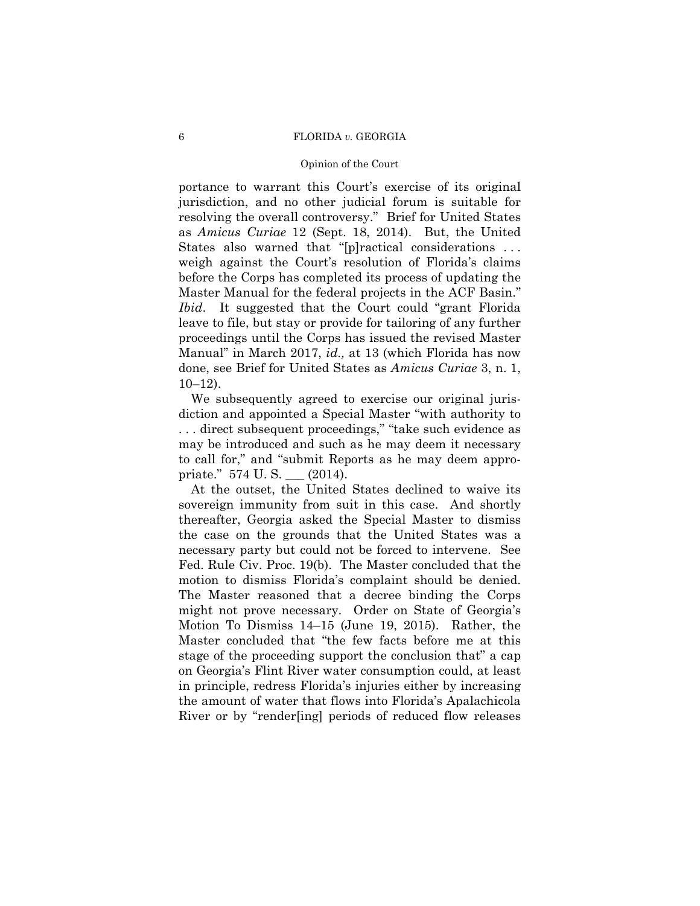### Opinion of the Court

portance to warrant this Court's exercise of its original jurisdiction, and no other judicial forum is suitable for resolving the overall controversy." Brief for United States as *Amicus Curiae* 12 (Sept. 18, 2014). But, the United States also warned that "[p]ractical considerations . . . weigh against the Court's resolution of Florida's claims before the Corps has completed its process of updating the Master Manual for the federal projects in the ACF Basin." *Ibid*. It suggested that the Court could "grant Florida leave to file, but stay or provide for tailoring of any further proceedings until the Corps has issued the revised Master Manual" in March 2017, *id.,* at 13 (which Florida has now done, see Brief for United States as *Amicus Curiae* 3, n. 1, 10–12).

We subsequently agreed to exercise our original jurisdiction and appointed a Special Master "with authority to . . . direct subsequent proceedings," "take such evidence as may be introduced and such as he may deem it necessary to call for," and "submit Reports as he may deem appropriate." 574 U. S. \_\_\_ (2014).

 motion to dismiss Florida's complaint should be denied. At the outset, the United States declined to waive its sovereign immunity from suit in this case. And shortly thereafter, Georgia asked the Special Master to dismiss the case on the grounds that the United States was a necessary party but could not be forced to intervene. See Fed. Rule Civ. Proc. 19(b). The Master concluded that the The Master reasoned that a decree binding the Corps might not prove necessary. Order on State of Georgia's Motion To Dismiss 14–15 (June 19, 2015). Rather, the Master concluded that "the few facts before me at this stage of the proceeding support the conclusion that" a cap on Georgia's Flint River water consumption could, at least in principle, redress Florida's injuries either by increasing the amount of water that flows into Florida's Apalachicola River or by "render[ing] periods of reduced flow releases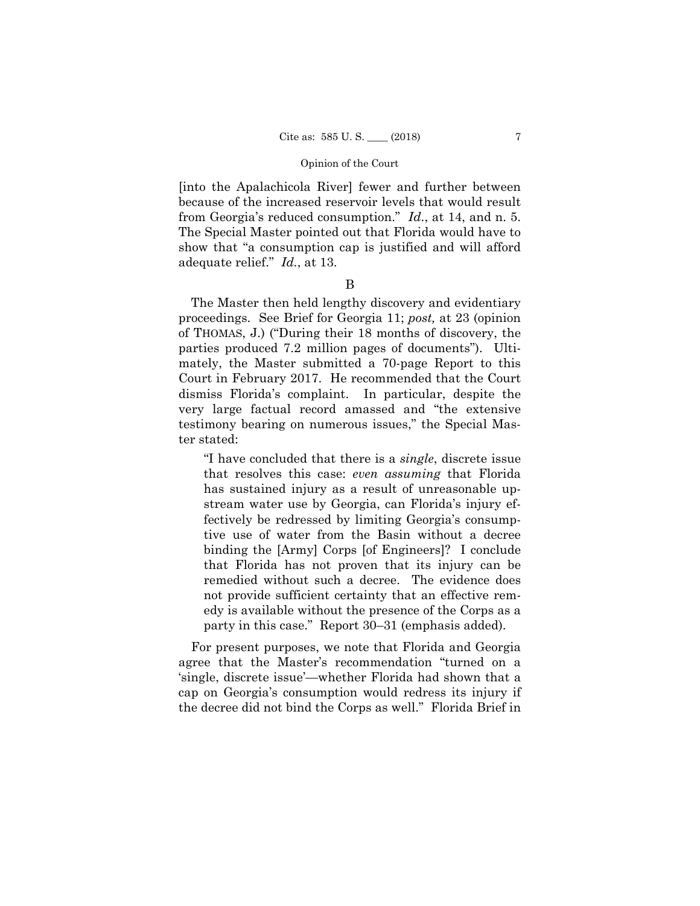[into the Apalachicola River] fewer and further between because of the increased reservoir levels that would result from Georgia's reduced consumption." *Id*., at 14, and n. 5. The Special Master pointed out that Florida would have to show that "a consumption cap is justified and will afford adequate relief." *Id.*, at 13.

B

The Master then held lengthy discovery and evidentiary proceedings. See Brief for Georgia 11; *post,* at 23 (opinion of THOMAS, J.) ("During their 18 months of discovery, the parties produced 7.2 million pages of documents"). Ultimately, the Master submitted a 70-page Report to this Court in February 2017. He recommended that the Court dismiss Florida's complaint. In particular, despite the very large factual record amassed and "the extensive testimony bearing on numerous issues," the Special Master stated:

"I have concluded that there is a *single*, discrete issue that resolves this case: *even assuming* that Florida has sustained injury as a result of unreasonable upstream water use by Georgia, can Florida's injury effectively be redressed by limiting Georgia's consumptive use of water from the Basin without a decree binding the [Army] Corps [of Engineers]? I conclude that Florida has not proven that its injury can be remedied without such a decree. The evidence does not provide sufficient certainty that an effective remedy is available without the presence of the Corps as a party in this case." Report 30–31 (emphasis added).

For present purposes, we note that Florida and Georgia agree that the Master's recommendation "turned on a 'single, discrete issue'—whether Florida had shown that a cap on Georgia's consumption would redress its injury if the decree did not bind the Corps as well." Florida Brief in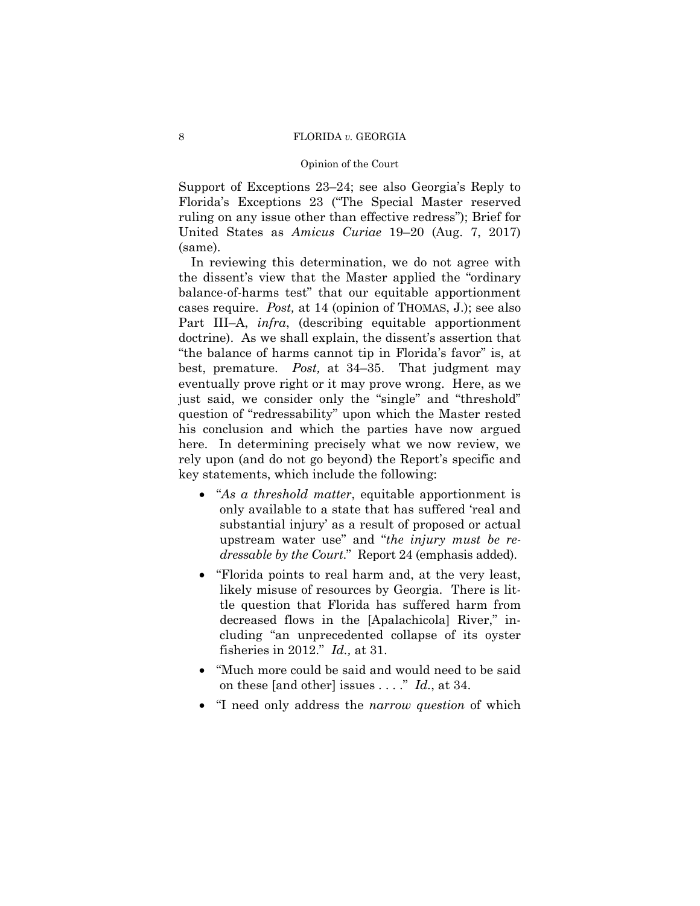### Opinion of the Court

Support of Exceptions 23–24; see also Georgia's Reply to Florida's Exceptions 23 ("The Special Master reserved ruling on any issue other than effective redress"); Brief for United States as *Amicus Curiae* 19–20 (Aug. 7, 2017) (same).

In reviewing this determination, we do not agree with the dissent's view that the Master applied the "ordinary balance-of-harms test" that our equitable apportionment cases require. *Post,* at 14 (opinion of THOMAS, J.); see also Part III–A, *infra*, (describing equitable apportionment doctrine). As we shall explain, the dissent's assertion that "the balance of harms cannot tip in Florida's favor" is, at best, premature. *Post,* at 34–35. That judgment may eventually prove right or it may prove wrong. Here, as we just said, we consider only the "single" and "threshold" question of "redressability" upon which the Master rested his conclusion and which the parties have now argued here. In determining precisely what we now review, we rely upon (and do not go beyond) the Report's specific and key statements, which include the following:

- "*As a threshold matter*, equitable apportionment is only available to a state that has suffered 'real and substantial injury' as a result of proposed or actual upstream water use" and "*the injury must be redressable by the Court*." Report 24 (emphasis added).
- "Florida points to real harm and, at the very least, likely misuse of resources by Georgia. There is little question that Florida has suffered harm from decreased flows in the [Apalachicola] River," including "an unprecedented collapse of its oyster fisheries in 2012." *Id.,* at 31.
- "Much more could be said and would need to be said on these [and other] issues . . . ." *Id.*, at 34.
- "I need only address the *narrow question* of which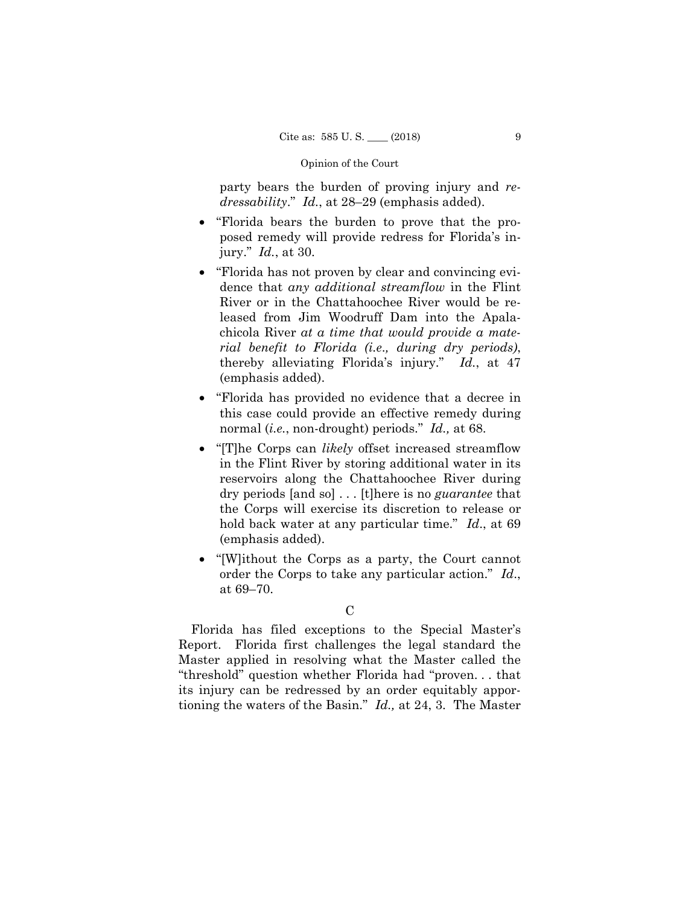party bears the burden of proving injury and *redressability*." *Id.*, at 28–29 (emphasis added).

- "Florida bears the burden to prove that the proposed remedy will provide redress for Florida's injury." *Id.*, at 30.
- "Florida has not proven by clear and convincing evidence that *any additional streamflow* in the Flint River or in the Chattahoochee River would be released from Jim Woodruff Dam into the Apalachicola River *at a time that would provide a material benefit to Florida (i.e*.*, during dry periods)*, thereby alleviating Florida's injury." *Id.*, at 47 (emphasis added).
- "Florida has provided no evidence that a decree in this case could provide an effective remedy during normal (*i.e.*, non-drought) periods." *Id.,* at 68.
- "[T]he Corps can *likely* offset increased streamflow in the Flint River by storing additional water in its reservoirs along the Chattahoochee River during dry periods [and so] . . . [t]here is no *guarantee* that the Corps will exercise its discretion to release or hold back water at any particular time." *Id*., at 69 (emphasis added).
- "[W]ithout the Corps as a party, the Court cannot order the Corps to take any particular action." *Id*., at 69–70.

Florida has filed exceptions to the Special Master's Report. Florida first challenges the legal standard the Master applied in resolving what the Master called the "threshold" question whether Florida had "proven. . . that its injury can be redressed by an order equitably apportioning the waters of the Basin." *Id.,* at 24, 3. The Master

 $\overline{C}$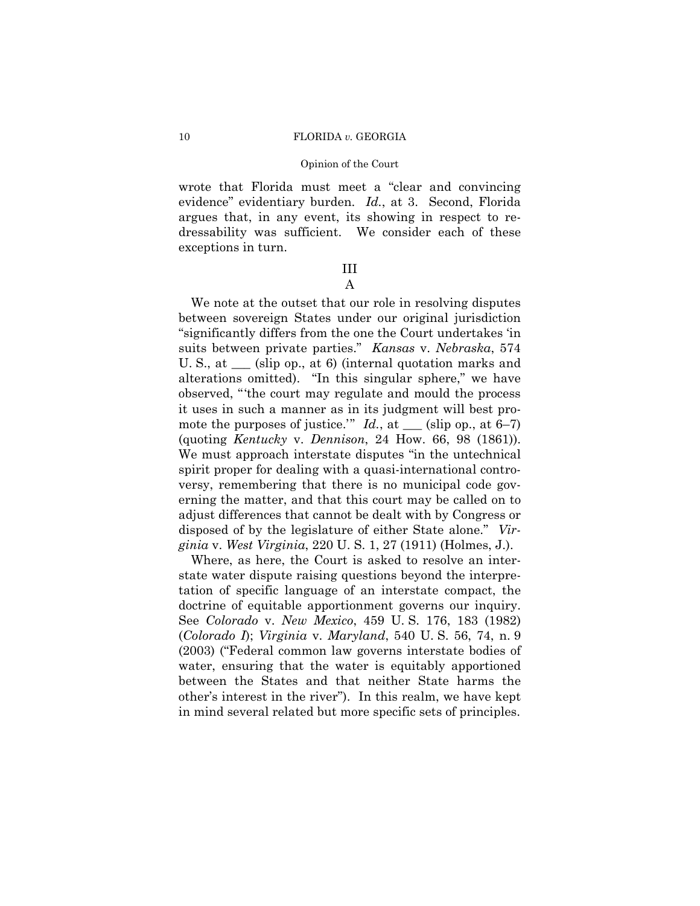wrote that Florida must meet a "clear and convincing evidence" evidentiary burden. *Id.*, at 3. Second, Florida argues that, in any event, its showing in respect to redressability was sufficient. We consider each of these exceptions in turn.

## III A

We note at the outset that our role in resolving disputes between sovereign States under our original jurisdiction "significantly differs from the one the Court undertakes 'in suits between private parties." *Kansas* v. *Nebraska*, 574 U. S., at \_\_\_ (slip op., at 6) (internal quotation marks and alterations omitted). "In this singular sphere," we have observed, "'the court may regulate and mould the process it uses in such a manner as in its judgment will best promote the purposes of justice."  $Id.$ , at  $\_\_\_\$  (slip op., at 6–7) (quoting *Kentucky* v. *Dennison*, 24 How. 66, 98 (1861)). We must approach interstate disputes "in the untechnical spirit proper for dealing with a quasi-international controversy, remembering that there is no municipal code governing the matter, and that this court may be called on to adjust differences that cannot be dealt with by Congress or disposed of by the legislature of either State alone." *Virginia* v. *West Virginia*, 220 U. S. 1, 27 (1911) (Holmes, J.).

Where, as here, the Court is asked to resolve an interstate water dispute raising questions beyond the interpretation of specific language of an interstate compact, the doctrine of equitable apportionment governs our inquiry. See *Colorado* v. *New Mexico*, 459 U. S. 176, 183 (1982) (*Colorado I*); *Virginia* v. *Maryland*, 540 U. S. 56, 74, n. 9 (2003) ("Federal common law governs interstate bodies of water, ensuring that the water is equitably apportioned between the States and that neither State harms the other's interest in the river"). In this realm, we have kept in mind several related but more specific sets of principles.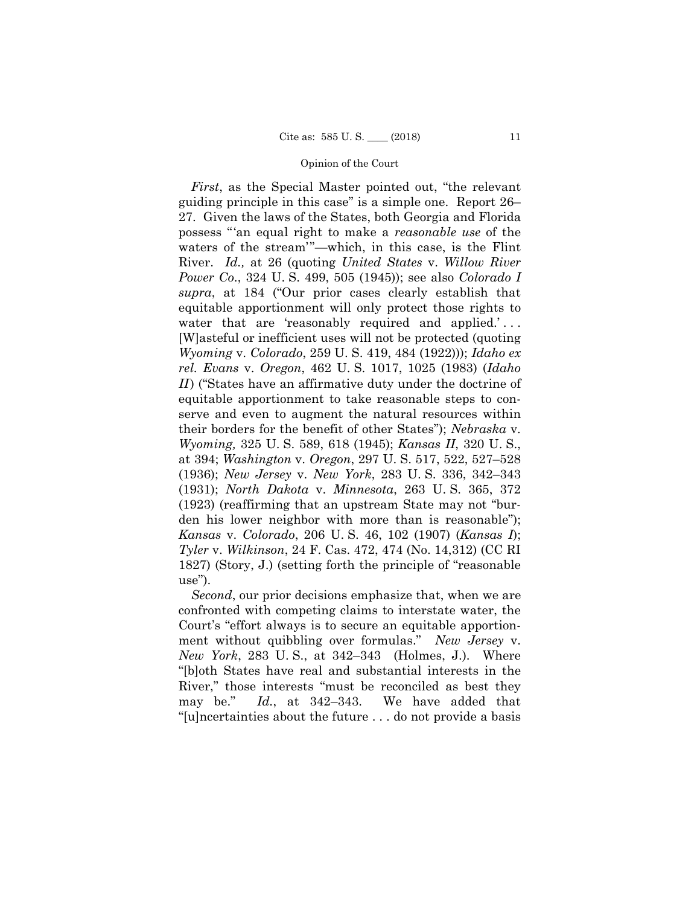*First*, as the Special Master pointed out, "the relevant guiding principle in this case" is a simple one. Report 26– 27. Given the laws of the States, both Georgia and Florida possess "'an equal right to make a *reasonable use* of the waters of the stream'"—which, in this case, is the Flint River. *Id.,* at 26 (quoting *United States* v. *Willow River Power Co*., 324 U. S. 499, 505 (1945)); see also *Colorado I supra*, at 184 ("Our prior cases clearly establish that equitable apportionment will only protect those rights to water that are 'reasonably required and applied.'... [W]asteful or inefficient uses will not be protected (quoting *Wyoming* v. *Colorado*, 259 U. S. 419, 484 (1922))); *Idaho ex rel. Evans* v. *Oregon*, 462 U. S. 1017, 1025 (1983) (*Idaho II*) ("States have an affirmative duty under the doctrine of equitable apportionment to take reasonable steps to conserve and even to augment the natural resources within their borders for the benefit of other States"); *Nebraska* v. *Wyoming,* 325 U. S. 589, 618 (1945); *Kansas II*, 320 U. S., at 394; *Washington* v. *Oregon*, 297 U. S. 517, 522, 527–528 (1936); *New Jersey* v. *New York*, 283 U. S. 336, 342–343 (1931); *North Dakota* v. *Minnesota*, 263 U. S. 365, 372 (1923) (reaffirming that an upstream State may not "burden his lower neighbor with more than is reasonable"); *Kansas* v. *Colorado*, 206 U. S. 46, 102 (1907) (*Kansas I*); *Tyler* v. *Wilkinson*, 24 F. Cas. 472, 474 (No. 14,312) (CC RI 1827) (Story, J.) (setting forth the principle of "reasonable use").

*Second*, our prior decisions emphasize that, when we are confronted with competing claims to interstate water, the Court's "effort always is to secure an equitable apportionment without quibbling over formulas." *New Jersey* v. *New York*, 283 U. S., at 342–343 (Holmes, J.). Where "[b]oth States have real and substantial interests in the River," those interests "must be reconciled as best they may be." *Id.*, at 342–343. We have added that "[u]ncertainties about the future . . . do not provide a basis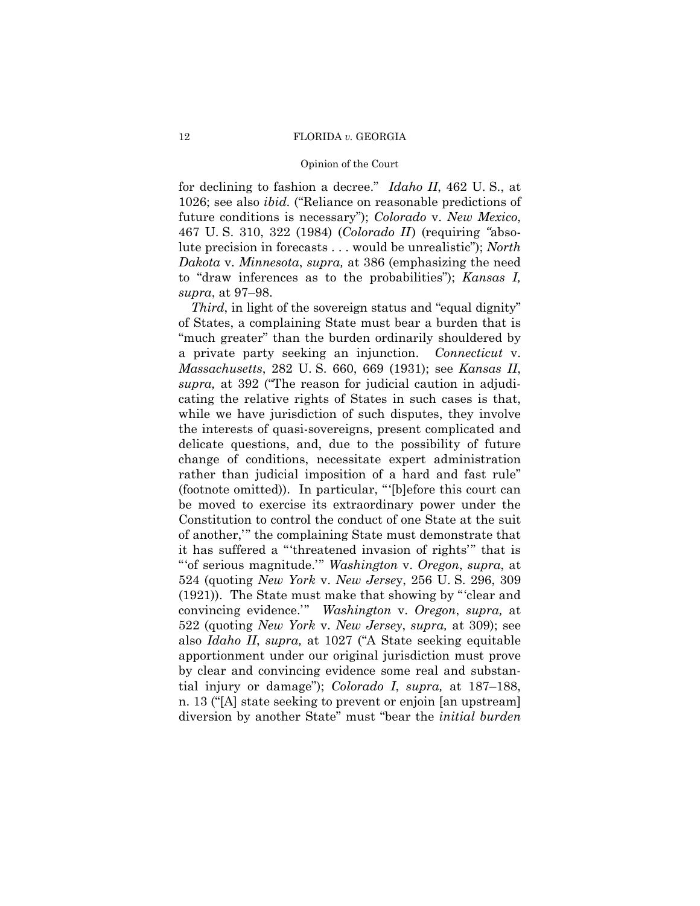### Opinion of the Court

 to "draw inferences as to the probabilities"); *Kansas I,*  for declining to fashion a decree." *Idaho II*, 462 U. S., at 1026; see also *ibid.* ("Reliance on reasonable predictions of future conditions is necessary"); *Colorado* v. *New Mexico*, 467 U. S. 310, 322 (1984) (*Colorado II* ) (requiring *"*absolute precision in forecasts . . . would be unrealistic"); *North Dakota* v. *Minnesota*, *supra,* at 386 (emphasizing the need *supra*, at 97–98.

 *Third*, in light of the sovereign status and "equal dignity" of States, a complaining State must bear a burden that is "much greater" than the burden ordinarily shouldered by a private party seeking an injunction. *Connecticut* v. *Massachusetts*, 282 U. S. 660, 669 (1931); see *Kansas II*, *supra,* at 392 ("The reason for judicial caution in adjudicating the relative rights of States in such cases is that, while we have jurisdiction of such disputes, they involve the interests of quasi-sovereigns, present complicated and delicate questions, and, due to the possibility of future change of conditions, necessitate expert administration rather than judicial imposition of a hard and fast rule" (footnote omitted)). In particular, "'[b]efore this court can be moved to exercise its extraordinary power under the Constitution to control the conduct of one State at the suit of another,'" the complaining State must demonstrate that it has suffered a "'threatened invasion of rights'" that is "'of serious magnitude.'" *Washington* v. *Oregon*, *supra*, at 524 (quoting *New York* v. *New Jerse*y, 256 U. S. 296, 309 (1921)). The State must make that showing by "'clear and convincing evidence.'" *Washington* v. *Oregon*, *supra,* at 522 (quoting *New York* v. *New Jersey*, *supra,* at 309); see also *Idaho II*, *supra,* at 1027 ("A State seeking equitable apportionment under our original jurisdiction must prove by clear and convincing evidence some real and substantial injury or damage"); *Colorado I*, *supra,* at 187–188, n. 13 ("[A] state seeking to prevent or enjoin [an upstream] diversion by another State" must "bear the *initial burden*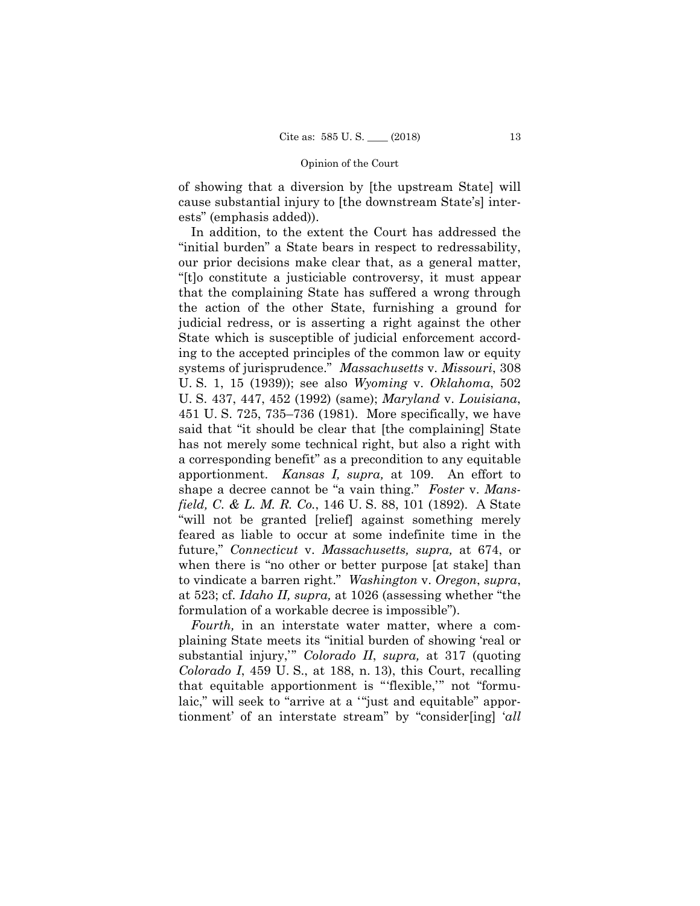of showing that a diversion by [the upstream State] will cause substantial injury to [the downstream State's] interests" (emphasis added)).

In addition, to the extent the Court has addressed the "initial burden" a State bears in respect to redressability, our prior decisions make clear that, as a general matter, "[t]o constitute a justiciable controversy, it must appear that the complaining State has suffered a wrong through the action of the other State, furnishing a ground for judicial redress, or is asserting a right against the other State which is susceptible of judicial enforcement according to the accepted principles of the common law or equity systems of jurisprudence." *Massachusetts* v. *Missouri*, 308 U. S. 1, 15 (1939)); see also *Wyoming* v. *Oklahoma*, 502 U. S. 437, 447, 452 (1992) (same); *Maryland* v. *Louisiana*, 451 U. S. 725, 735–736 (1981). More specifically, we have said that "it should be clear that [the complaining] State has not merely some technical right, but also a right with a corresponding benefit" as a precondition to any equitable apportionment. *Kansas I, supra,* at 109. An effort to shape a decree cannot be "a vain thing." *Foster* v. *Mansfield, C. & L. M. R. Co.*, 146 U. S. 88, 101 (1892). A State "will not be granted [relief] against something merely feared as liable to occur at some indefinite time in the future," *Connecticut* v. *Massachusetts, supra,* at 674, or when there is "no other or better purpose [at stake] than to vindicate a barren right." *Washington* v. *Oregon*, *supra*, at 523; cf. *Idaho II, supra,* at 1026 (assessing whether "the formulation of a workable decree is impossible").

 plaining State meets its "initial burden of showing 'real or *Fourth,* in an interstate water matter, where a comsubstantial injury,'" *Colorado II*, *supra,* at 317 (quoting *Colorado I*, 459 U. S., at 188, n. 13), this Court, recalling that equitable apportionment is "'flexible,'" not "formulaic," will seek to "arrive at a '"just and equitable" apportionment' of an interstate stream" by "consider[ing] '*all*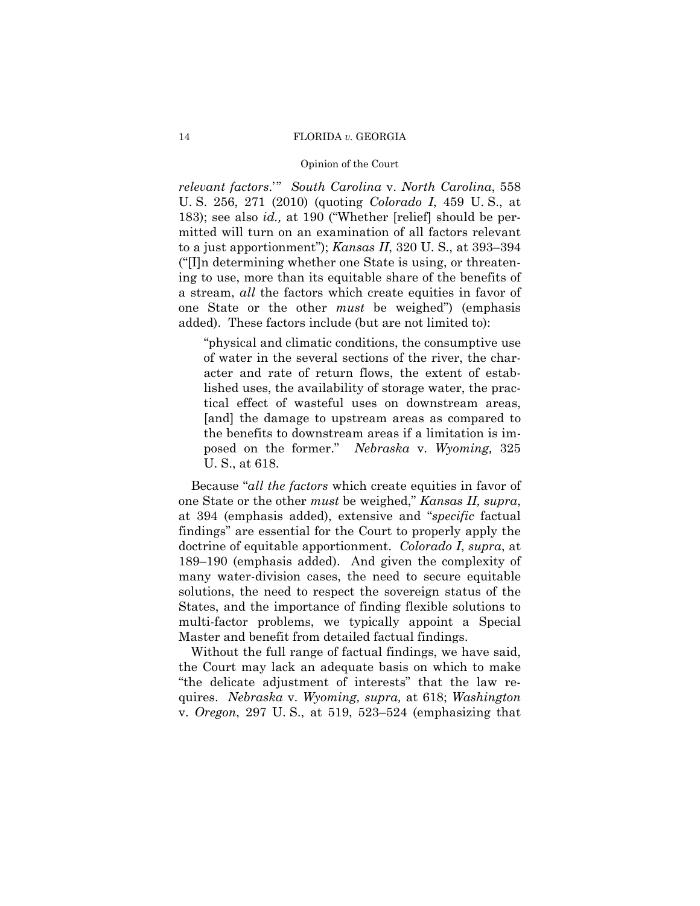## Opinion of the Court

*relevant factors*.'" *South Carolina* v. *North Carolina*, 558 U. S. 256, 271 (2010) (quoting *Colorado I*, 459 U. S., at 183); see also *id.,* at 190 ("Whether [relief] should be permitted will turn on an examination of all factors relevant to a just apportionment"); *Kansas II*, 320 U. S., at 393–394 ("[I]n determining whether one State is using, or threatening to use, more than its equitable share of the benefits of a stream, *all* the factors which create equities in favor of one State or the other *must* be weighed") (emphasis added). These factors include (but are not limited to):

"physical and climatic conditions, the consumptive use of water in the several sections of the river, the character and rate of return flows, the extent of established uses, the availability of storage water, the practical effect of wasteful uses on downstream areas, [and] the damage to upstream areas as compared to the benefits to downstream areas if a limitation is imposed on the former." *Nebraska* v. *Wyoming,* 325 U. S., at 618.

 Because "*all the factors* which create equities in favor of one State or the other *must* be weighed," *Kansas II, supra*, at 394 (emphasis added), extensive and "*specific* factual findings" are essential for the Court to properly apply the doctrine of equitable apportionment. *Colorado I*, *supra*, at 189–190 (emphasis added). And given the complexity of many water-division cases, the need to secure equitable solutions, the need to respect the sovereign status of the States, and the importance of finding flexible solutions to multi-factor problems, we typically appoint a Special Master and benefit from detailed factual findings.

Without the full range of factual findings, we have said, the Court may lack an adequate basis on which to make "the delicate adjustment of interests" that the law requires. *Nebraska* v. *Wyoming, supra,* at 618; *Washington*  v. *Oregon*, 297 U. S., at 519, 523–524 (emphasizing that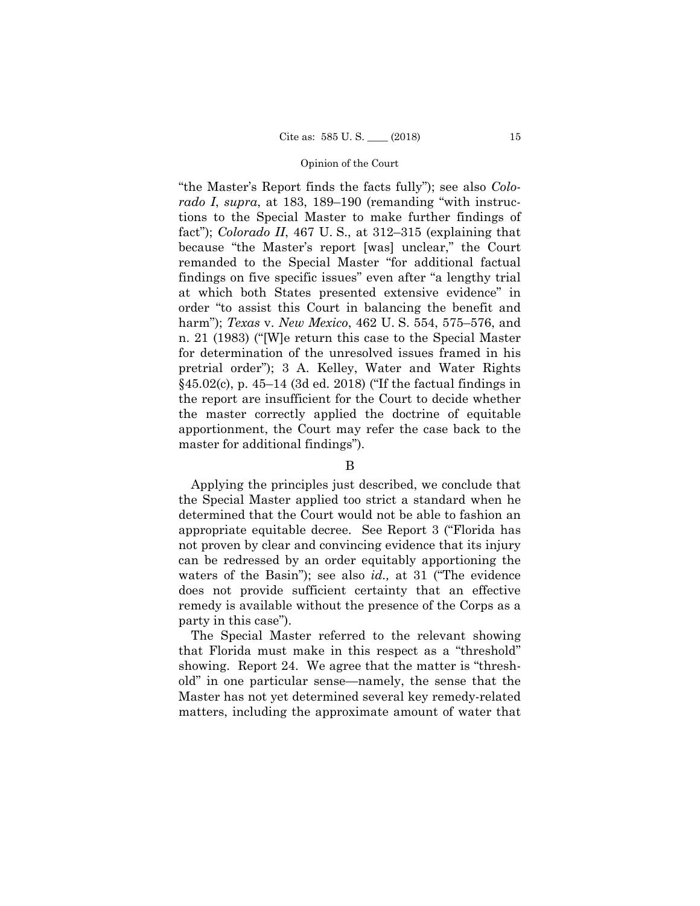"the Master's Report finds the facts fully"); see also *Colorado I*, *supra*, at 183, 189–190 (remanding "with instructions to the Special Master to make further findings of fact"); *Colorado II*, 467 U. S., at 312–315 (explaining that because "the Master's report [was] unclear," the Court remanded to the Special Master "for additional factual findings on five specific issues" even after "a lengthy trial at which both States presented extensive evidence" in order "to assist this Court in balancing the benefit and harm"); *Texas* v. *New Mexico*, 462 U. S. 554, 575–576, and n. 21 (1983) ("[W]e return this case to the Special Master for determination of the unresolved issues framed in his pretrial order"); 3 A. Kelley, Water and Water Rights §45.02(c), p. 45–14 (3d ed. 2018) ("If the factual findings in the report are insufficient for the Court to decide whether the master correctly applied the doctrine of equitable apportionment, the Court may refer the case back to the master for additional findings").

## B

Applying the principles just described, we conclude that the Special Master applied too strict a standard when he determined that the Court would not be able to fashion an appropriate equitable decree. See Report 3 ("Florida has not proven by clear and convincing evidence that its injury can be redressed by an order equitably apportioning the waters of the Basin"); see also *id.,* at 31 ("The evidence does not provide sufficient certainty that an effective remedy is available without the presence of the Corps as a party in this case").

The Special Master referred to the relevant showing that Florida must make in this respect as a "threshold" showing. Report 24. We agree that the matter is "threshold" in one particular sense—namely, the sense that the Master has not yet determined several key remedy-related matters, including the approximate amount of water that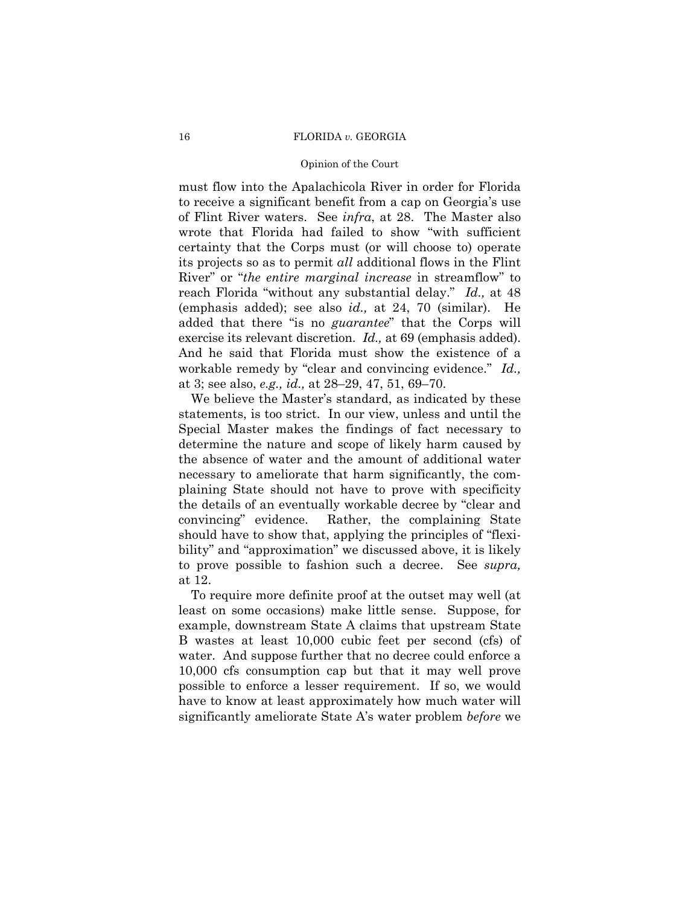### Opinion of the Court

 exercise its relevant discretion. *Id.,* at 69 (emphasis added). And he said that Florida must show the existence of a must flow into the Apalachicola River in order for Florida to receive a significant benefit from a cap on Georgia's use of Flint River waters. See *infra*, at 28. The Master also wrote that Florida had failed to show "with sufficient certainty that the Corps must (or will choose to) operate its projects so as to permit *all* additional flows in the Flint River" or "*the entire marginal increase* in streamflow" to reach Florida "without any substantial delay." *Id.,* at 48 (emphasis added); see also *id.,* at 24, 70 (similar). He added that there "is no *guarantee*" that the Corps will workable remedy by "clear and convincing evidence." *Id.,*  at 3; see also, *e.g., id.,* at 28–29, 47, 51, 69–70.

We believe the Master's standard, as indicated by these statements, is too strict. In our view, unless and until the Special Master makes the findings of fact necessary to determine the nature and scope of likely harm caused by the absence of water and the amount of additional water necessary to ameliorate that harm significantly, the complaining State should not have to prove with specificity the details of an eventually workable decree by "clear and convincing" evidence. Rather, the complaining State should have to show that, applying the principles of "flexibility" and "approximation" we discussed above, it is likely to prove possible to fashion such a decree. See *supra,* at 12.

To require more definite proof at the outset may well (at least on some occasions) make little sense. Suppose, for example, downstream State A claims that upstream State B wastes at least 10,000 cubic feet per second (cfs) of water. And suppose further that no decree could enforce a 10,000 cfs consumption cap but that it may well prove possible to enforce a lesser requirement. If so, we would have to know at least approximately how much water will significantly ameliorate State A's water problem *before* we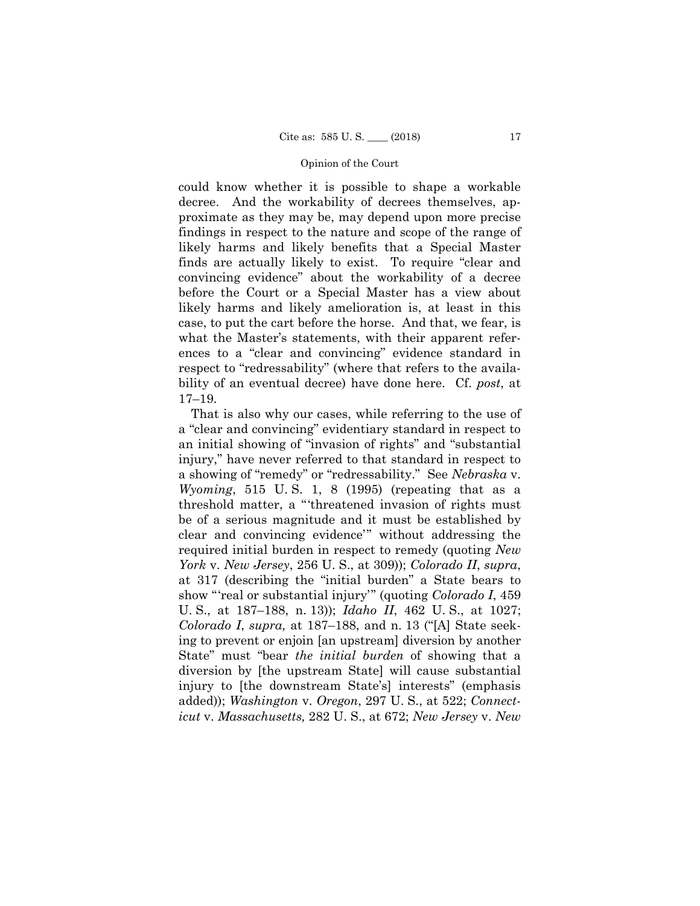could know whether it is possible to shape a workable decree. And the workability of decrees themselves, approximate as they may be, may depend upon more precise findings in respect to the nature and scope of the range of likely harms and likely benefits that a Special Master finds are actually likely to exist. To require "clear and convincing evidence" about the workability of a decree before the Court or a Special Master has a view about likely harms and likely amelioration is, at least in this case, to put the cart before the horse. And that, we fear, is what the Master's statements, with their apparent references to a "clear and convincing" evidence standard in respect to "redressability" (where that refers to the availability of an eventual decree) have done here. Cf. *post*, at 17–19.

That is also why our cases, while referring to the use of a "clear and convincing" evidentiary standard in respect to an initial showing of "invasion of rights" and "substantial injury," have never referred to that standard in respect to a showing of "remedy" or "redressability." See *Nebraska* v. *Wyoming*, 515 U. S. 1, 8 (1995) (repeating that as a threshold matter, a "'threatened invasion of rights must be of a serious magnitude and it must be established by clear and convincing evidence'" without addressing the required initial burden in respect to remedy (quoting *New York* v. *New Jersey*, 256 U. S., at 309)); *Colorado II*, *supra*, at 317 (describing the "initial burden" a State bears to show "'real or substantial injury'" (quoting *Colorado I*, 459 U. S., at 187–188, n. 13)); *Idaho II*, 462 U. S., at 1027; *Colorado I*, *supra,* at 187–188, and n. 13 ("[A] State seeking to prevent or enjoin [an upstream] diversion by another State" must "bear *the initial burden* of showing that a diversion by [the upstream State] will cause substantial injury to [the downstream State's] interests" (emphasis added)); *Washington* v. *Oregon*, 297 U. S., at 522; *Connecticut* v. *Massachusetts,* 282 U. S., at 672; *New Jersey* v. *New*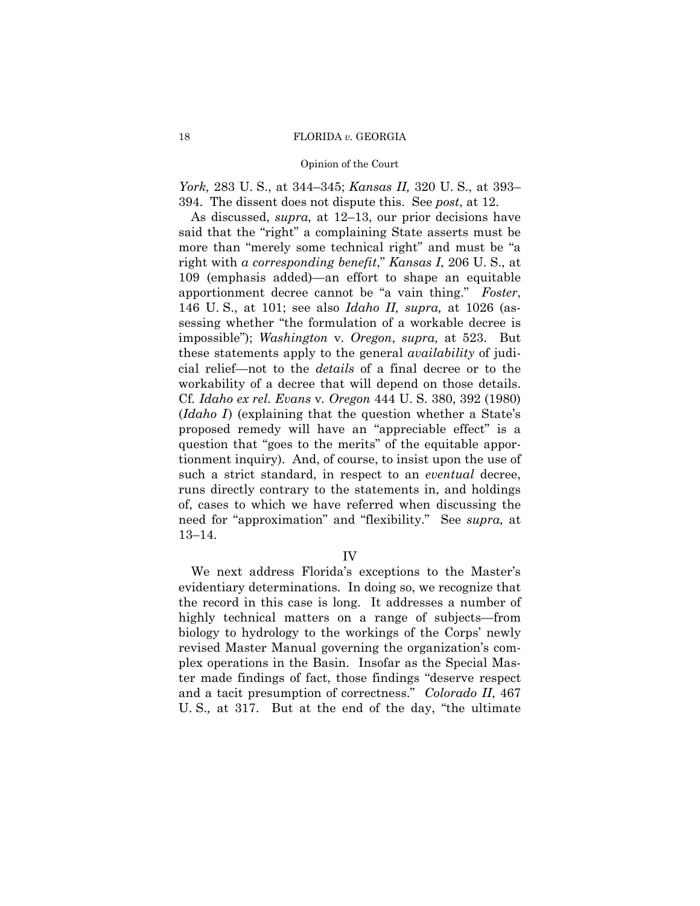### Opinion of the Court

*York,* 283 U. S., at 344–345; *Kansas II,* 320 U. S., at 393– 394. The dissent does not dispute this. See *post*, at 12.

As discussed, *supra,* at 12–13, our prior decisions have said that the "right" a complaining State asserts must be more than "merely some technical right" and must be "a right with *a corresponding benefit*," *Kansas I*, 206 U. S., at 109 (emphasis added)—an effort to shape an equitable apportionment decree cannot be "a vain thing." *Foster*, 146 U. S., at 101; see also *Idaho II, supra,* at 1026 (assessing whether "the formulation of a workable decree is impossible"); *Washington* v. *Oregon*, *supra,* at 523. But these statements apply to the general *availability* of judicial relief—not to the *details* of a final decree or to the workability of a decree that will depend on those details. Cf*. Idaho ex rel. Evans* v*. Oregon* 444 U. S. 380, 392 (1980) (*Idaho I* ) (explaining that the question whether a State's proposed remedy will have an "appreciable effect" is a question that "goes to the merits" of the equitable apportionment inquiry). And, of course, to insist upon the use of such a strict standard, in respect to an *eventual* decree, runs directly contrary to the statements in, and holdings of, cases to which we have referred when discussing the need for "approximation" and "flexibility." See *supra,* at 13–14.

## IV

We next address Florida's exceptions to the Master's evidentiary determinations. In doing so, we recognize that the record in this case is long. It addresses a number of highly technical matters on a range of subjects—from biology to hydrology to the workings of the Corps' newly revised Master Manual governing the organization's complex operations in the Basin. Insofar as the Special Master made findings of fact, those findings "deserve respect and a tacit presumption of correctness." *Colorado II*, 467 U. S.*,* at 317. But at the end of the day, "the ultimate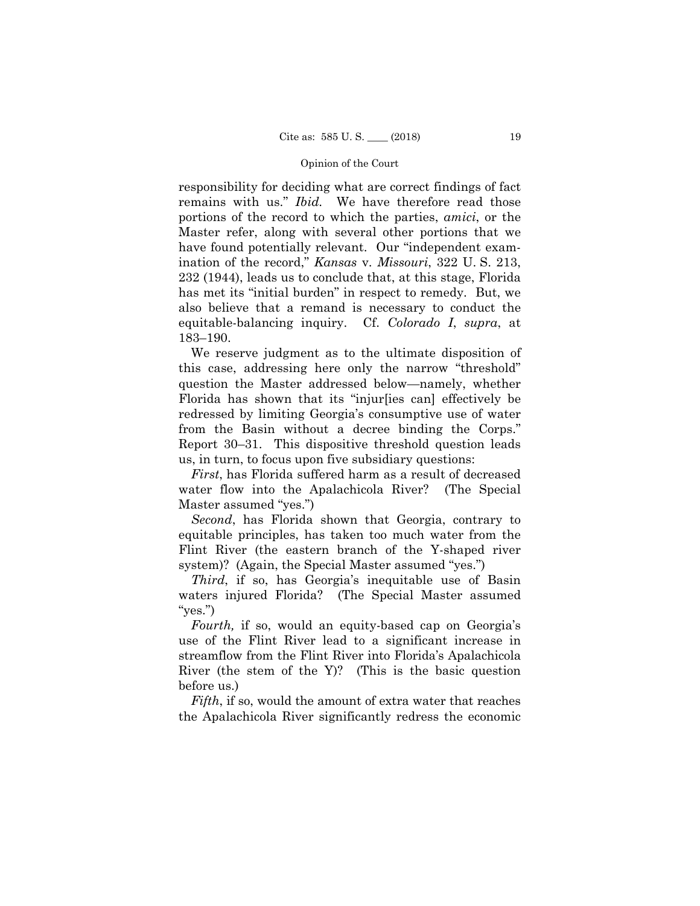responsibility for deciding what are correct findings of fact remains with us." *Ibid.* We have therefore read those portions of the record to which the parties, *amici*, or the Master refer, along with several other portions that we have found potentially relevant. Our "independent examination of the record," *Kansas* v. *Missouri*, 322 U. S. 213, 232 (1944), leads us to conclude that, at this stage, Florida has met its "initial burden" in respect to remedy. But, we also believe that a remand is necessary to conduct the equitable-balancing inquiry. Cf. *Colorado I*, *supra*, at 183–190.

We reserve judgment as to the ultimate disposition of this case, addressing here only the narrow "threshold" question the Master addressed below—namely, whether Florida has shown that its "injur[ies can] effectively be redressed by limiting Georgia's consumptive use of water from the Basin without a decree binding the Corps." Report 30–31. This dispositive threshold question leads us, in turn, to focus upon five subsidiary questions:

*First*, has Florida suffered harm as a result of decreased water flow into the Apalachicola River? (The Special Master assumed "yes.")

*Second*, has Florida shown that Georgia, contrary to equitable principles, has taken too much water from the Flint River (the eastern branch of the Y-shaped river system)? (Again, the Special Master assumed "yes.")

*Third*, if so, has Georgia's inequitable use of Basin waters injured Florida? (The Special Master assumed "yes.")

*Fourth,* if so, would an equity-based cap on Georgia's use of the Flint River lead to a significant increase in streamflow from the Flint River into Florida's Apalachicola River (the stem of the Y)? (This is the basic question before us.)

*Fifth*, if so, would the amount of extra water that reaches the Apalachicola River significantly redress the economic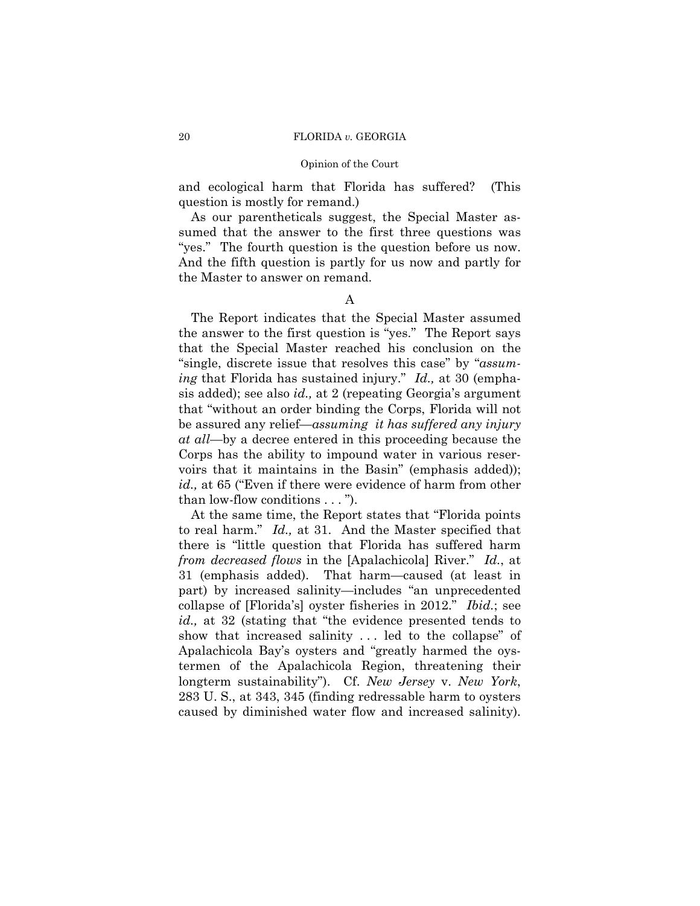### Opinion of the Court

and ecological harm that Florida has suffered? (This question is mostly for remand.)

As our parentheticals suggest, the Special Master assumed that the answer to the first three questions was "yes." The fourth question is the question before us now. And the fifth question is partly for us now and partly for the Master to answer on remand.

## A

The Report indicates that the Special Master assumed the answer to the first question is "yes." The Report says that the Special Master reached his conclusion on the "single, discrete issue that resolves this case" by "*assuming* that Florida has sustained injury." *Id.,* at 30 (emphasis added); see also *id.,* at 2 (repeating Georgia's argument that "without an order binding the Corps, Florida will not be assured any relief—*assuming it has suffered any injury at all*—by a decree entered in this proceeding because the Corps has the ability to impound water in various reservoirs that it maintains in the Basin" (emphasis added)); *id.,* at 65 ("Even if there were evidence of harm from other than low-flow conditions . . . ").

At the same time, the Report states that "Florida points to real harm." *Id.,* at 31. And the Master specified that there is "little question that Florida has suffered harm *from decreased flows* in the [Apalachicola] River." *Id.*, at 31 (emphasis added). That harm—caused (at least in part) by increased salinity—includes "an unprecedented collapse of [Florida's] oyster fisheries in 2012." *Ibid.*; see *id.,* at 32 (stating that "the evidence presented tends to show that increased salinity . . . led to the collapse" of Apalachicola Bay's oysters and "greatly harmed the oystermen of the Apalachicola Region, threatening their longterm sustainability"). Cf. *New Jersey* v. *New York*, 283 U. S., at 343, 345 (finding redressable harm to oysters caused by diminished water flow and increased salinity).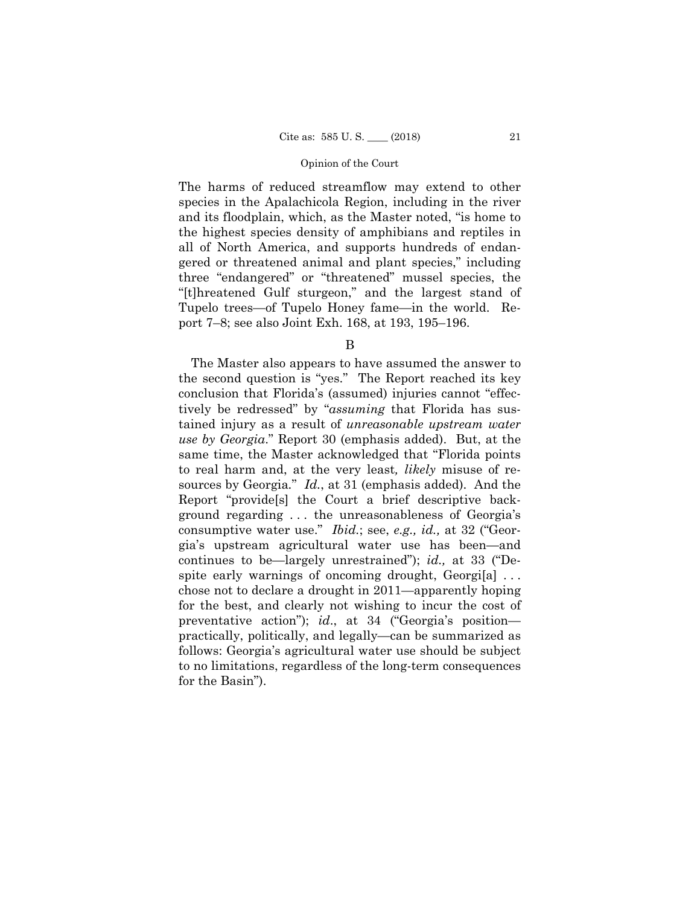The harms of reduced streamflow may extend to other species in the Apalachicola Region, including in the river and its floodplain, which, as the Master noted, "is home to the highest species density of amphibians and reptiles in all of North America, and supports hundreds of endangered or threatened animal and plant species," including three "endangered" or "threatened" mussel species, the "[t]hreatened Gulf sturgeon," and the largest stand of Tupelo trees—of Tupelo Honey fame—in the world. Report 7–8; see also Joint Exh. 168, at 193, 195–196.

B

The Master also appears to have assumed the answer to the second question is "yes." The Report reached its key conclusion that Florida's (assumed) injuries cannot "effectively be redressed" by "*assuming* that Florida has sustained injury as a result of *unreasonable upstream water use by Georgia*." Report 30 (emphasis added). But, at the same time, the Master acknowledged that "Florida points to real harm and, at the very least*, likely* misuse of resources by Georgia*.*" *Id.*, at 31 (emphasis added). And the Report "provide[s] the Court a brief descriptive background regarding . . . the unreasonableness of Georgia's consumptive water use." *Ibid.*; see, *e.g., id.,* at 32 ("Georgia's upstream agricultural water use has been—and continues to be—largely unrestrained"); *id.,* at 33 ("Despite early warnings of oncoming drought,  $Georgi[a]$ ... chose not to declare a drought in 2011—apparently hoping for the best, and clearly not wishing to incur the cost of preventative action"); *id*., at 34 ("Georgia's position practically, politically, and legally—can be summarized as follows: Georgia's agricultural water use should be subject to no limitations, regardless of the long-term consequences for the Basin").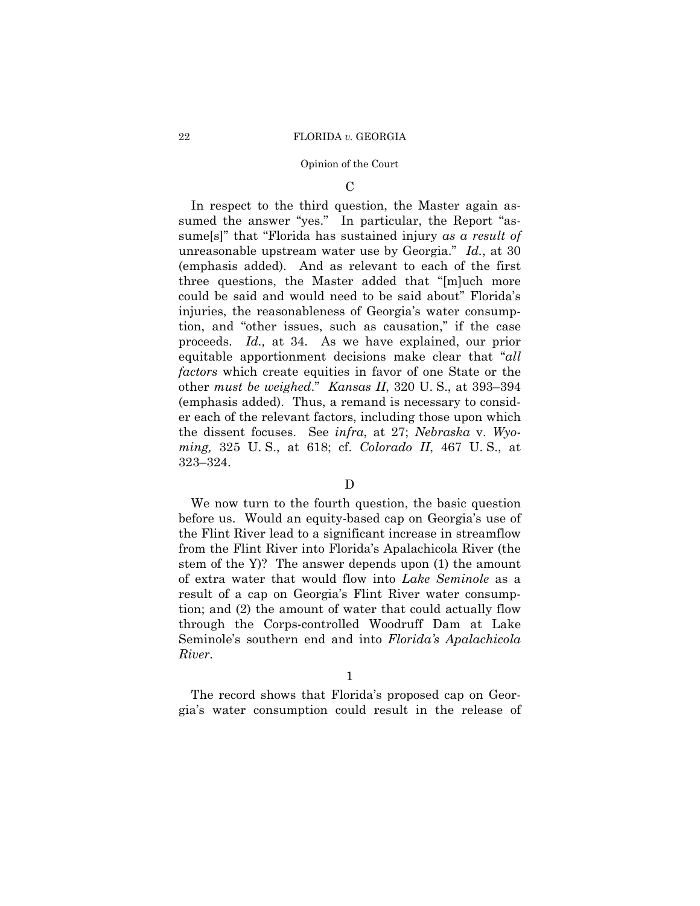### Opinion of the Court

 $\mathcal{C}$ 

 other *must be weighed*." *Kansas II*, 320 U. S., at 393–394 *ming,* 325 U. S., at 618; cf. *Colorado II*, 467 U. S., at 323–324. In respect to the third question, the Master again assumed the answer "yes." In particular, the Report "assume[s]" that "Florida has sustained injury *as a result of*  unreasonable upstream water use by Georgia." *Id.*, at 30 (emphasis added). And as relevant to each of the first three questions, the Master added that "[m]uch more could be said and would need to be said about" Florida's injuries, the reasonableness of Georgia's water consumption, and "other issues, such as causation," if the case proceeds. *Id.,* at 34. As we have explained, our prior equitable apportionment decisions make clear that "*all factors* which create equities in favor of one State or the (emphasis added). Thus, a remand is necessary to consider each of the relevant factors, including those upon which the dissent focuses. See *infra*, at 27; *Nebraska* v. *Wyo-*

## D

We now turn to the fourth question, the basic question before us. Would an equity-based cap on Georgia's use of the Flint River lead to a significant increase in streamflow from the Flint River into Florida's Apalachicola River (the stem of the Y)? The answer depends upon (1) the amount of extra water that would flow into *Lake Seminole* as a result of a cap on Georgia's Flint River water consumption; and (2) the amount of water that could actually flow through the Corps-controlled Woodruff Dam at Lake Seminole's southern end and into *Florida's Apalachicola River*.

1

The record shows that Florida's proposed cap on Georgia's water consumption could result in the release of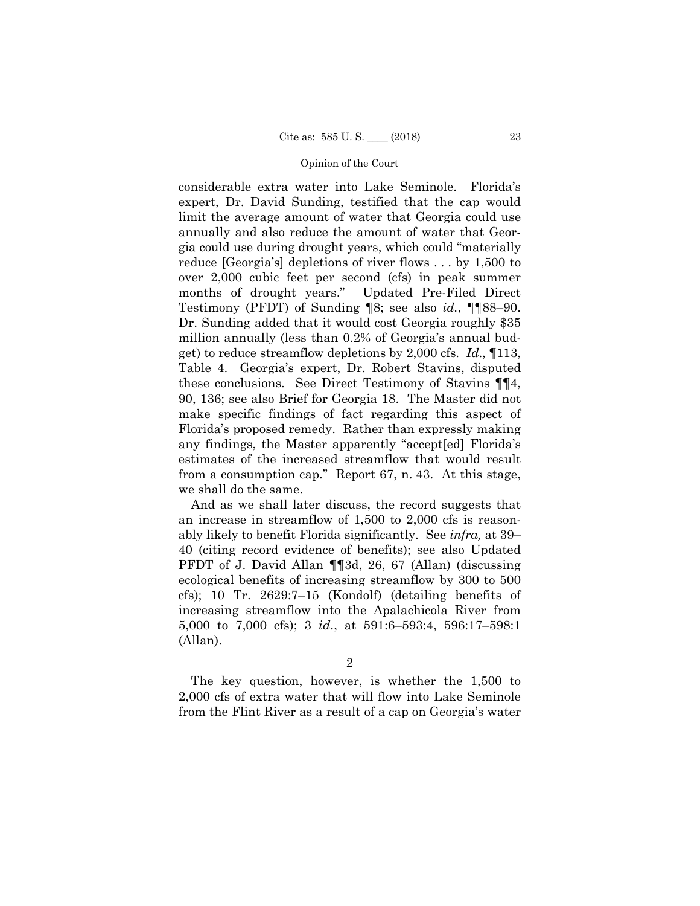considerable extra water into Lake Seminole. Florida's expert, Dr. David Sunding, testified that the cap would limit the average amount of water that Georgia could use annually and also reduce the amount of water that Georgia could use during drought years, which could "materially reduce [Georgia's] depletions of river flows . . . by 1,500 to over 2,000 cubic feet per second (cfs) in peak summer months of drought years." Updated Pre-Filed Direct Testimony (PFDT) of Sunding ¶8; see also *id.*, ¶¶88–90. Dr. Sunding added that it would cost Georgia roughly \$35 million annually (less than 0.2% of Georgia's annual budget) to reduce streamflow depletions by 2,000 cfs. *Id*., ¶113, Table 4. Georgia's expert, Dr. Robert Stavins, disputed these conclusions. See Direct Testimony of Stavins ¶¶4, 90, 136; see also Brief for Georgia 18. The Master did not make specific findings of fact regarding this aspect of Florida's proposed remedy. Rather than expressly making any findings, the Master apparently "accept[ed] Florida's estimates of the increased streamflow that would result from a consumption cap." Report 67, n. 43. At this stage, we shall do the same.

And as we shall later discuss, the record suggests that an increase in streamflow of 1,500 to 2,000 cfs is reasonably likely to benefit Florida significantly. See *infra,* at 39– 40 (citing record evidence of benefits); see also Updated PFDT of J. David Allan ¶¶3d, 26, 67 (Allan) (discussing ecological benefits of increasing streamflow by 300 to 500 cfs); 10 Tr. 2629:7–15 (Kondolf) (detailing benefits of increasing streamflow into the Apalachicola River from 5,000 to 7,000 cfs); 3 *id*., at 591:6–593:4, 596:17–598:1 (Allan).

2

The key question, however, is whether the 1,500 to 2,000 cfs of extra water that will flow into Lake Seminole from the Flint River as a result of a cap on Georgia's water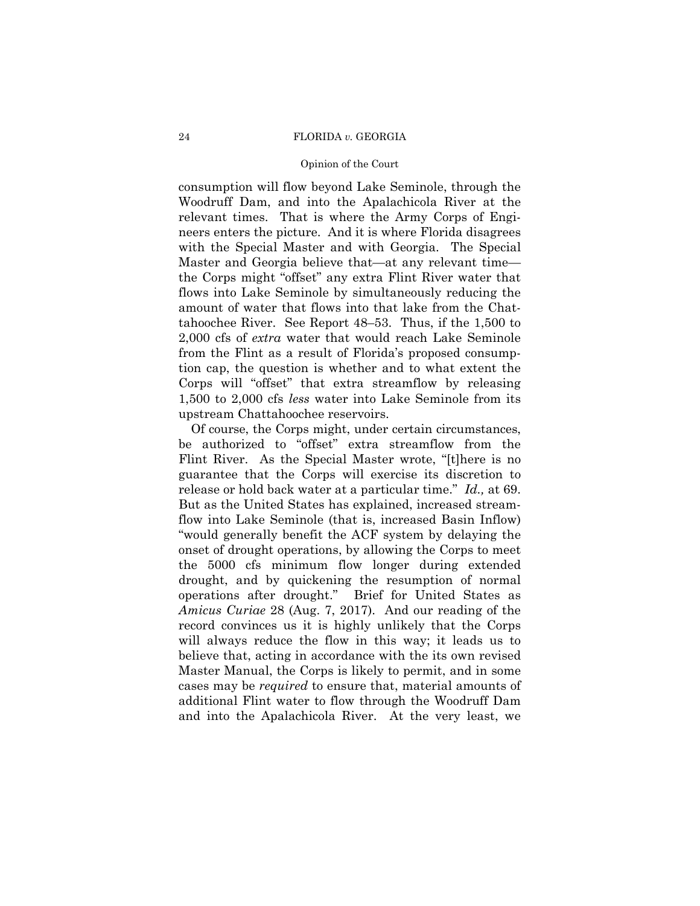### Opinion of the Court

consumption will flow beyond Lake Seminole, through the Woodruff Dam, and into the Apalachicola River at the relevant times. That is where the Army Corps of Engineers enters the picture. And it is where Florida disagrees with the Special Master and with Georgia. The Special Master and Georgia believe that—at any relevant time the Corps might "offset" any extra Flint River water that flows into Lake Seminole by simultaneously reducing the amount of water that flows into that lake from the Chattahoochee River. See Report 48–53. Thus, if the 1,500 to 2,000 cfs of *extra* water that would reach Lake Seminole from the Flint as a result of Florida's proposed consumption cap, the question is whether and to what extent the Corps will "offset" that extra streamflow by releasing 1,500 to 2,000 cfs *less* water into Lake Seminole from its upstream Chattahoochee reservoirs.

Of course, the Corps might, under certain circumstances, be authorized to "offset" extra streamflow from the Flint River. As the Special Master wrote, "[t]here is no guarantee that the Corps will exercise its discretion to release or hold back water at a particular time." *Id.,* at 69. But as the United States has explained, increased streamflow into Lake Seminole (that is, increased Basin Inflow) "would generally benefit the ACF system by delaying the onset of drought operations, by allowing the Corps to meet the 5000 cfs minimum flow longer during extended drought, and by quickening the resumption of normal operations after drought." Brief for United States as *Amicus Curiae* 28 (Aug. 7, 2017). And our reading of the record convinces us it is highly unlikely that the Corps will always reduce the flow in this way; it leads us to believe that, acting in accordance with the its own revised Master Manual, the Corps is likely to permit, and in some cases may be *required* to ensure that, material amounts of additional Flint water to flow through the Woodruff Dam and into the Apalachicola River. At the very least, we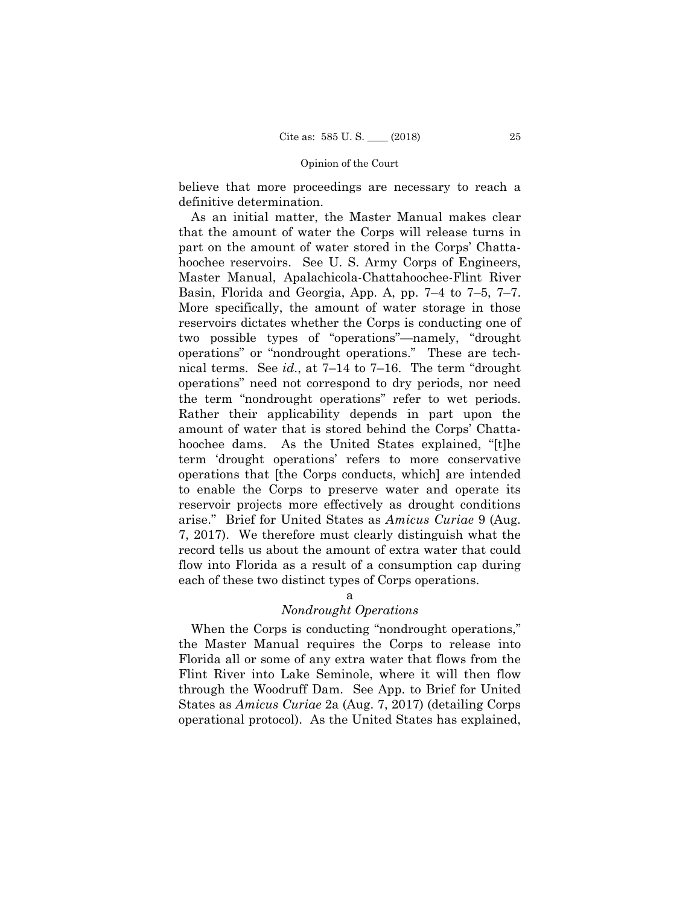believe that more proceedings are necessary to reach a definitive determination.

 Basin, Florida and Georgia, App. A, pp. 7–4 to 7–5, 7–7. As an initial matter, the Master Manual makes clear that the amount of water the Corps will release turns in part on the amount of water stored in the Corps' Chattahoochee reservoirs. See U. S. Army Corps of Engineers, Master Manual, Apalachicola-Chattahoochee-Flint River More specifically, the amount of water storage in those reservoirs dictates whether the Corps is conducting one of two possible types of "operations"—namely, "drought operations" or "nondrought operations." These are technical terms. See *id*., at 7–14 to 7–16. The term "drought operations" need not correspond to dry periods, nor need the term "nondrought operations" refer to wet periods. Rather their applicability depends in part upon the amount of water that is stored behind the Corps' Chattahoochee dams. As the United States explained, "[t]he term 'drought operations' refers to more conservative operations that [the Corps conducts, which] are intended to enable the Corps to preserve water and operate its reservoir projects more effectively as drought conditions arise." Brief for United States as *Amicus Curiae* 9 (Aug. 7, 2017). We therefore must clearly distinguish what the record tells us about the amount of extra water that could flow into Florida as a result of a consumption cap during each of these two distinct types of Corps operations.

a

## *Nondrought Operations*

When the Corps is conducting "nondrought operations," the Master Manual requires the Corps to release into Florida all or some of any extra water that flows from the Flint River into Lake Seminole, where it will then flow through the Woodruff Dam. See App. to Brief for United States as *Amicus Curiae* 2a (Aug. 7, 2017) (detailing Corps operational protocol). As the United States has explained,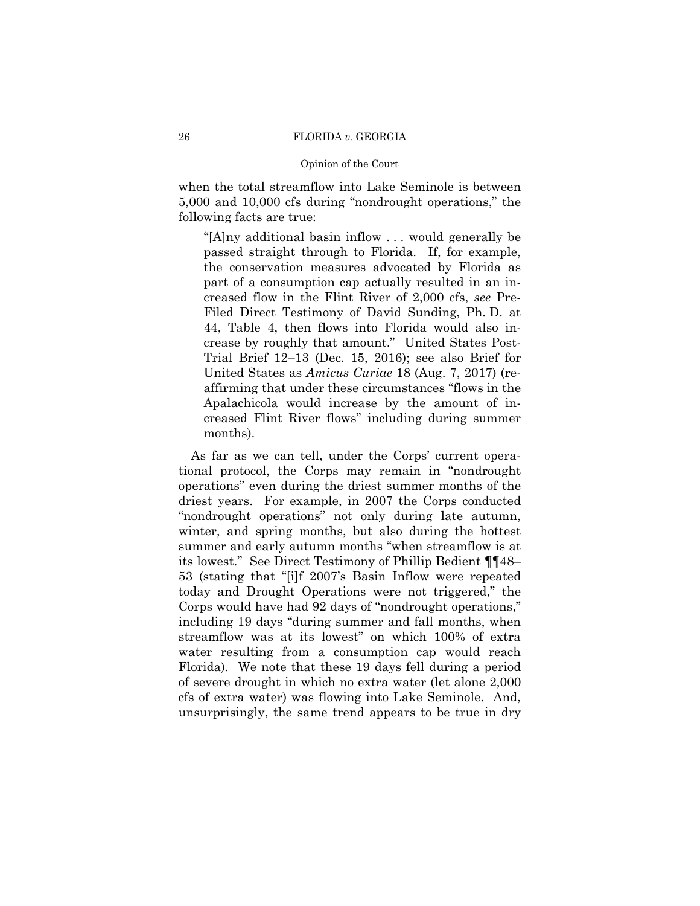### Opinion of the Court

when the total streamflow into Lake Seminole is between 5,000 and 10,000 cfs during "nondrought operations," the following facts are true:

"[A]ny additional basin inflow . . . would generally be passed straight through to Florida. If, for example, the conservation measures advocated by Florida as part of a consumption cap actually resulted in an increased flow in the Flint River of 2,000 cfs, *see* Pre-Filed Direct Testimony of David Sunding, Ph. D. at 44, Table 4, then flows into Florida would also increase by roughly that amount." United States Post-Trial Brief 12–13 (Dec. 15, 2016); see also Brief for United States as *Amicus Curiae* 18 (Aug. 7, 2017) (reaffirming that under these circumstances "flows in the Apalachicola would increase by the amount of increased Flint River flows" including during summer months).

As far as we can tell, under the Corps' current operational protocol, the Corps may remain in "nondrought operations" even during the driest summer months of the driest years. For example, in 2007 the Corps conducted "nondrought operations" not only during late autumn, winter, and spring months, but also during the hottest summer and early autumn months "when streamflow is at its lowest." See Direct Testimony of Phillip Bedient ¶¶48– 53 (stating that "[i]f 2007's Basin Inflow were repeated today and Drought Operations were not triggered," the Corps would have had 92 days of "nondrought operations," including 19 days "during summer and fall months, when streamflow was at its lowest" on which 100% of extra water resulting from a consumption cap would reach Florida). We note that these 19 days fell during a period of severe drought in which no extra water (let alone 2,000 cfs of extra water) was flowing into Lake Seminole. And, unsurprisingly, the same trend appears to be true in dry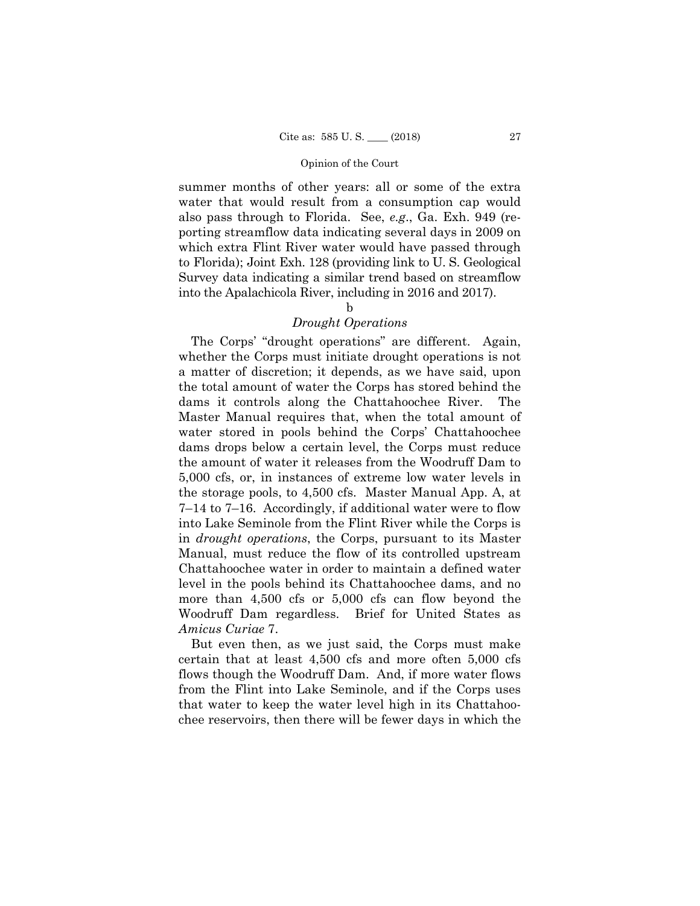to Florida); Joint Exh. 128 (providing link to U. S. Geological summer months of other years: all or some of the extra water that would result from a consumption cap would also pass through to Florida. See, *e.g*., Ga. Exh. 949 (reporting streamflow data indicating several days in 2009 on which extra Flint River water would have passed through Survey data indicating a similar trend based on streamflow into the Apalachicola River, including in 2016 and 2017).

## b

## *Drought Operations*

The Corps' "drought operations" are different. Again, whether the Corps must initiate drought operations is not a matter of discretion; it depends, as we have said, upon the total amount of water the Corps has stored behind the dams it controls along the Chattahoochee River. The Master Manual requires that, when the total amount of water stored in pools behind the Corps' Chattahoochee dams drops below a certain level, the Corps must reduce the amount of water it releases from the Woodruff Dam to 5,000 cfs, or, in instances of extreme low water levels in the storage pools, to 4,500 cfs. Master Manual App. A, at 7–14 to 7–16. Accordingly, if additional water were to flow into Lake Seminole from the Flint River while the Corps is in *drought operations*, the Corps, pursuant to its Master Manual, must reduce the flow of its controlled upstream Chattahoochee water in order to maintain a defined water level in the pools behind its Chattahoochee dams, and no more than 4,500 cfs or 5,000 cfs can flow beyond the Woodruff Dam regardless. Brief for United States as *Amicus Curiae* 7.

But even then, as we just said, the Corps must make certain that at least 4,500 cfs and more often 5,000 cfs flows though the Woodruff Dam. And, if more water flows from the Flint into Lake Seminole, and if the Corps uses that water to keep the water level high in its Chattahoochee reservoirs, then there will be fewer days in which the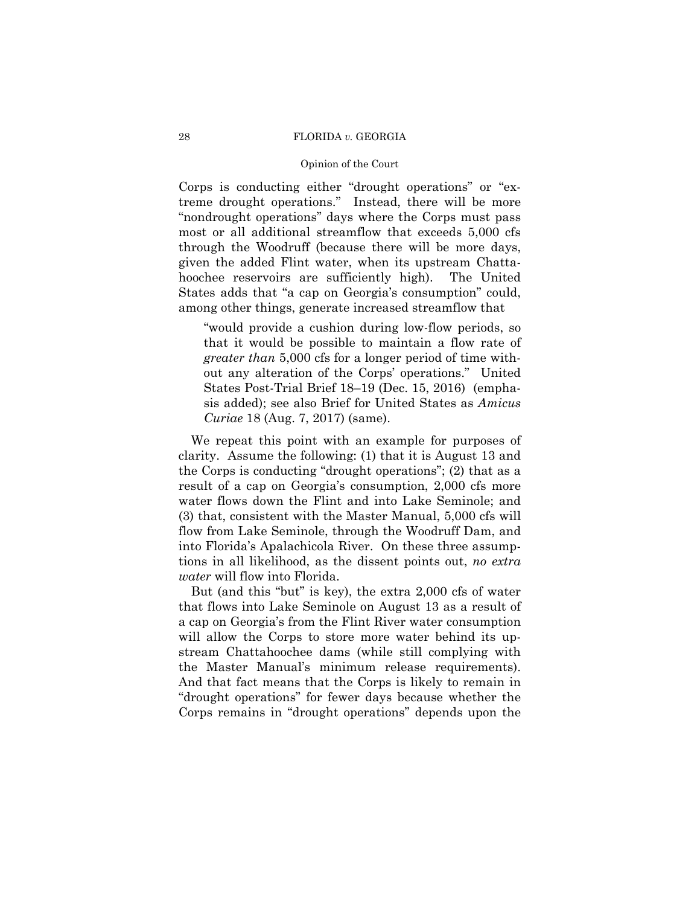### Opinion of the Court

 most or all additional streamflow that exceeds 5,000 cfs Corps is conducting either "drought operations" or "extreme drought operations." Instead, there will be more "nondrought operations" days where the Corps must pass through the Woodruff (because there will be more days, given the added Flint water, when its upstream Chattahoochee reservoirs are sufficiently high). The United States adds that "a cap on Georgia's consumption" could, among other things, generate increased streamflow that

"would provide a cushion during low-flow periods, so that it would be possible to maintain a flow rate of *greater than* 5,000 cfs for a longer period of time without any alteration of the Corps' operations." United States Post-Trial Brief 18–19 (Dec. 15, 2016) (emphasis added); see also Brief for United States as *Amicus Curiae* 18 (Aug. 7, 2017) (same).

We repeat this point with an example for purposes of clarity. Assume the following: (1) that it is August 13 and the Corps is conducting "drought operations"; (2) that as a result of a cap on Georgia's consumption, 2,000 cfs more water flows down the Flint and into Lake Seminole; and (3) that, consistent with the Master Manual, 5,000 cfs will flow from Lake Seminole, through the Woodruff Dam, and into Florida's Apalachicola River. On these three assumptions in all likelihood, as the dissent points out, *no extra water* will flow into Florida.

But (and this "but" is key), the extra 2,000 cfs of water that flows into Lake Seminole on August 13 as a result of a cap on Georgia's from the Flint River water consumption will allow the Corps to store more water behind its upstream Chattahoochee dams (while still complying with the Master Manual's minimum release requirements). And that fact means that the Corps is likely to remain in "drought operations" for fewer days because whether the Corps remains in "drought operations" depends upon the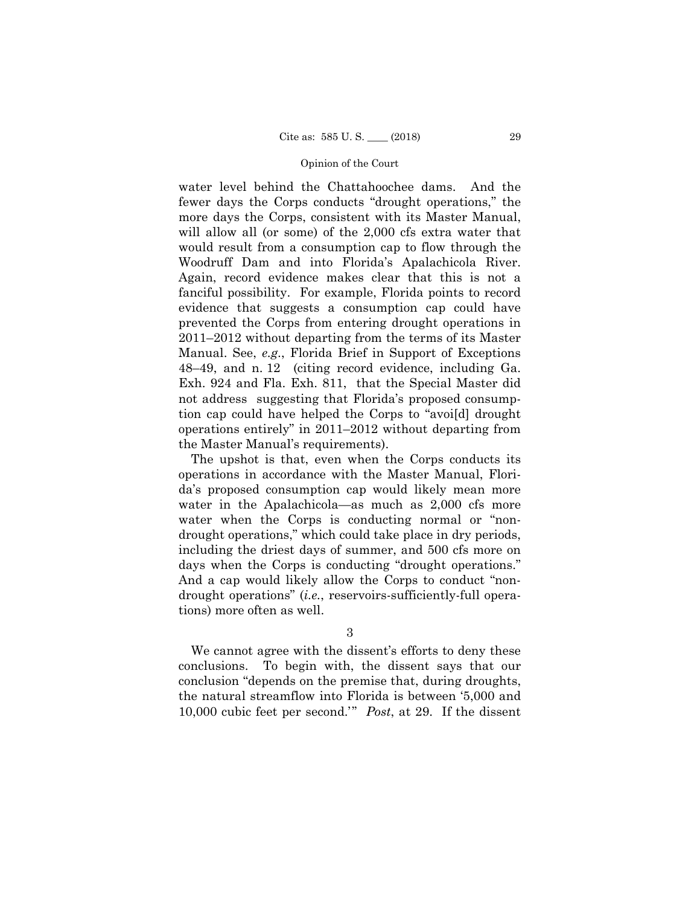water level behind the Chattahoochee dams. And the fewer days the Corps conducts "drought operations," the more days the Corps, consistent with its Master Manual, will allow all (or some) of the 2,000 cfs extra water that would result from a consumption cap to flow through the Woodruff Dam and into Florida's Apalachicola River. Again, record evidence makes clear that this is not a fanciful possibility. For example, Florida points to record evidence that suggests a consumption cap could have prevented the Corps from entering drought operations in 2011–2012 without departing from the terms of its Master Manual. See, *e.g*., Florida Brief in Support of Exceptions 48–49, and n. 12 (citing record evidence, including Ga. Exh. 924 and Fla. Exh. 811, that the Special Master did not address suggesting that Florida's proposed consumption cap could have helped the Corps to "avoi[d] drought operations entirely" in 2011–2012 without departing from the Master Manual's requirements).

 days when the Corps is conducting "drought operations." The upshot is that, even when the Corps conducts its operations in accordance with the Master Manual, Florida's proposed consumption cap would likely mean more water in the Apalachicola—as much as 2,000 cfs more water when the Corps is conducting normal or "nondrought operations," which could take place in dry periods, including the driest days of summer, and 500 cfs more on And a cap would likely allow the Corps to conduct "nondrought operations" (*i.e.*, reservoirs-sufficiently-full operations) more often as well.

3

We cannot agree with the dissent's efforts to deny these conclusions. To begin with, the dissent says that our conclusion "depends on the premise that, during droughts, the natural streamflow into Florida is between '5,000 and 10,000 cubic feet per second.'" *Post*, at 29. If the dissent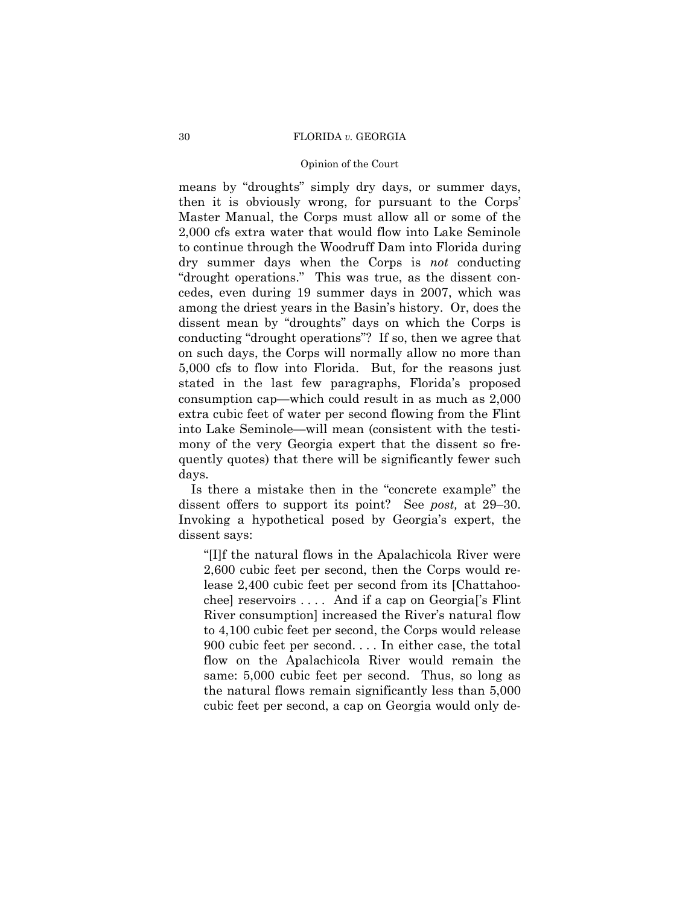### Opinion of the Court

means by "droughts" simply dry days, or summer days, then it is obviously wrong, for pursuant to the Corps' Master Manual, the Corps must allow all or some of the 2,000 cfs extra water that would flow into Lake Seminole to continue through the Woodruff Dam into Florida during dry summer days when the Corps is *not* conducting "drought operations." This was true, as the dissent concedes, even during 19 summer days in 2007, which was among the driest years in the Basin's history. Or, does the dissent mean by "droughts" days on which the Corps is conducting "drought operations"? If so, then we agree that on such days, the Corps will normally allow no more than 5,000 cfs to flow into Florida. But, for the reasons just stated in the last few paragraphs, Florida's proposed consumption cap—which could result in as much as 2,000 extra cubic feet of water per second flowing from the Flint into Lake Seminole—will mean (consistent with the testimony of the very Georgia expert that the dissent so frequently quotes) that there will be significantly fewer such days.

Is there a mistake then in the "concrete example" the dissent offers to support its point? See *post,* at 29–30. Invoking a hypothetical posed by Georgia's expert, the dissent says:

"[I]f the natural flows in the Apalachicola River were 2,600 cubic feet per second, then the Corps would release 2,400 cubic feet per second from its [Chattahoochee] reservoirs . . . . And if a cap on Georgia['s Flint River consumption] increased the River's natural flow to 4,100 cubic feet per second, the Corps would release 900 cubic feet per second. . . . In either case, the total flow on the Apalachicola River would remain the same: 5,000 cubic feet per second. Thus, so long as the natural flows remain significantly less than 5,000 cubic feet per second, a cap on Georgia would only de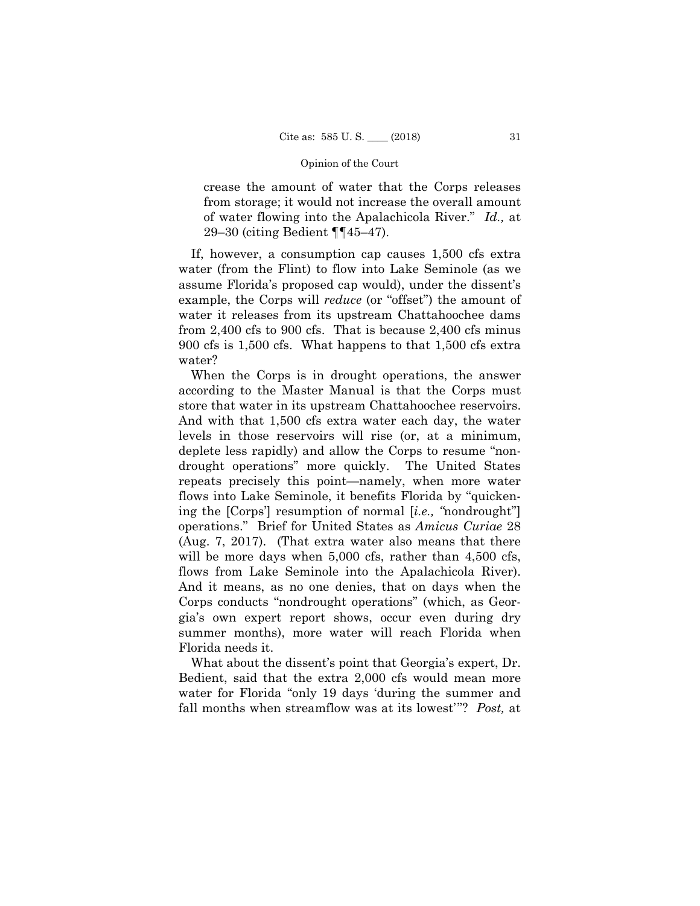crease the amount of water that the Corps releases from storage; it would not increase the overall amount of water flowing into the Apalachicola River." *Id.,* at 29–30 (citing Bedient ¶¶45–47).

If, however, a consumption cap causes 1,500 cfs extra water (from the Flint) to flow into Lake Seminole (as we assume Florida's proposed cap would), under the dissent's example, the Corps will *reduce* (or "offset") the amount of water it releases from its upstream Chattahoochee dams from 2,400 cfs to 900 cfs. That is because 2,400 cfs minus 900 cfs is 1,500 cfs. What happens to that 1,500 cfs extra water?

When the Corps is in drought operations, the answer according to the Master Manual is that the Corps must store that water in its upstream Chattahoochee reservoirs. And with that 1,500 cfs extra water each day, the water levels in those reservoirs will rise (or, at a minimum, deplete less rapidly) and allow the Corps to resume "nondrought operations" more quickly. The United States repeats precisely this point—namely, when more water flows into Lake Seminole, it benefits Florida by "quickening the [Corps'] resumption of normal [*i.e., "*nondrought"] operations." Brief for United States as *Amicus Curiae* 28 (Aug. 7, 2017). (That extra water also means that there will be more days when 5,000 cfs, rather than 4,500 cfs, flows from Lake Seminole into the Apalachicola River). And it means, as no one denies, that on days when the Corps conducts "nondrought operations" (which, as Georgia's own expert report shows, occur even during dry summer months), more water will reach Florida when Florida needs it.

 fall months when streamflow was at its lowest'"? *Post,* at What about the dissent's point that Georgia's expert, Dr. Bedient, said that the extra 2,000 cfs would mean more water for Florida "only 19 days 'during the summer and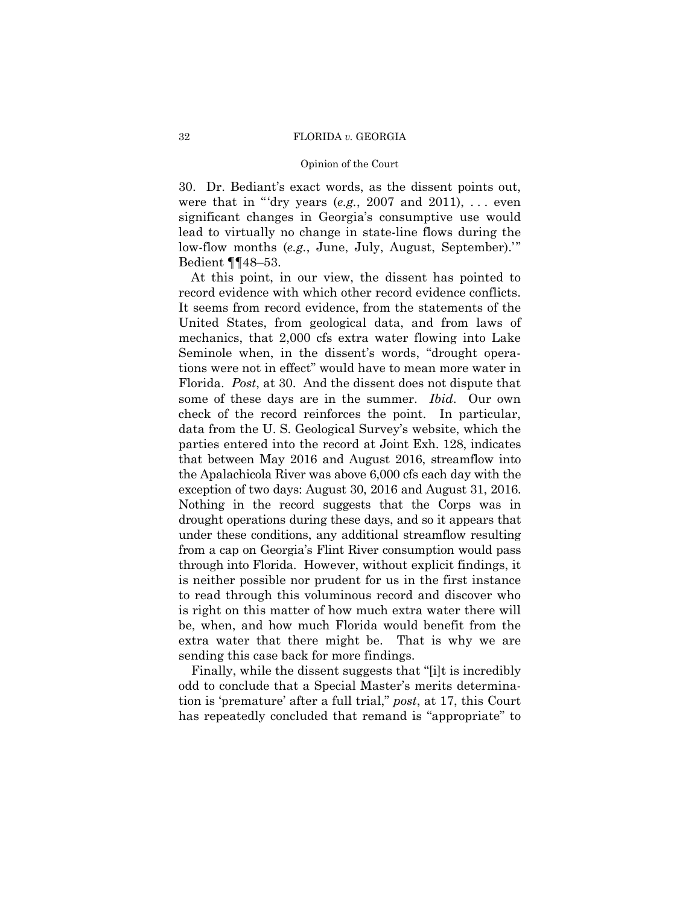### Opinion of the Court

 30. Dr. Bediant's exact words, as the dissent points out, were that in "'dry years  $(e.g., 2007 \text{ and } 2011), \ldots$  even significant changes in Georgia's consumptive use would lead to virtually no change in state-line flows during the low-flow months (*e.g.*, June, July, August, September).'" Bedient ¶¶48–53.

record evidence with which other record evidence conflicts.  some of these days are in the summer. *Ibid*. Our own parties entered into the record at Joint Exh. 128, indicates through into Florida. However, without explicit findings, it At this point, in our view, the dissent has pointed to It seems from record evidence, from the statements of the United States, from geological data, and from laws of mechanics, that 2,000 cfs extra water flowing into Lake Seminole when, in the dissent's words, "drought operations were not in effect" would have to mean more water in Florida. *Post*, at 30. And the dissent does not dispute that check of the record reinforces the point. In particular, data from the U. S. Geological Survey's website, which the that between May 2016 and August 2016, streamflow into the Apalachicola River was above 6,000 cfs each day with the exception of two days: August 30, 2016 and August 31, 2016. Nothing in the record suggests that the Corps was in drought operations during these days, and so it appears that under these conditions, any additional streamflow resulting from a cap on Georgia's Flint River consumption would pass is neither possible nor prudent for us in the first instance to read through this voluminous record and discover who is right on this matter of how much extra water there will be, when, and how much Florida would benefit from the extra water that there might be. That is why we are sending this case back for more findings.

Finally, while the dissent suggests that "[i]t is incredibly odd to conclude that a Special Master's merits determination is 'premature' after a full trial," *post*, at 17, this Court has repeatedly concluded that remand is "appropriate" to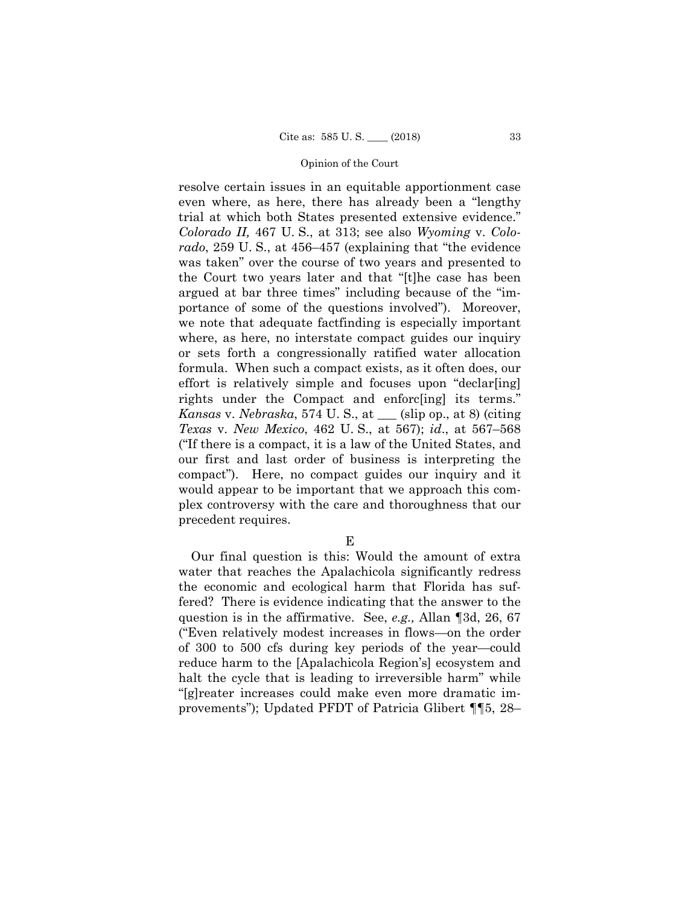resolve certain issues in an equitable apportionment case even where, as here, there has already been a "lengthy trial at which both States presented extensive evidence." *Colorado II,* 467 U. S., at 313; see also *Wyoming* v. *Colorado*, 259 U. S., at 456–457 (explaining that "the evidence was taken" over the course of two years and presented to the Court two years later and that "[t]he case has been argued at bar three times" including because of the "importance of some of the questions involved"). Moreover, we note that adequate factfinding is especially important where, as here, no interstate compact guides our inquiry or sets forth a congressionally ratified water allocation formula. When such a compact exists, as it often does, our effort is relatively simple and focuses upon "declar[ing] rights under the Compact and enforc[ing] its terms." *Kansas* v. *Nebraska*, 574 U. S., at \_\_\_ (slip op., at 8) (citing *Texas* v. *New Mexico*, 462 U. S., at 567); *id*., at 567–568 ("If there is a compact, it is a law of the United States, and our first and last order of business is interpreting the compact"). Here, no compact guides our inquiry and it would appear to be important that we approach this complex controversy with the care and thoroughness that our precedent requires.

E

Our final question is this: Would the amount of extra water that reaches the Apalachicola significantly redress the economic and ecological harm that Florida has suffered? There is evidence indicating that the answer to the question is in the affirmative. See, *e.g.,* Allan ¶3d, 26, 67 ("Even relatively modest increases in flows—on the order of 300 to 500 cfs during key periods of the year—could reduce harm to the [Apalachicola Region's] ecosystem and halt the cycle that is leading to irreversible harm" while "[g]reater increases could make even more dramatic improvements"); Updated PFDT of Patricia Glibert ¶¶5, 28–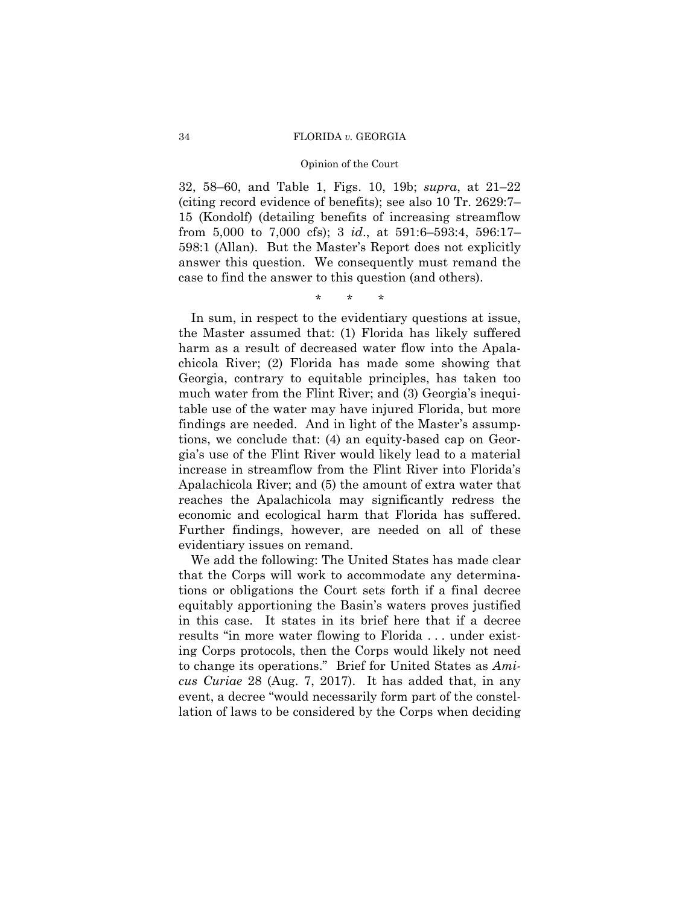## 34 FLORIDA *v.* GEORGIA

## Opinion of the Court

32, 58–60, and Table 1, Figs. 10, 19b; *supra*, at 21–22 (citing record evidence of benefits); see also 10 Tr. 2629:7– 15 (Kondolf) (detailing benefits of increasing streamflow from 5,000 to 7,000 cfs); 3 *id*., at 591:6–593:4, 596:17– 598:1 (Allan). But the Master's Report does not explicitly answer this question. We consequently must remand the case to find the answer to this question (and others).

\* \* \*

In sum, in respect to the evidentiary questions at issue, the Master assumed that: (1) Florida has likely suffered harm as a result of decreased water flow into the Apalachicola River; (2) Florida has made some showing that Georgia, contrary to equitable principles, has taken too much water from the Flint River; and (3) Georgia's inequitable use of the water may have injured Florida, but more findings are needed. And in light of the Master's assumptions, we conclude that: (4) an equity-based cap on Georgia's use of the Flint River would likely lead to a material increase in streamflow from the Flint River into Florida's Apalachicola River; and (5) the amount of extra water that reaches the Apalachicola may significantly redress the economic and ecological harm that Florida has suffered. Further findings, however, are needed on all of these evidentiary issues on remand.

We add the following: The United States has made clear that the Corps will work to accommodate any determinations or obligations the Court sets forth if a final decree equitably apportioning the Basin's waters proves justified in this case. It states in its brief here that if a decree results "in more water flowing to Florida . . . under existing Corps protocols, then the Corps would likely not need to change its operations." Brief for United States as *Amicus Curiae* 28 (Aug. 7, 2017). It has added that, in any event, a decree "would necessarily form part of the constellation of laws to be considered by the Corps when deciding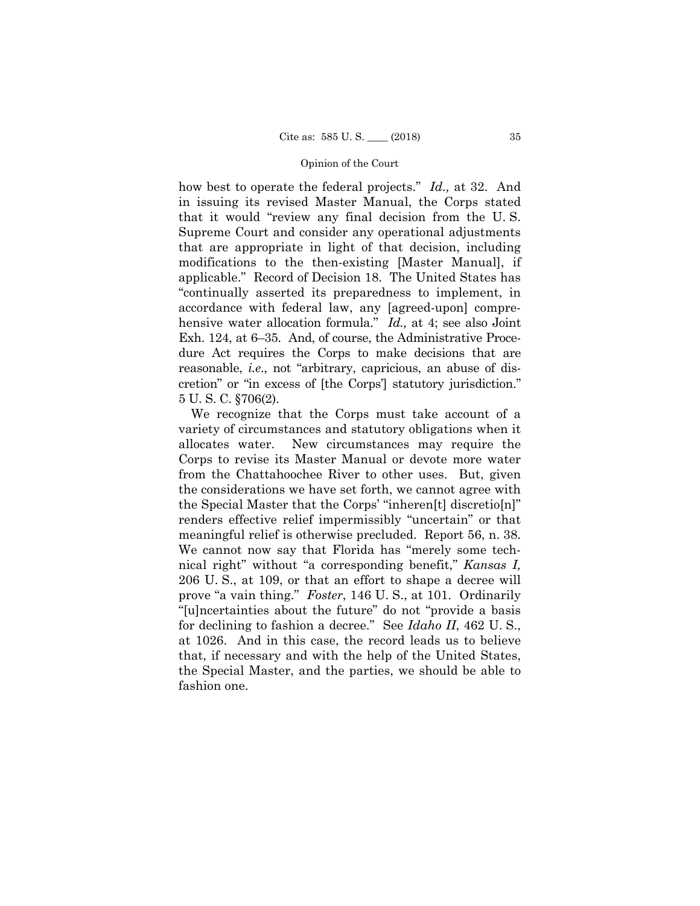5 U. S. C. §706(2). how best to operate the federal projects." *Id.,* at 32. And in issuing its revised Master Manual, the Corps stated that it would "review any final decision from the U. S. Supreme Court and consider any operational adjustments that are appropriate in light of that decision, including modifications to the then-existing [Master Manual], if applicable." Record of Decision 18. The United States has "continually asserted its preparedness to implement, in accordance with federal law, any [agreed-upon] comprehensive water allocation formula." *Id.,* at 4; see also Joint Exh. 124, at 6–35. And, of course, the Administrative Procedure Act requires the Corps to make decisions that are reasonable, *i.e*., not "arbitrary, capricious, an abuse of discretion" or "in excess of [the Corps'] statutory jurisdiction."

 We recognize that the Corps must take account of a variety of circumstances and statutory obligations when it allocates water. New circumstances may require the Corps to revise its Master Manual or devote more water from the Chattahoochee River to other uses. But, given the considerations we have set forth, we cannot agree with the Special Master that the Corps' "inheren[t] discretio[n]" renders effective relief impermissibly "uncertain" or that meaningful relief is otherwise precluded. Report 56, n. 38. We cannot now say that Florida has "merely some technical right" without "a corresponding benefit," *Kansas I,*  206 U. S., at 109, or that an effort to shape a decree will prove "a vain thing." *Foster*, 146 U. S., at 101. Ordinarily "[u]ncertainties about the future" do not "provide a basis for declining to fashion a decree." See *Idaho II*, 462 U. S., at 1026. And in this case, the record leads us to believe that, if necessary and with the help of the United States, the Special Master, and the parties, we should be able to fashion one.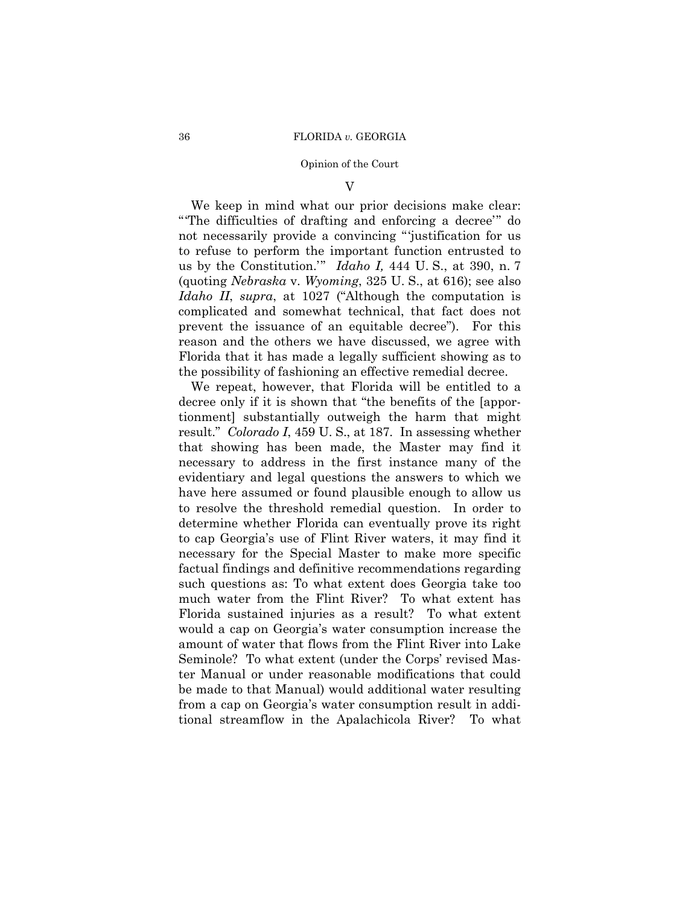V

We keep in mind what our prior decisions make clear: "'The difficulties of drafting and enforcing a decree'" do not necessarily provide a convincing "'justification for us to refuse to perform the important function entrusted to us by the Constitution.'" *Idaho I,* 444 U. S., at 390, n. 7 (quoting *Nebraska* v. *Wyoming*, 325 U. S., at 616); see also *Idaho II*, *supra*, at 1027 ("Although the computation is complicated and somewhat technical, that fact does not prevent the issuance of an equitable decree"). For this reason and the others we have discussed, we agree with Florida that it has made a legally sufficient showing as to the possibility of fashioning an effective remedial decree.

 result." *Colorado I*, 459 U. S., at 187. In assessing whether We repeat, however, that Florida will be entitled to a decree only if it is shown that "the benefits of the [apportionment] substantially outweigh the harm that might that showing has been made, the Master may find it necessary to address in the first instance many of the evidentiary and legal questions the answers to which we have here assumed or found plausible enough to allow us to resolve the threshold remedial question. In order to determine whether Florida can eventually prove its right to cap Georgia's use of Flint River waters, it may find it necessary for the Special Master to make more specific factual findings and definitive recommendations regarding such questions as: To what extent does Georgia take too much water from the Flint River? To what extent has Florida sustained injuries as a result? To what extent would a cap on Georgia's water consumption increase the amount of water that flows from the Flint River into Lake Seminole? To what extent (under the Corps' revised Master Manual or under reasonable modifications that could be made to that Manual) would additional water resulting from a cap on Georgia's water consumption result in additional streamflow in the Apalachicola River? To what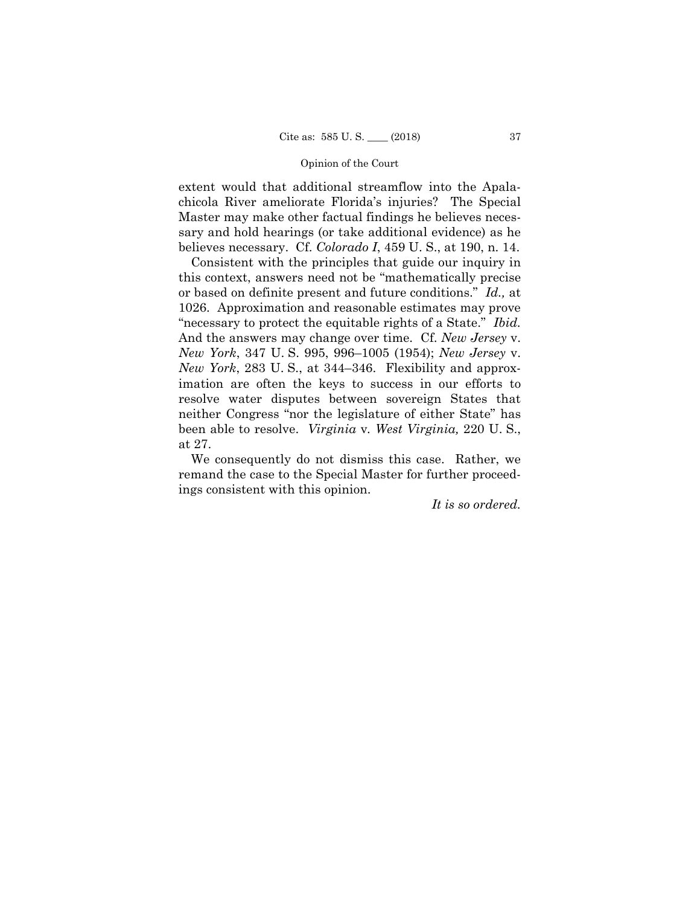extent would that additional streamflow into the Apalachicola River ameliorate Florida's injuries? The Special Master may make other factual findings he believes necessary and hold hearings (or take additional evidence) as he believes necessary. Cf. *Colorado I*, 459 U. S., at 190, n. 14.

Consistent with the principles that guide our inquiry in this context, answers need not be "mathematically precise or based on definite present and future conditions." *Id.,* at 1026. Approximation and reasonable estimates may prove "necessary to protect the equitable rights of a State." *Ibid.*  And the answers may change over time. Cf. *New Jersey* v. *New York*, 347 U. S. 995, 996–1005 (1954); *New Jersey* v. *New York*, 283 U. S., at 344–346. Flexibility and approximation are often the keys to success in our efforts to resolve water disputes between sovereign States that neither Congress "nor the legislature of either State" has been able to resolve. *Virginia* v*. West Virginia,* 220 U. S., at 27.

We consequently do not dismiss this case. Rather, we remand the case to the Special Master for further proceedings consistent with this opinion.

*It is so ordered.*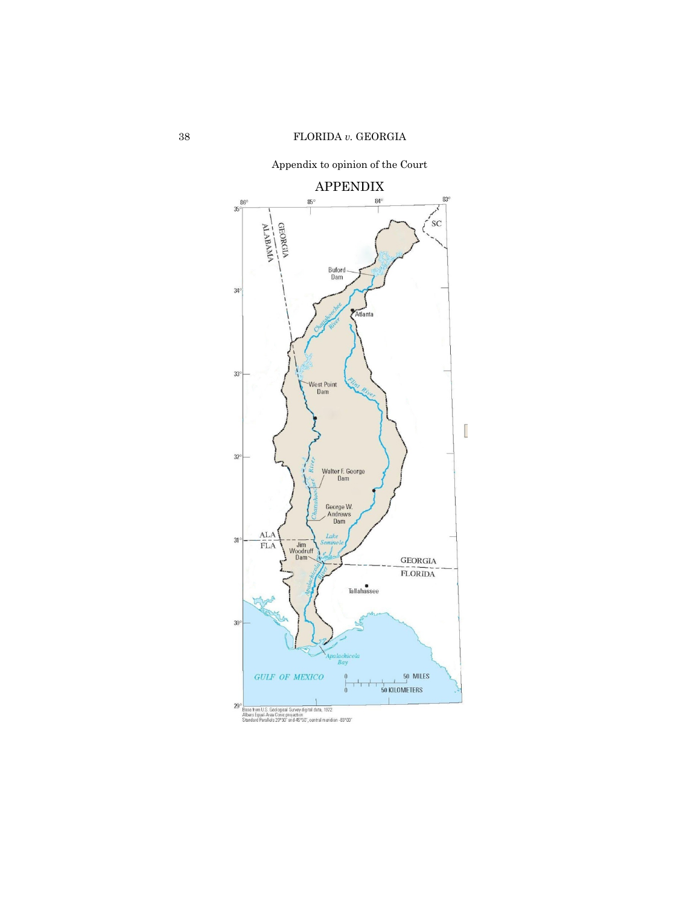APPENDIX  $\frac{84}{1}$  $83<sup>°</sup>$  $86^\circ$  $85^\circ$  $35$ GEORGIA <sub>SC</sub> Buford<br>Dam  $34<sup>°</sup>$ Atlanta  $33<sup>c</sup>$ West Point<br>Dam  $\overline{\mathbb{R}}$  $32$ Riv Walter F. George<br>/ Dam George W.<br>Andrews<br>Dam  $\frac{\text{ALA}}{\text{FLA}}$ Loke  $31$  $\begin{array}{c}\n - -\frac{1}{\text{Jim}} \\
\text{Woodruff} \\
\text{Dam}\n \end{array}$  $\mbox{GEOR} \mbox{GIA}$ FLORIDA Tallahassee  $30$ lachi<br>Bay  $\frac{50}{50}$  MILES **GULF OF MEXICO** 29 L.<br>Base from U.S. Geological Survey digital data, 1972.<br>Albers Equal-Area Conic projection.<br>Standard Parallels 29°30° and 45°30″, central meridian -83°00″

Appendix to opinion of the Court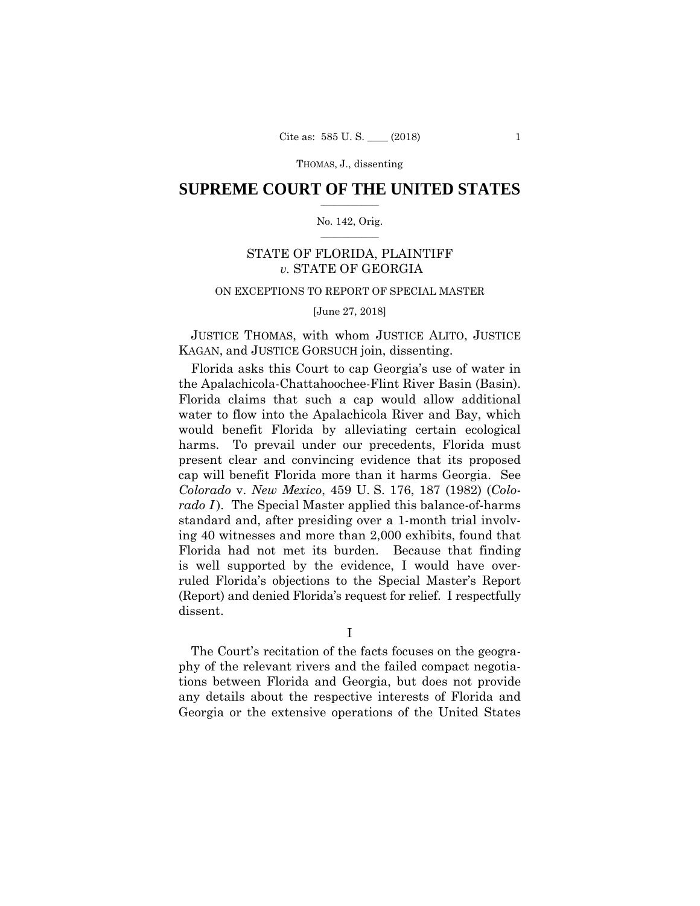## $\frac{1}{2}$  ,  $\frac{1}{2}$  ,  $\frac{1}{2}$  ,  $\frac{1}{2}$  ,  $\frac{1}{2}$  ,  $\frac{1}{2}$  ,  $\frac{1}{2}$ **SUPREME COURT OF THE UNITED STATES**

## $\frac{1}{2}$  ,  $\frac{1}{2}$  ,  $\frac{1}{2}$  ,  $\frac{1}{2}$  ,  $\frac{1}{2}$  ,  $\frac{1}{2}$ No. 142, Orig.

# STATE OF FLORIDA, PLAINTIFF *v.* STATE OF GEORGIA

# ON EXCEPTIONS TO REPORT OF SPECIAL MASTER

## [June 27, 2018]

JUSTICE THOMAS, with whom JUSTICE ALITO, JUSTICE KAGAN, and JUSTICE GORSUCH join, dissenting.

Florida asks this Court to cap Georgia's use of water in the Apalachicola-Chattahoochee-Flint River Basin (Basin). Florida claims that such a cap would allow additional water to flow into the Apalachicola River and Bay, which would benefit Florida by alleviating certain ecological harms. To prevail under our precedents, Florida must present clear and convincing evidence that its proposed cap will benefit Florida more than it harms Georgia. See *Colorado* v. *New Mexico*, 459 U. S. 176, 187 (1982) (*Colorado I*). The Special Master applied this balance-of-harms standard and, after presiding over a 1-month trial involving 40 witnesses and more than 2,000 exhibits, found that Florida had not met its burden. Because that finding is well supported by the evidence, I would have overruled Florida's objections to the Special Master's Report (Report) and denied Florida's request for relief. I respectfully dissent.

I

The Court's recitation of the facts focuses on the geography of the relevant rivers and the failed compact negotiations between Florida and Georgia, but does not provide any details about the respective interests of Florida and Georgia or the extensive operations of the United States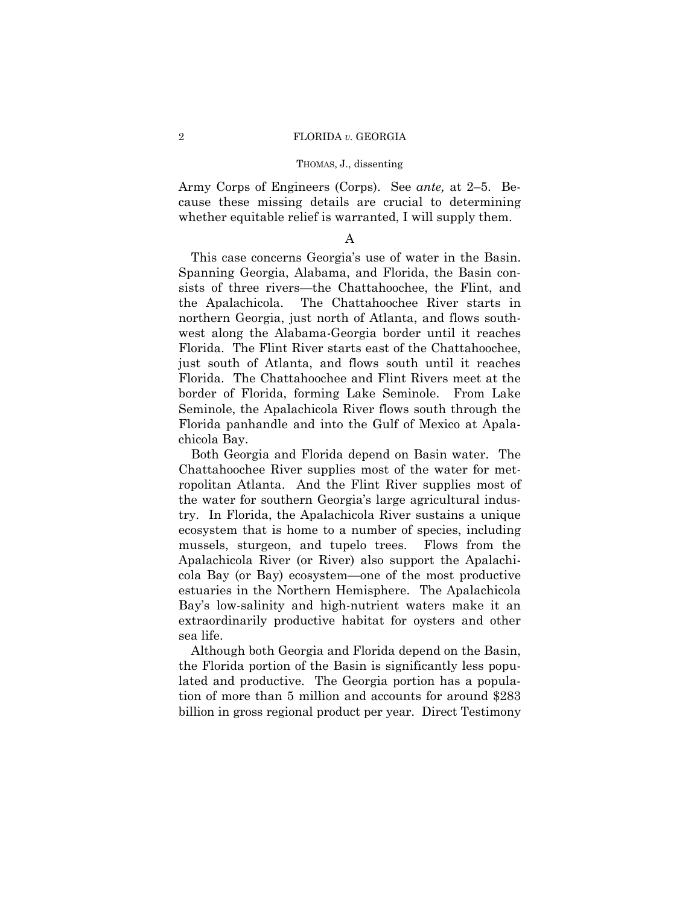Army Corps of Engineers (Corps). See *ante,* at 2–5. Because these missing details are crucial to determining whether equitable relief is warranted, I will supply them.

# A

This case concerns Georgia's use of water in the Basin. Spanning Georgia, Alabama, and Florida, the Basin consists of three rivers—the Chattahoochee, the Flint, and the Apalachicola. The Chattahoochee River starts in northern Georgia, just north of Atlanta, and flows southwest along the Alabama-Georgia border until it reaches Florida. The Flint River starts east of the Chattahoochee, just south of Atlanta, and flows south until it reaches Florida. The Chattahoochee and Flint Rivers meet at the border of Florida, forming Lake Seminole. From Lake Seminole, the Apalachicola River flows south through the Florida panhandle and into the Gulf of Mexico at Apalachicola Bay.

Both Georgia and Florida depend on Basin water. The Chattahoochee River supplies most of the water for metropolitan Atlanta. And the Flint River supplies most of the water for southern Georgia's large agricultural industry. In Florida, the Apalachicola River sustains a unique ecosystem that is home to a number of species, including mussels, sturgeon, and tupelo trees. Flows from the Apalachicola River (or River) also support the Apalachicola Bay (or Bay) ecosystem—one of the most productive estuaries in the Northern Hemisphere. The Apalachicola Bay's low-salinity and high-nutrient waters make it an extraordinarily productive habitat for oysters and other sea life.

Although both Georgia and Florida depend on the Basin, the Florida portion of the Basin is significantly less populated and productive. The Georgia portion has a population of more than 5 million and accounts for around \$283 billion in gross regional product per year. Direct Testimony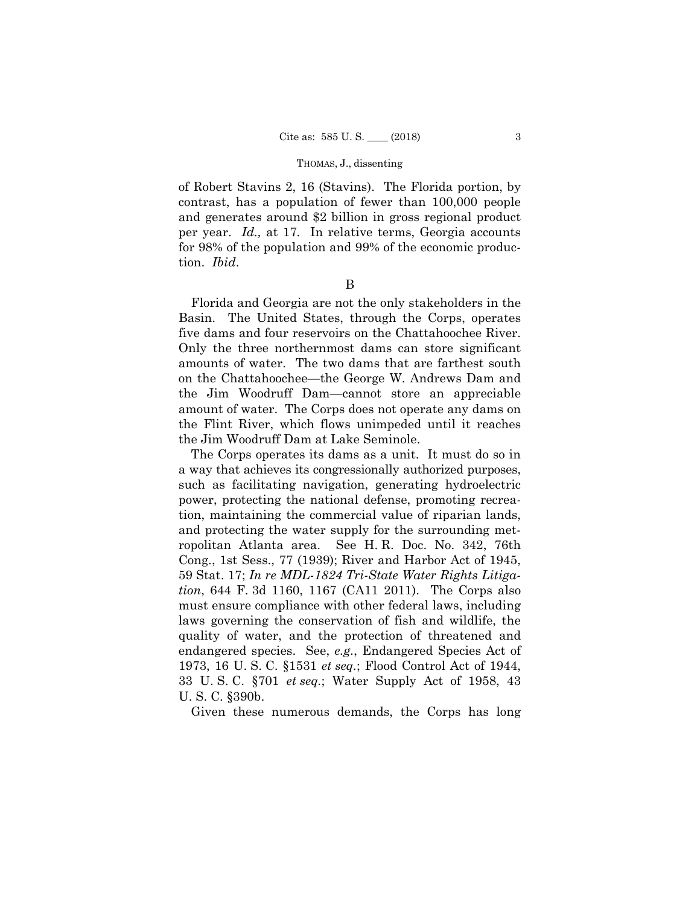per year. *Id.,* at 17*.* In relative terms, Georgia accounts of Robert Stavins 2, 16 (Stavins). The Florida portion, by contrast, has a population of fewer than 100,000 people and generates around \$2 billion in gross regional product for 98% of the population and 99% of the economic production. *Ibid*.

B

Florida and Georgia are not the only stakeholders in the Basin. The United States, through the Corps, operates five dams and four reservoirs on the Chattahoochee River. Only the three northernmost dams can store significant amounts of water. The two dams that are farthest south on the Chattahoochee—the George W. Andrews Dam and the Jim Woodruff Dam—cannot store an appreciable amount of water. The Corps does not operate any dams on the Flint River, which flows unimpeded until it reaches the Jim Woodruff Dam at Lake Seminole.

The Corps operates its dams as a unit. It must do so in a way that achieves its congressionally authorized purposes, such as facilitating navigation, generating hydroelectric power, protecting the national defense, promoting recreation, maintaining the commercial value of riparian lands, and protecting the water supply for the surrounding metropolitan Atlanta area. See H. R. Doc. No. 342, 76th Cong., 1st Sess., 77 (1939); River and Harbor Act of 1945, 59 Stat. 17; *In re MDL-1824 Tri-State Water Rights Litigation*, 644 F. 3d 1160, 1167 (CA11 2011). The Corps also must ensure compliance with other federal laws, including laws governing the conservation of fish and wildlife, the quality of water, and the protection of threatened and endangered species. See, *e.g.*, Endangered Species Act of 1973, 16 U. S. C. §1531 *et seq.*; Flood Control Act of 1944, 33 U. S. C. §701 *et seq.*; Water Supply Act of 1958, 43 U. S. C. §390b.

Given these numerous demands, the Corps has long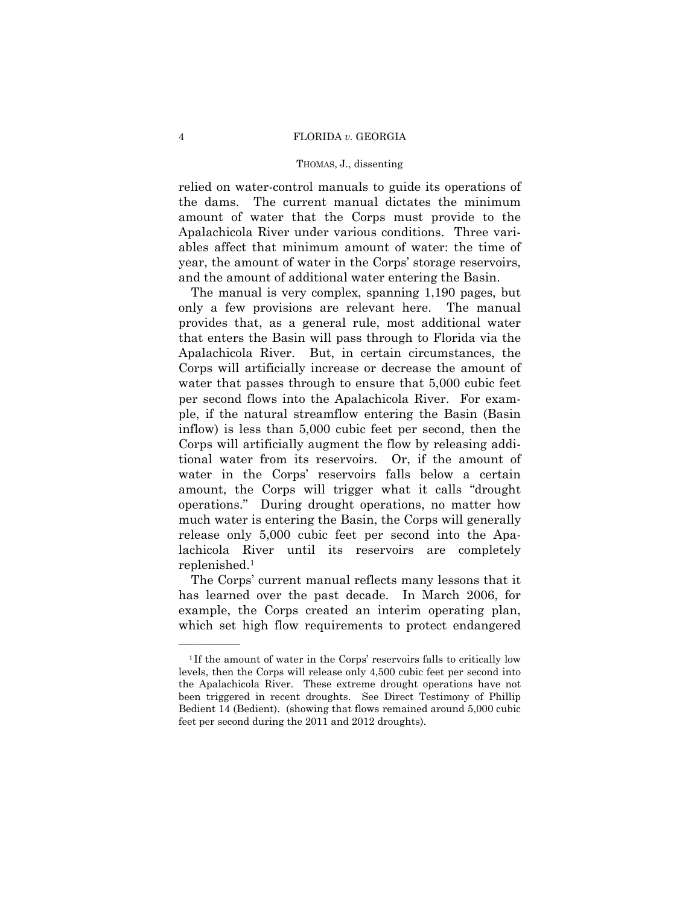## 4 FLORIDA *v.* GEORGIA

## THOMAS, J., dissenting

relied on water-control manuals to guide its operations of the dams. The current manual dictates the minimum amount of water that the Corps must provide to the Apalachicola River under various conditions. Three variables affect that minimum amount of water: the time of year, the amount of water in the Corps' storage reservoirs, and the amount of additional water entering the Basin.

 The manual is very complex, spanning 1,190 pages, but only a few provisions are relevant here. The manual provides that, as a general rule, most additional water that enters the Basin will pass through to Florida via the Apalachicola River. But, in certain circumstances, the Corps will artificially increase or decrease the amount of water that passes through to ensure that 5,000 cubic feet per second flows into the Apalachicola River. For example, if the natural streamflow entering the Basin (Basin inflow) is less than 5,000 cubic feet per second, then the Corps will artificially augment the flow by releasing additional water from its reservoirs. Or, if the amount of water in the Corps' reservoirs falls below a certain amount, the Corps will trigger what it calls "drought operations." During drought operations, no matter how much water is entering the Basin, the Corps will generally release only 5,000 cubic feet per second into the Apalachicola River until its reservoirs are completely replenished.1

The Corps' current manual reflects many lessons that it has learned over the past decade. In March 2006, for example, the Corps created an interim operating plan, which set high flow requirements to protect endangered

<sup>&</sup>lt;sup>1</sup>If the amount of water in the Corps' reservoirs falls to critically low levels, then the Corps will release only 4,500 cubic feet per second into the Apalachicola River. These extreme drought operations have not been triggered in recent droughts. See Direct Testimony of Phillip Bedient 14 (Bedient). (showing that flows remained around 5,000 cubic feet per second during the 2011 and 2012 droughts).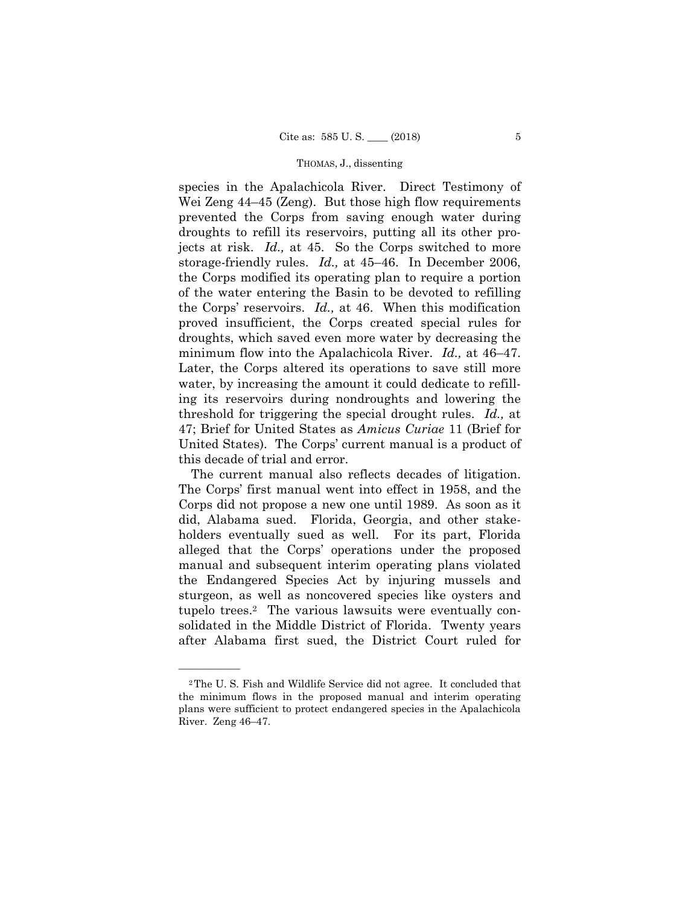species in the Apalachicola River. Direct Testimony of Wei Zeng  $44-45$  (Zeng). But those high flow requirements prevented the Corps from saving enough water during droughts to refill its reservoirs, putting all its other projects at risk. *Id.,* at 45. So the Corps switched to more storage-friendly rules. *Id.,* at 45–46. In December 2006, the Corps modified its operating plan to require a portion of the water entering the Basin to be devoted to refilling the Corps' reservoirs. *Id.,* at 46. When this modification proved insufficient, the Corps created special rules for droughts, which saved even more water by decreasing the minimum flow into the Apalachicola River. *Id.,* at 46–47. Later, the Corps altered its operations to save still more water, by increasing the amount it could dedicate to refilling its reservoirs during nondroughts and lowering the threshold for triggering the special drought rules. *Id.,* at 47; Brief for United States as *Amicus Curiae* 11 (Brief for United States). The Corps' current manual is a product of this decade of trial and error.

The current manual also reflects decades of litigation. The Corps' first manual went into effect in 1958, and the Corps did not propose a new one until 1989. As soon as it did, Alabama sued. Florida, Georgia, and other stakeholders eventually sued as well. For its part, Florida alleged that the Corps' operations under the proposed manual and subsequent interim operating plans violated the Endangered Species Act by injuring mussels and sturgeon, as well as noncovered species like oysters and tupelo trees.2 The various lawsuits were eventually consolidated in the Middle District of Florida. Twenty years after Alabama first sued, the District Court ruled for

 River. Zeng 46–47. 2The U. S. Fish and Wildlife Service did not agree. It concluded that the minimum flows in the proposed manual and interim operating plans were sufficient to protect endangered species in the Apalachicola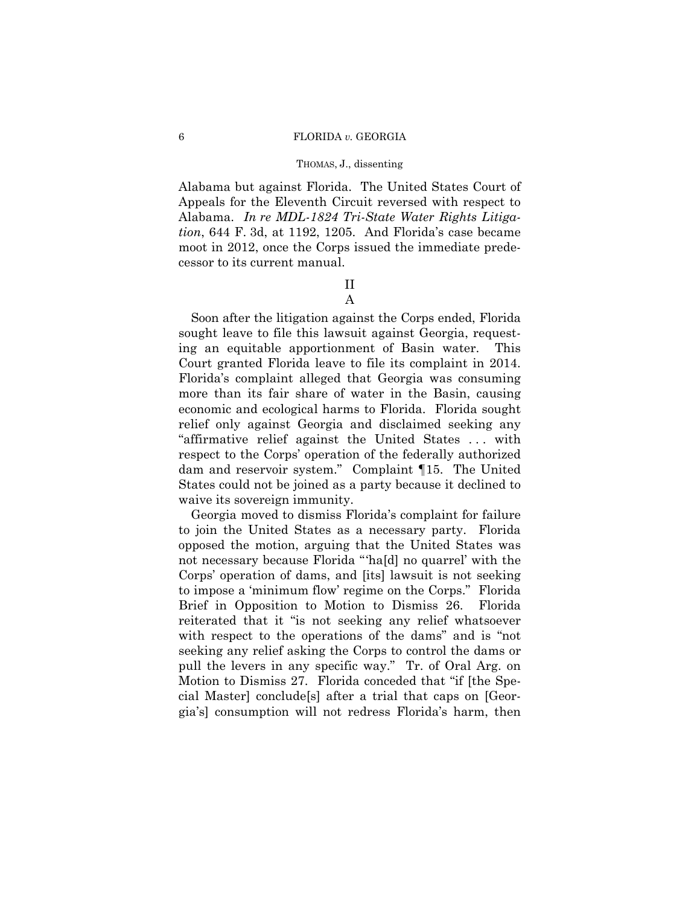Alabama but against Florida. The United States Court of Appeals for the Eleventh Circuit reversed with respect to Alabama. *In re MDL-1824 Tri-State Water Rights Litigation*, 644 F. 3d, at 1192, 1205. And Florida's case became moot in 2012, once the Corps issued the immediate predecessor to its current manual.

# II A

Soon after the litigation against the Corps ended, Florida sought leave to file this lawsuit against Georgia, requesting an equitable apportionment of Basin water. This Court granted Florida leave to file its complaint in 2014. Florida's complaint alleged that Georgia was consuming more than its fair share of water in the Basin, causing economic and ecological harms to Florida. Florida sought relief only against Georgia and disclaimed seeking any "affirmative relief against the United States . . . with respect to the Corps' operation of the federally authorized dam and reservoir system." Complaint ¶15. The United States could not be joined as a party because it declined to waive its sovereign immunity.

Georgia moved to dismiss Florida's complaint for failure to join the United States as a necessary party. Florida opposed the motion, arguing that the United States was not necessary because Florida "'ha[d] no quarrel' with the Corps' operation of dams, and [its] lawsuit is not seeking to impose a 'minimum flow' regime on the Corps." Florida Brief in Opposition to Motion to Dismiss 26. Florida reiterated that it "is not seeking any relief whatsoever with respect to the operations of the dams" and is "not seeking any relief asking the Corps to control the dams or pull the levers in any specific way." Tr. of Oral Arg. on Motion to Dismiss 27. Florida conceded that "if [the Special Master] conclude[s] after a trial that caps on [Georgia's] consumption will not redress Florida's harm, then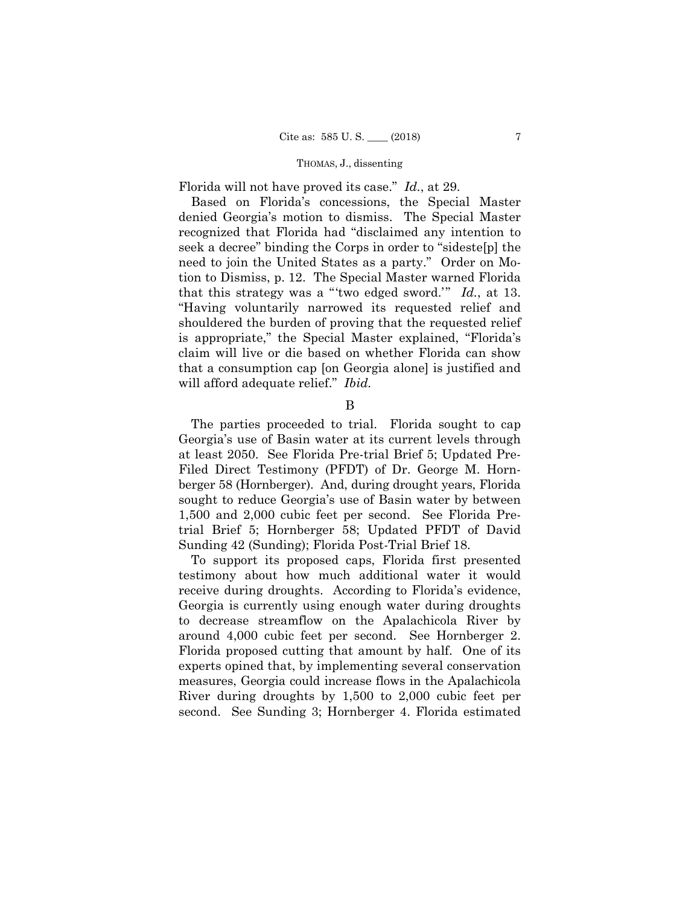Florida will not have proved its case." *Id.*, at 29.

Based on Florida's concessions, the Special Master denied Georgia's motion to dismiss. The Special Master recognized that Florida had "disclaimed any intention to seek a decree" binding the Corps in order to "sideste[p] the need to join the United States as a party." Order on Motion to Dismiss, p. 12. The Special Master warned Florida that this strategy was a "'two edged sword.'" *Id.*, at 13. "Having voluntarily narrowed its requested relief and shouldered the burden of proving that the requested relief is appropriate," the Special Master explained, "Florida's claim will live or die based on whether Florida can show that a consumption cap [on Georgia alone] is justified and will afford adequate relief." *Ibid.* 

B

 berger 58 (Hornberger). And, during drought years, Florida The parties proceeded to trial. Florida sought to cap Georgia's use of Basin water at its current levels through at least 2050. See Florida Pre-trial Brief 5; Updated Pre-Filed Direct Testimony (PFDT) of Dr. George M. Hornsought to reduce Georgia's use of Basin water by between 1,500 and 2,000 cubic feet per second. See Florida Pretrial Brief 5; Hornberger 58; Updated PFDT of David Sunding 42 (Sunding); Florida Post-Trial Brief 18.

To support its proposed caps, Florida first presented testimony about how much additional water it would receive during droughts. According to Florida's evidence, Georgia is currently using enough water during droughts to decrease streamflow on the Apalachicola River by around 4,000 cubic feet per second. See Hornberger 2. Florida proposed cutting that amount by half. One of its experts opined that, by implementing several conservation measures, Georgia could increase flows in the Apalachicola River during droughts by 1,500 to 2,000 cubic feet per second. See Sunding 3; Hornberger 4. Florida estimated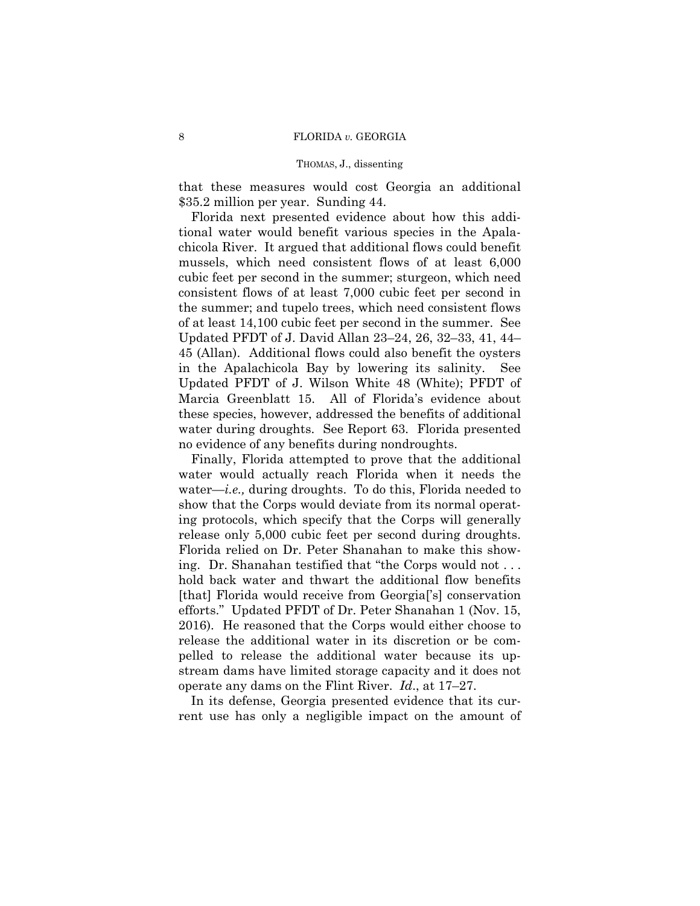that these measures would cost Georgia an additional \$35.2 million per year. Sunding 44.

Florida next presented evidence about how this additional water would benefit various species in the Apalachicola River. It argued that additional flows could benefit mussels, which need consistent flows of at least 6,000 cubic feet per second in the summer; sturgeon, which need consistent flows of at least 7,000 cubic feet per second in the summer; and tupelo trees, which need consistent flows of at least 14,100 cubic feet per second in the summer. See Updated PFDT of J. David Allan 23–24, 26, 32–33, 41, 44– 45 (Allan). Additional flows could also benefit the oysters in the Apalachicola Bay by lowering its salinity. See Updated PFDT of J. Wilson White 48 (White); PFDT of Marcia Greenblatt 15. All of Florida's evidence about these species, however, addressed the benefits of additional water during droughts. See Report 63. Florida presented no evidence of any benefits during nondroughts.

Finally, Florida attempted to prove that the additional water would actually reach Florida when it needs the water—*i.e.,* during droughts. To do this, Florida needed to show that the Corps would deviate from its normal operating protocols, which specify that the Corps will generally release only 5,000 cubic feet per second during droughts. Florida relied on Dr. Peter Shanahan to make this showing. Dr. Shanahan testified that "the Corps would not . . . hold back water and thwart the additional flow benefits [that] Florida would receive from Georgia['s] conservation efforts." Updated PFDT of Dr. Peter Shanahan 1 (Nov. 15, 2016). He reasoned that the Corps would either choose to release the additional water in its discretion or be compelled to release the additional water because its upstream dams have limited storage capacity and it does not operate any dams on the Flint River. *Id*., at 17–27.

In its defense, Georgia presented evidence that its current use has only a negligible impact on the amount of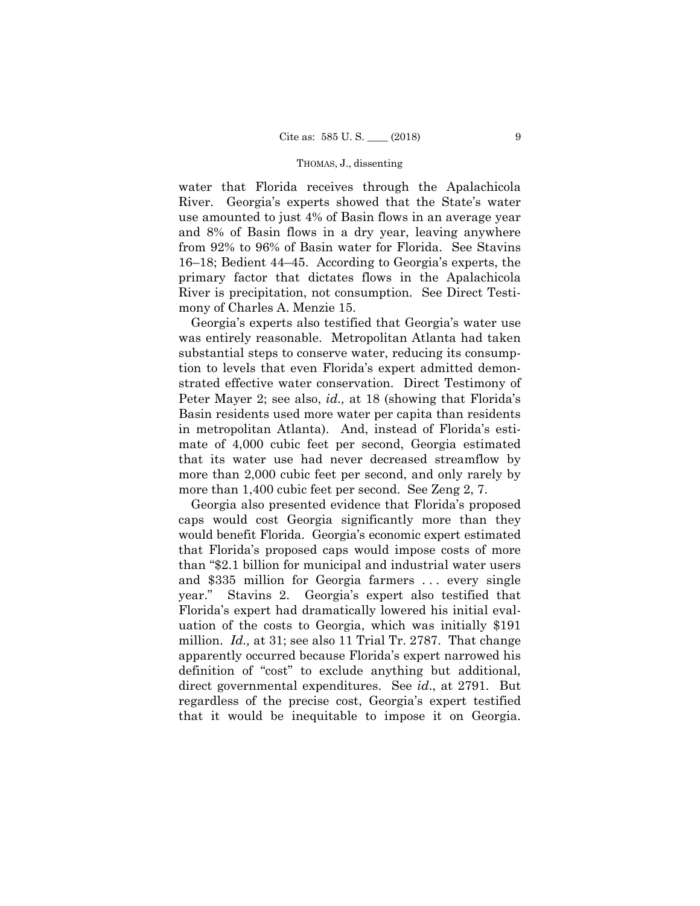water that Florida receives through the Apalachicola River. Georgia's experts showed that the State's water use amounted to just 4% of Basin flows in an average year and 8% of Basin flows in a dry year, leaving anywhere from 92% to 96% of Basin water for Florida. See Stavins 16–18; Bedient 44–45. According to Georgia's experts, the primary factor that dictates flows in the Apalachicola River is precipitation, not consumption. See Direct Testimony of Charles A. Menzie 15.

Georgia's experts also testified that Georgia's water use was entirely reasonable. Metropolitan Atlanta had taken substantial steps to conserve water, reducing its consumption to levels that even Florida's expert admitted demonstrated effective water conservation. Direct Testimony of Peter Mayer 2; see also, *id.,* at 18 (showing that Florida's Basin residents used more water per capita than residents in metropolitan Atlanta). And, instead of Florida's estimate of 4,000 cubic feet per second, Georgia estimated that its water use had never decreased streamflow by more than 2,000 cubic feet per second, and only rarely by more than 1,400 cubic feet per second. See Zeng 2, 7.

Georgia also presented evidence that Florida's proposed caps would cost Georgia significantly more than they would benefit Florida. Georgia's economic expert estimated that Florida's proposed caps would impose costs of more than "\$2.1 billion for municipal and industrial water users and \$335 million for Georgia farmers . . . every single year." Stavins 2. Georgia's expert also testified that Florida's expert had dramatically lowered his initial evaluation of the costs to Georgia, which was initially \$191 million. *Id.,* at 31; see also 11 Trial Tr. 2787. That change apparently occurred because Florida's expert narrowed his definition of "cost" to exclude anything but additional, direct governmental expenditures. See *id*., at 2791. But regardless of the precise cost, Georgia's expert testified that it would be inequitable to impose it on Georgia.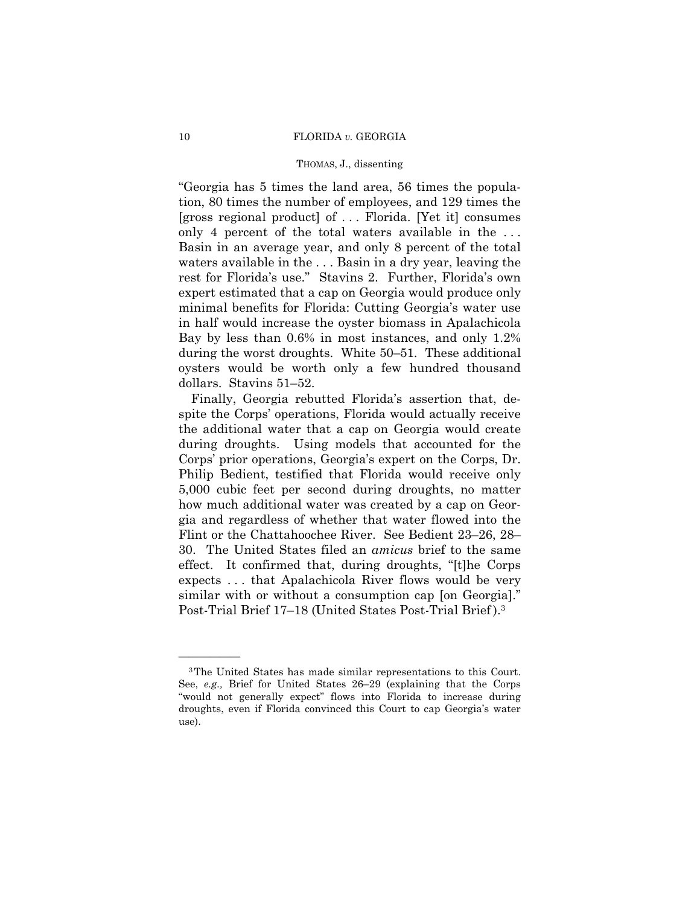### 10 FLORIDA *v.* GEORGIA

## THOMAS, J., dissenting

"Georgia has 5 times the land area, 56 times the population, 80 times the number of employees, and 129 times the [gross regional product] of . . . Florida. [Yet it] consumes only 4 percent of the total waters available in the . . . Basin in an average year, and only 8 percent of the total waters available in the . . . Basin in a dry year, leaving the rest for Florida's use." Stavins 2. Further, Florida's own expert estimated that a cap on Georgia would produce only minimal benefits for Florida: Cutting Georgia's water use in half would increase the oyster biomass in Apalachicola Bay by less than 0.6% in most instances, and only 1.2% during the worst droughts. White 50–51. These additional oysters would be worth only a few hundred thousand dollars. Stavins 51–52.

Finally, Georgia rebutted Florida's assertion that, despite the Corps' operations, Florida would actually receive the additional water that a cap on Georgia would create during droughts. Using models that accounted for the Corps' prior operations, Georgia's expert on the Corps, Dr. Philip Bedient, testified that Florida would receive only 5,000 cubic feet per second during droughts, no matter how much additional water was created by a cap on Georgia and regardless of whether that water flowed into the Flint or the Chattahoochee River. See Bedient 23–26, 28– 30. The United States filed an *amicus* brief to the same effect. It confirmed that, during droughts, "[t]he Corps expects . . . that Apalachicola River flows would be very similar with or without a consumption cap [on Georgia]." Post-Trial Brief 17–18 (United States Post-Trial Brief).<sup>3</sup>

<sup>3</sup>The United States has made similar representations to this Court. See, *e.g.,* Brief for United States 26–29 (explaining that the Corps "would not generally expect" flows into Florida to increase during droughts, even if Florida convinced this Court to cap Georgia's water use).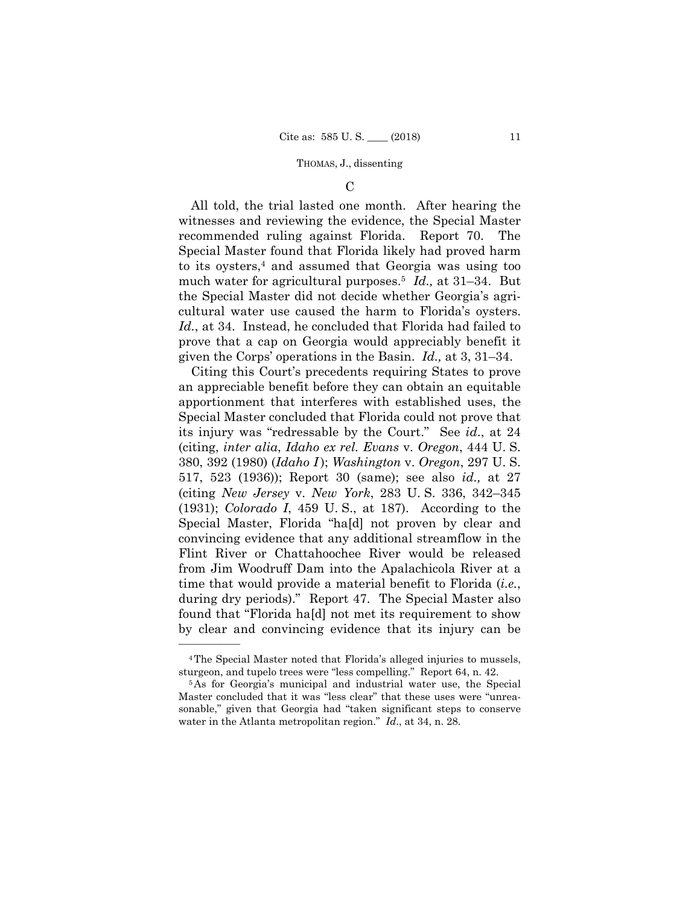## $\mathcal{C}$

 much water for agricultural purposes.5 *Id.,* at 31–34. But All told, the trial lasted one month. After hearing the witnesses and reviewing the evidence, the Special Master recommended ruling against Florida. Report 70. The Special Master found that Florida likely had proved harm to its oysters,<sup>4</sup> and assumed that Georgia was using too the Special Master did not decide whether Georgia's agricultural water use caused the harm to Florida's oysters. *Id.*, at 34. Instead, he concluded that Florida had failed to prove that a cap on Georgia would appreciably benefit it given the Corps' operations in the Basin. *Id.,* at 3, 31–34.

Citing this Court's precedents requiring States to prove an appreciable benefit before they can obtain an equitable apportionment that interferes with established uses, the Special Master concluded that Florida could not prove that its injury was "redressable by the Court." See *id*., at 24 (citing, *inter alia*, *Idaho ex rel. Evans* v. *Oregon*, 444 U. S. 380, 392 (1980) (*Idaho I* ); *Washington* v. *Oregon*, 297 U. S. 517, 523 (1936)); Report 30 (same); see also *id.,* at 27 (citing *New Jersey* v. *New York*, 283 U. S. 336, 342–345 (1931); *Colorado I*, 459 U. S., at 187). According to the Special Master, Florida "ha[d] not proven by clear and convincing evidence that any additional streamflow in the Flint River or Chattahoochee River would be released from Jim Woodruff Dam into the Apalachicola River at a time that would provide a material benefit to Florida (*i.e.*, during dry periods)." Report 47. The Special Master also found that "Florida ha[d] not met its requirement to show by clear and convincing evidence that its injury can be

<sup>4</sup>The Special Master noted that Florida's alleged injuries to mussels,

sturgeon, and tupelo trees were "less compelling." Report 64, n. 42. 5As for Georgia's municipal and industrial water use, the Special Master concluded that it was "less clear" that these uses were "unreasonable," given that Georgia had "taken significant steps to conserve water in the Atlanta metropolitan region." *Id*., at 34, n. 28.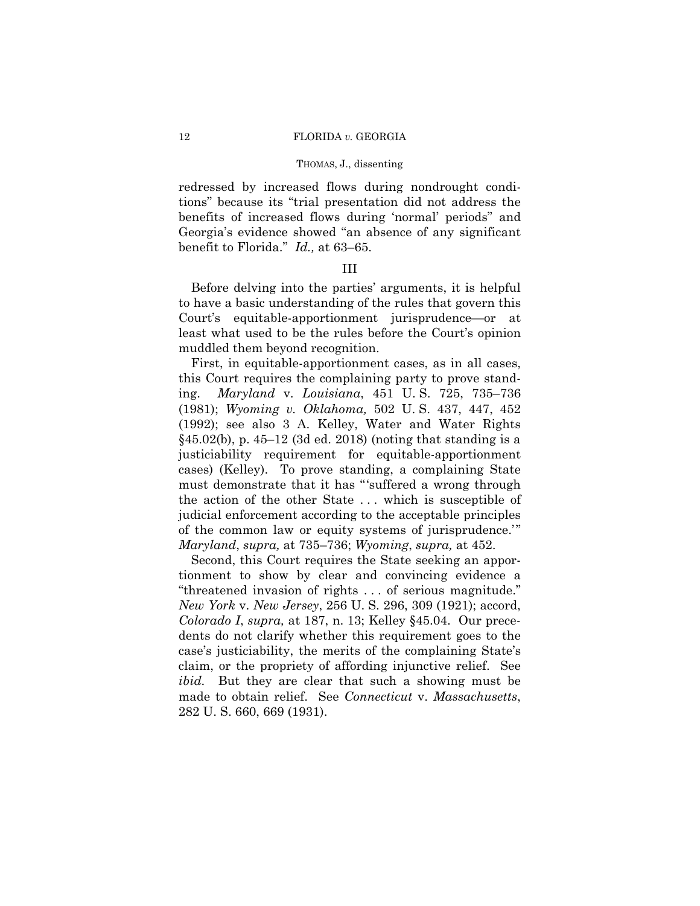redressed by increased flows during nondrought conditions" because its "trial presentation did not address the benefits of increased flows during 'normal' periods" and Georgia's evidence showed "an absence of any significant benefit to Florida." *Id.,* at 63–65.

# III

Before delving into the parties' arguments, it is helpful to have a basic understanding of the rules that govern this Court's equitable-apportionment jurisprudence—or at least what used to be the rules before the Court's opinion muddled them beyond recognition.

First, in equitable-apportionment cases, as in all cases, this Court requires the complaining party to prove standing. *Maryland* v. *Louisiana*, 451 U. S. 725, 735–736 (1981); *Wyoming v. Oklahoma,* 502 U. S. 437, 447, 452 (1992); see also 3 A. Kelley, Water and Water Rights §45.02(b), p. 45–12 (3d ed. 2018) (noting that standing is a justiciability requirement for equitable-apportionment cases) (Kelley). To prove standing, a complaining State must demonstrate that it has "'suffered a wrong through the action of the other State . . . which is susceptible of judicial enforcement according to the acceptable principles of the common law or equity systems of jurisprudence.'" *Maryland*, *supra,* at 735–736; *Wyoming*, *supra,* at 452.

Second, this Court requires the State seeking an apportionment to show by clear and convincing evidence a "threatened invasion of rights . . . of serious magnitude." *New York* v. *New Jersey*, 256 U. S. 296, 309 (1921); accord, *Colorado I*, *supra,* at 187, n. 13; Kelley §45.04. Our precedents do not clarify whether this requirement goes to the case's justiciability, the merits of the complaining State's claim, or the propriety of affording injunctive relief. See *ibid.* But they are clear that such a showing must be made to obtain relief. See *Connecticut* v. *Massachusetts*, 282 U. S. 660, 669 (1931).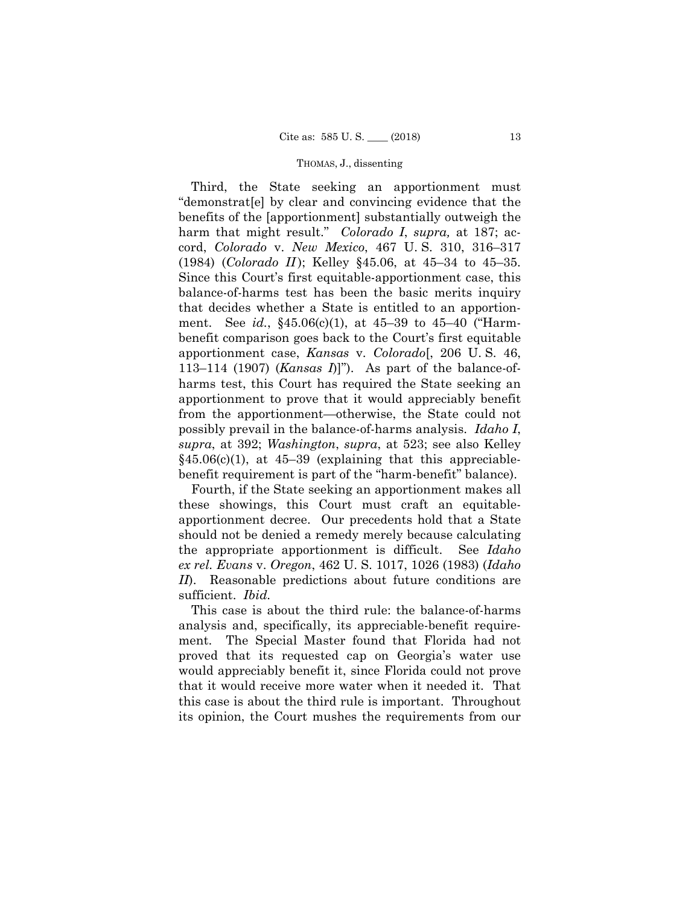Third, the State seeking an apportionment must "demonstrat[e] by clear and convincing evidence that the benefits of the [apportionment] substantially outweigh the harm that might result." *Colorado I*, *supra,* at 187; accord, *Colorado* v. *New Mexico*, 467 U. S. 310, 316–317 (1984) (*Colorado II*); Kelley §45.06, at 45–34 to 45–35. Since this Court's first equitable-apportionment case, this balance-of-harms test has been the basic merits inquiry that decides whether a State is entitled to an apportionment. See *id.*, §45.06(c)(1), at 45–39 to 45–40 ("Harmbenefit comparison goes back to the Court's first equitable apportionment case, *Kansas* v. *Colorado*[, 206 U. S. 46, 113–114 (1907) (*Kansas I*)]"). As part of the balance-ofharms test, this Court has required the State seeking an apportionment to prove that it would appreciably benefit from the apportionment—otherwise, the State could not possibly prevail in the balance-of-harms analysis. *Idaho I*, *supra*, at 392; *Washington*, *supra*, at 523; see also Kelley  $§45.06(c)(1)$ , at 45–39 (explaining that this appreciablebenefit requirement is part of the "harm-benefit" balance).

Fourth, if the State seeking an apportionment makes all these showings, this Court must craft an equitableapportionment decree. Our precedents hold that a State should not be denied a remedy merely because calculating the appropriate apportionment is difficult. See *Idaho ex rel. Evans* v. *Oregon*, 462 U. S. 1017, 1026 (1983) (*Idaho II*). Reasonable predictions about future conditions are sufficient. *Ibid.* 

This case is about the third rule: the balance-of-harms analysis and, specifically, its appreciable-benefit requirement. The Special Master found that Florida had not proved that its requested cap on Georgia's water use would appreciably benefit it, since Florida could not prove that it would receive more water when it needed it. That this case is about the third rule is important. Throughout its opinion, the Court mushes the requirements from our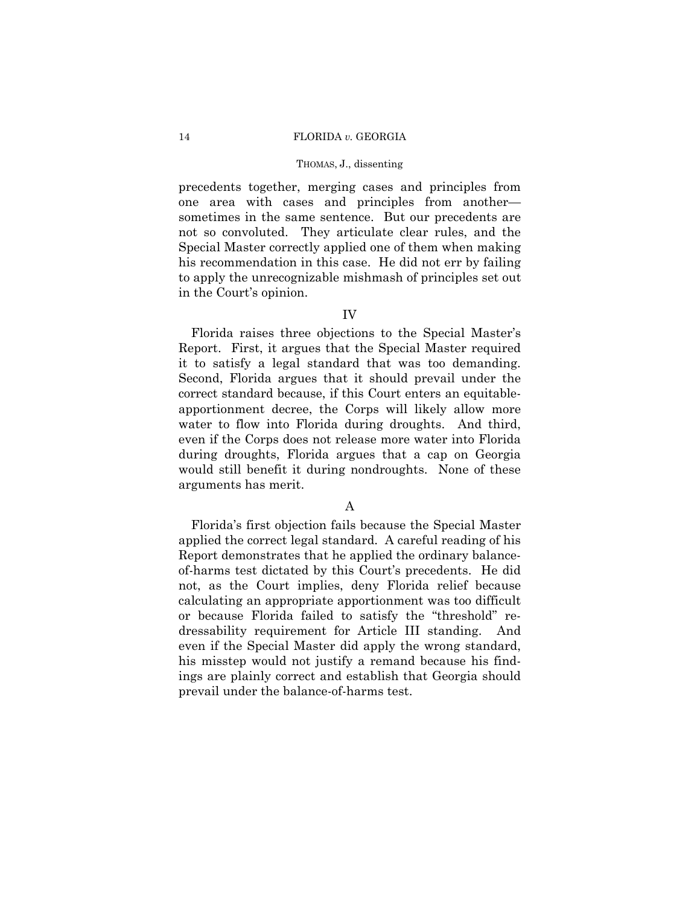precedents together, merging cases and principles from one area with cases and principles from another sometimes in the same sentence. But our precedents are not so convoluted. They articulate clear rules, and the Special Master correctly applied one of them when making his recommendation in this case. He did not err by failing to apply the unrecognizable mishmash of principles set out in the Court's opinion.

# IV

Florida raises three objections to the Special Master's Report. First, it argues that the Special Master required it to satisfy a legal standard that was too demanding. Second, Florida argues that it should prevail under the correct standard because, if this Court enters an equitableapportionment decree, the Corps will likely allow more water to flow into Florida during droughts. And third, even if the Corps does not release more water into Florida during droughts, Florida argues that a cap on Georgia would still benefit it during nondroughts. None of these arguments has merit.

# A

Florida's first objection fails because the Special Master applied the correct legal standard. A careful reading of his Report demonstrates that he applied the ordinary balanceof-harms test dictated by this Court's precedents. He did not, as the Court implies, deny Florida relief because calculating an appropriate apportionment was too difficult or because Florida failed to satisfy the "threshold" redressability requirement for Article III standing. And even if the Special Master did apply the wrong standard, his misstep would not justify a remand because his findings are plainly correct and establish that Georgia should prevail under the balance-of-harms test.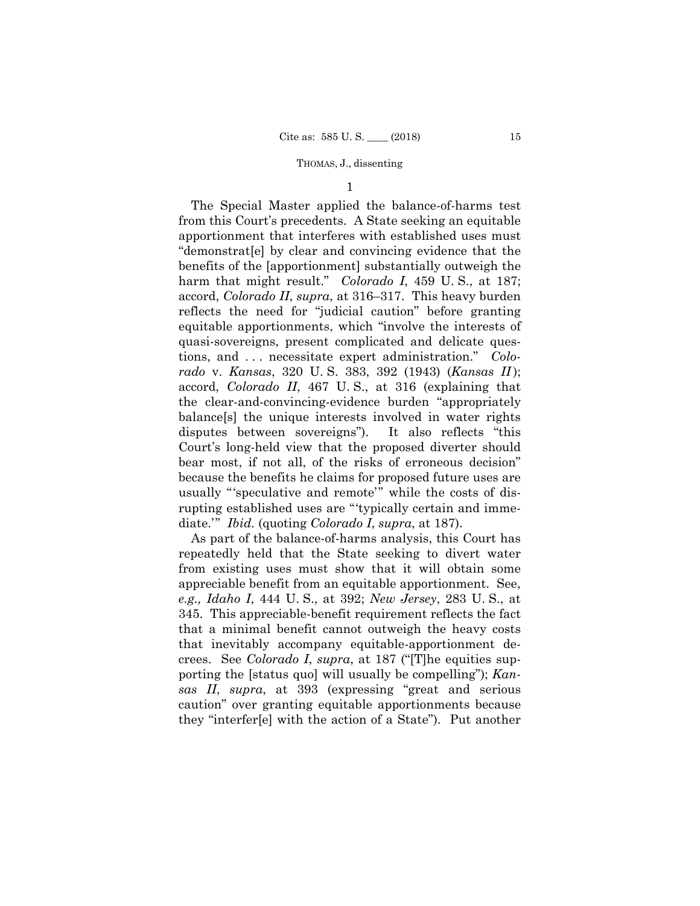1

The Special Master applied the balance-of-harms test from this Court's precedents. A State seeking an equitable apportionment that interferes with established uses must "demonstrat[e] by clear and convincing evidence that the benefits of the [apportionment] substantially outweigh the harm that might result." *Colorado I*, 459 U.S., at 187; accord, *Colorado II*, *supra*, at 316–317. This heavy burden reflects the need for "judicial caution" before granting equitable apportionments, which "involve the interests of quasi-sovereigns, present complicated and delicate questions, and . . . necessitate expert administration." *Colorado* v. *Kansas*, 320 U. S. 383, 392 (1943) (*Kansas II* ); accord, *Colorado II*, 467 U. S., at 316 (explaining that the clear-and-convincing-evidence burden "appropriately balance[s] the unique interests involved in water rights disputes between sovereigns"). It also reflects "this Court's long-held view that the proposed diverter should bear most, if not all, of the risks of erroneous decision" because the benefits he claims for proposed future uses are usually "'speculative and remote'" while the costs of disrupting established uses are "'typically certain and immediate.'" *Ibid.* (quoting *Colorado I*, *supra*, at 187).

As part of the balance-of-harms analysis, this Court has repeatedly held that the State seeking to divert water from existing uses must show that it will obtain some appreciable benefit from an equitable apportionment. See, *e.g., Idaho I*, 444 U. S., at 392; *New Jersey*, 283 U. S., at 345. This appreciable-benefit requirement reflects the fact that a minimal benefit cannot outweigh the heavy costs that inevitably accompany equitable-apportionment decrees. See *Colorado I*, *supra*, at 187 ("[T]he equities supporting the [status quo] will usually be compelling"); *Kansas II*, *supra*, at 393 (expressing "great and serious caution" over granting equitable apportionments because they "interfer[e] with the action of a State"). Put another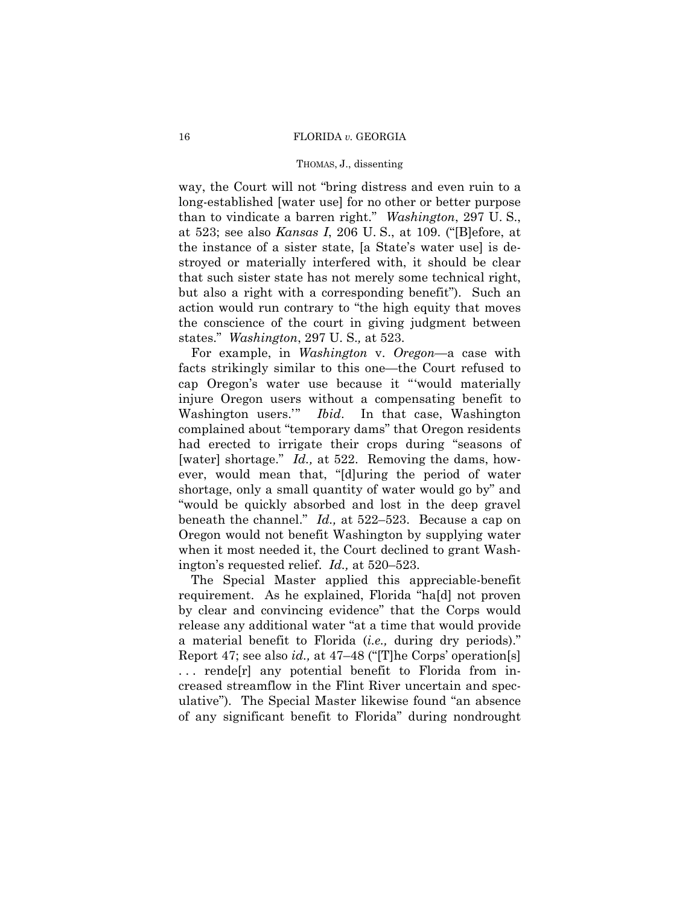## 16 FLORIDA *v.* GEORGIA

## THOMAS, J., dissenting

way, the Court will not "bring distress and even ruin to a long-established [water use] for no other or better purpose than to vindicate a barren right." *Washington*, 297 U. S., at 523; see also *Kansas I*, 206 U. S., at 109. ("[B]efore, at the instance of a sister state, [a State's water use] is destroyed or materially interfered with, it should be clear that such sister state has not merely some technical right, but also a right with a corresponding benefit"). Such an action would run contrary to "the high equity that moves the conscience of the court in giving judgment between states." *Washington*, 297 U. S.*,* at 523.

For example, in *Washington* v. *Oregon*—a case with facts strikingly similar to this one—the Court refused to cap Oregon's water use because it "'would materially injure Oregon users without a compensating benefit to Washington users.'" *Ibid*. In that case, Washington complained about "temporary dams" that Oregon residents had erected to irrigate their crops during "seasons of [water] shortage." *Id.*, at 522. Removing the dams, however, would mean that, "[d]uring the period of water shortage, only a small quantity of water would go by" and "would be quickly absorbed and lost in the deep gravel beneath the channel." *Id.,* at 522–523. Because a cap on Oregon would not benefit Washington by supplying water when it most needed it, the Court declined to grant Washington's requested relief. *Id.,* at 520–523.

The Special Master applied this appreciable-benefit requirement. As he explained, Florida "ha[d] not proven by clear and convincing evidence" that the Corps would release any additional water "at a time that would provide a material benefit to Florida (*i.e.,* during dry periods)." Report 47; see also *id.,* at 47–48 ("[T]he Corps' operation[s] . . . rende[r] any potential benefit to Florida from increased streamflow in the Flint River uncertain and speculative"). The Special Master likewise found "an absence of any significant benefit to Florida" during nondrought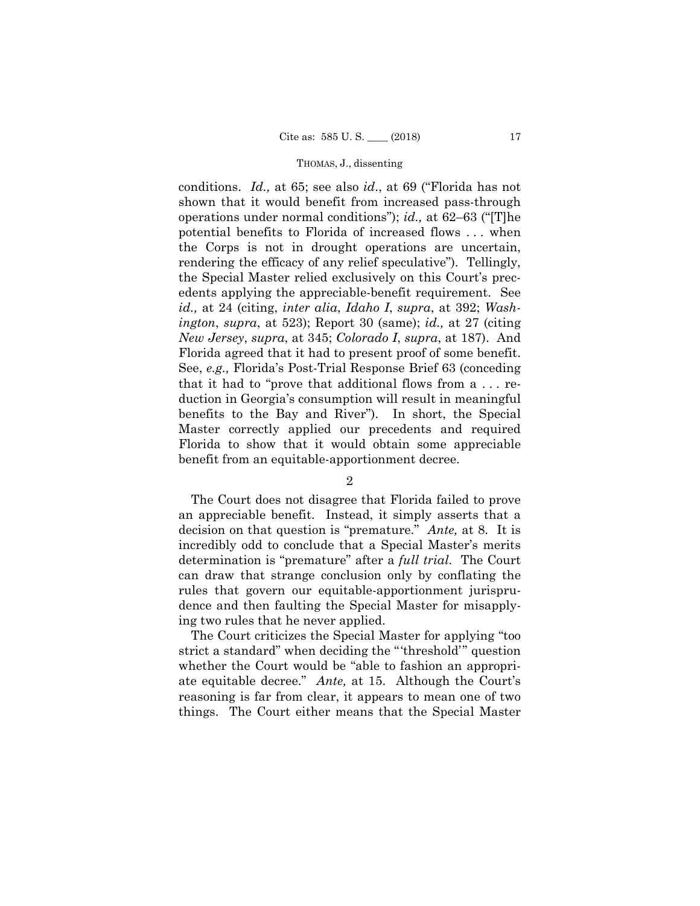conditions. *Id.,* at 65; see also *id*., at 69 ("Florida has not shown that it would benefit from increased pass-through operations under normal conditions"); *id.,* at 62–63 ("[T]he potential benefits to Florida of increased flows . . . when the Corps is not in drought operations are uncertain, rendering the efficacy of any relief speculative"). Tellingly, the Special Master relied exclusively on this Court's precedents applying the appreciable-benefit requirement. See *id.,* at 24 (citing, *inter alia*, *Idaho I*, *supra*, at 392; *Washington*, *supra*, at 523); Report 30 (same); *id.,* at 27 (citing *New Jersey*, *supra*, at 345; *Colorado I*, *supra*, at 187). And Florida agreed that it had to present proof of some benefit. See, *e.g.,* Florida's Post-Trial Response Brief 63 (conceding that it had to "prove that additional flows from a . . . reduction in Georgia's consumption will result in meaningful benefits to the Bay and River"). In short, the Special Master correctly applied our precedents and required Florida to show that it would obtain some appreciable benefit from an equitable-apportionment decree.

2

The Court does not disagree that Florida failed to prove an appreciable benefit. Instead, it simply asserts that a decision on that question is "premature." *Ante,* at 8. It is incredibly odd to conclude that a Special Master's merits determination is "premature" after a *full trial*. The Court can draw that strange conclusion only by conflating the rules that govern our equitable-apportionment jurisprudence and then faulting the Special Master for misapplying two rules that he never applied.

The Court criticizes the Special Master for applying "too strict a standard" when deciding the "'threshold'" question whether the Court would be "able to fashion an appropriate equitable decree." *Ante,* at 15. Although the Court's reasoning is far from clear, it appears to mean one of two things. The Court either means that the Special Master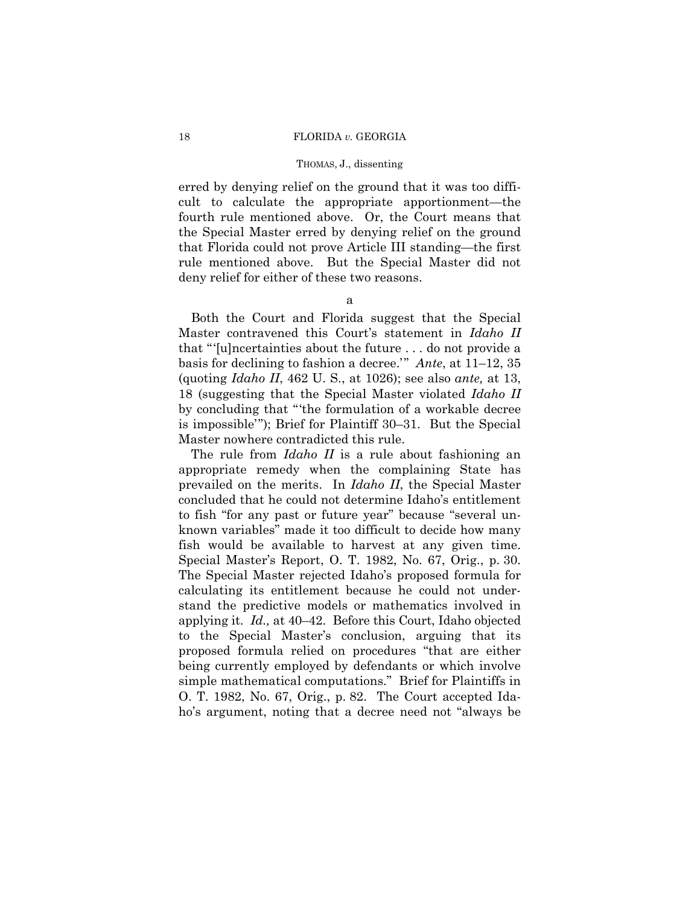erred by denying relief on the ground that it was too difficult to calculate the appropriate apportionment—the fourth rule mentioned above. Or, the Court means that the Special Master erred by denying relief on the ground that Florida could not prove Article III standing—the first rule mentioned above. But the Special Master did not deny relief for either of these two reasons.

a

Both the Court and Florida suggest that the Special Master contravened this Court's statement in *Idaho II*  that "'[u]ncertainties about the future . . . do not provide a basis for declining to fashion a decree.'" *Ante*, at 11–12, 35 (quoting *Idaho II*, 462 U. S., at 1026); see also *ante,* at 13, 18 (suggesting that the Special Master violated *Idaho II*  by concluding that "'the formulation of a workable decree is impossible'"); Brief for Plaintiff 30–31. But the Special Master nowhere contradicted this rule.

The rule from *Idaho II* is a rule about fashioning an appropriate remedy when the complaining State has prevailed on the merits. In *Idaho II*, the Special Master concluded that he could not determine Idaho's entitlement to fish "for any past or future year" because "several unknown variables" made it too difficult to decide how many fish would be available to harvest at any given time. Special Master's Report, O. T. 1982, No. 67, Orig., p. 30. The Special Master rejected Idaho's proposed formula for calculating its entitlement because he could not understand the predictive models or mathematics involved in applying it. *Id.,* at 40–42. Before this Court, Idaho objected to the Special Master's conclusion, arguing that its proposed formula relied on procedures "that are either being currently employed by defendants or which involve simple mathematical computations." Brief for Plaintiffs in O. T. 1982, No. 67, Orig., p. 82. The Court accepted Idaho's argument, noting that a decree need not "always be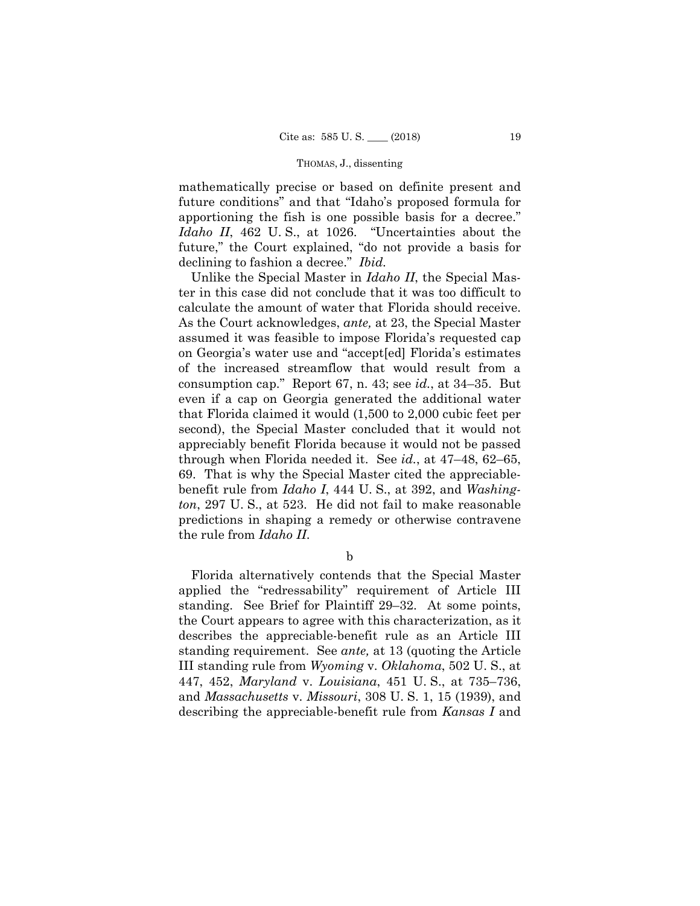mathematically precise or based on definite present and future conditions" and that "Idaho's proposed formula for apportioning the fish is one possible basis for a decree." *Idaho II*, 462 U. S., at 1026. "Uncertainties about the future," the Court explained, "do not provide a basis for declining to fashion a decree." *Ibid.* 

Unlike the Special Master in *Idaho II*, the Special Master in this case did not conclude that it was too difficult to calculate the amount of water that Florida should receive. As the Court acknowledges, *ante,* at 23, the Special Master assumed it was feasible to impose Florida's requested cap on Georgia's water use and "accept[ed] Florida's estimates of the increased streamflow that would result from a consumption cap." Report 67, n. 43; see *id.*, at 34–35. But even if a cap on Georgia generated the additional water that Florida claimed it would (1,500 to 2,000 cubic feet per second), the Special Master concluded that it would not appreciably benefit Florida because it would not be passed through when Florida needed it. See *id.*, at 47–48, 62–65, 69. That is why the Special Master cited the appreciablebenefit rule from *Idaho I*, 444 U. S., at 392, and *Washington*, 297 U. S., at 523. He did not fail to make reasonable predictions in shaping a remedy or otherwise contravene the rule from *Idaho II*.

b

 Florida alternatively contends that the Special Master applied the "redressability" requirement of Article III standing. See Brief for Plaintiff 29–32. At some points, the Court appears to agree with this characterization, as it describes the appreciable-benefit rule as an Article III standing requirement. See *ante,* at 13 (quoting the Article III standing rule from *Wyoming* v. *Oklahoma*, 502 U. S., at 447, 452, *Maryland* v. *Louisiana*, 451 U. S., at 735–736, and *Massachusetts* v. *Missouri*, 308 U. S. 1, 15 (1939), and describing the appreciable-benefit rule from *Kansas I* and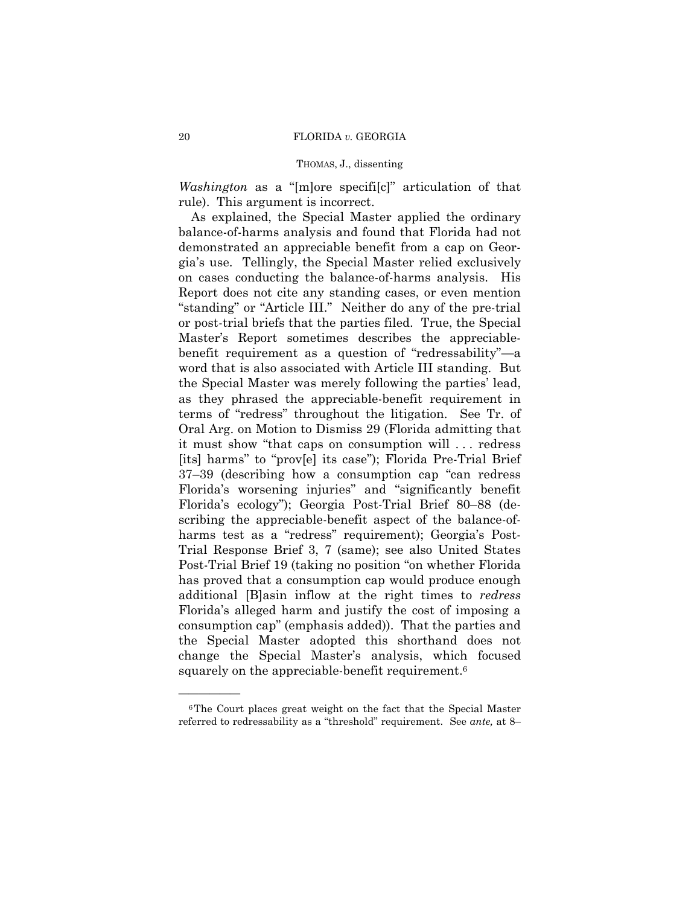*Washington* as a "[m]ore specifi[c]" articulation of that rule). This argument is incorrect.

As explained, the Special Master applied the ordinary balance-of-harms analysis and found that Florida had not demonstrated an appreciable benefit from a cap on Georgia's use. Tellingly, the Special Master relied exclusively on cases conducting the balance-of-harms analysis. His Report does not cite any standing cases, or even mention "standing" or "Article III." Neither do any of the pre-trial or post-trial briefs that the parties filed. True, the Special Master's Report sometimes describes the appreciablebenefit requirement as a question of "redressability"—a word that is also associated with Article III standing. But the Special Master was merely following the parties' lead, as they phrased the appreciable-benefit requirement in terms of "redress" throughout the litigation. See Tr. of Oral Arg. on Motion to Dismiss 29 (Florida admitting that it must show "that caps on consumption will . . . redress [its] harms" to "prov[e] its case"); Florida Pre-Trial Brief 37–39 (describing how a consumption cap "can redress Florida's worsening injuries" and "significantly benefit Florida's ecology"); Georgia Post-Trial Brief 80–88 (describing the appreciable-benefit aspect of the balance-ofharms test as a "redress" requirement); Georgia's Post-Trial Response Brief 3, 7 (same); see also United States Post-Trial Brief 19 (taking no position "on whether Florida has proved that a consumption cap would produce enough additional [B]asin inflow at the right times to *redress*  Florida's alleged harm and justify the cost of imposing a consumption cap" (emphasis added)). That the parties and the Special Master adopted this shorthand does not change the Special Master's analysis, which focused squarely on the appreciable-benefit requirement.<sup>6</sup>

<sup>6</sup>The Court places great weight on the fact that the Special Master referred to redressability as a "threshold" requirement. See *ante,* at 8–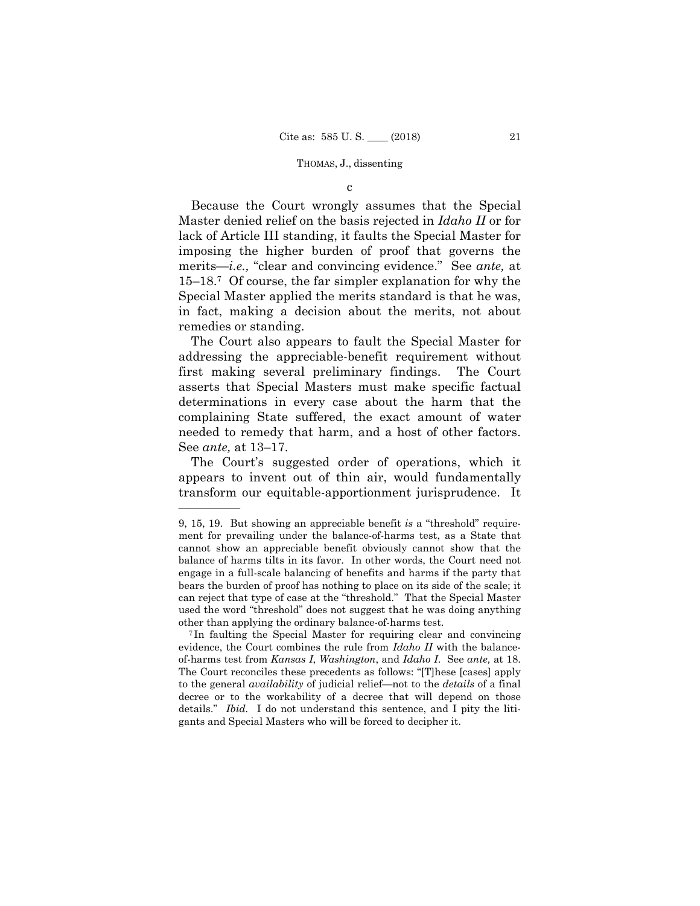c

Because the Court wrongly assumes that the Special Master denied relief on the basis rejected in *Idaho II* or for lack of Article III standing, it faults the Special Master for imposing the higher burden of proof that governs the merits—*i.e.,* "clear and convincing evidence." See *ante,* at 15–18.7 Of course, the far simpler explanation for why the Special Master applied the merits standard is that he was, in fact, making a decision about the merits, not about remedies or standing.

The Court also appears to fault the Special Master for addressing the appreciable-benefit requirement without first making several preliminary findings. The Court asserts that Special Masters must make specific factual determinations in every case about the harm that the complaining State suffered, the exact amount of water needed to remedy that harm, and a host of other factors. See *ante,* at 13–17.

The Court's suggested order of operations, which it appears to invent out of thin air, would fundamentally transform our equitable-apportionment jurisprudence. It

<sup>9, 15, 19.</sup> But showing an appreciable benefit *is* a "threshold" requirement for prevailing under the balance-of-harms test, as a State that cannot show an appreciable benefit obviously cannot show that the balance of harms tilts in its favor. In other words, the Court need not engage in a full-scale balancing of benefits and harms if the party that bears the burden of proof has nothing to place on its side of the scale; it can reject that type of case at the "threshold." That the Special Master used the word "threshold" does not suggest that he was doing anything other than applying the ordinary balance-of-harms test.

of-harms test from Kansas I, Washington, and Idaho I. See ante, at 18. <sup>7</sup> In faulting the Special Master for requiring clear and convincing evidence, the Court combines the rule from *Idaho II* with the balance-The Court reconciles these precedents as follows: "[T]hese [cases] apply to the general *availability* of judicial relief—not to the *details* of a final decree or to the workability of a decree that will depend on those details." *Ibid.* I do not understand this sentence, and I pity the litigants and Special Masters who will be forced to decipher it.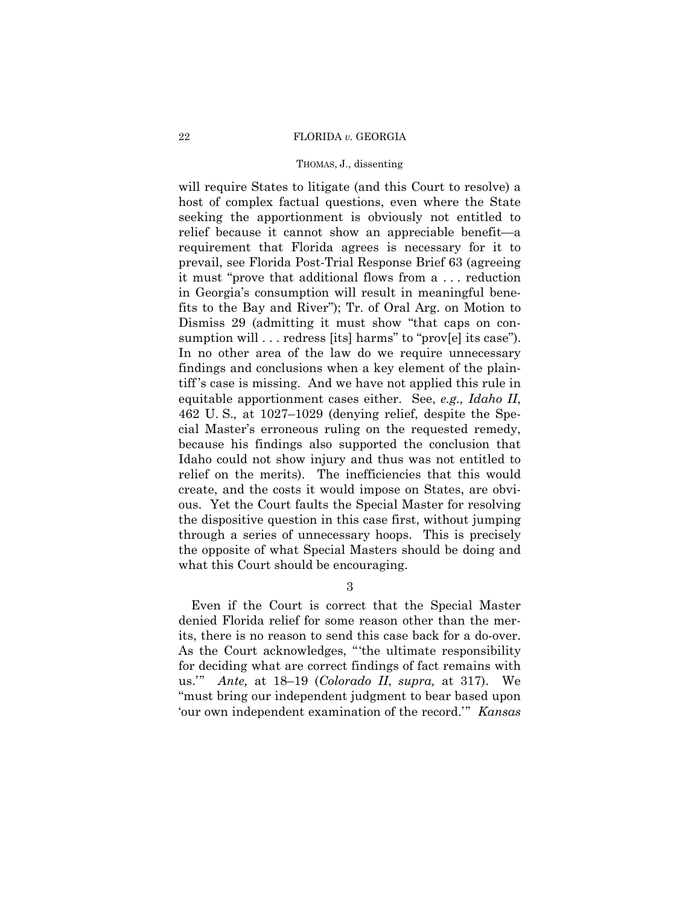### 22 FLORIDA *v.* GEORGIA

## THOMAS, J., dissenting

will require States to litigate (and this Court to resolve) a host of complex factual questions, even where the State seeking the apportionment is obviously not entitled to relief because it cannot show an appreciable benefit—a requirement that Florida agrees is necessary for it to prevail, see Florida Post-Trial Response Brief 63 (agreeing it must "prove that additional flows from a . . . reduction in Georgia's consumption will result in meaningful benefits to the Bay and River"); Tr. of Oral Arg. on Motion to Dismiss 29 (admitting it must show "that caps on consumption will . . . redress [its] harms" to "prov[e] its case"). In no other area of the law do we require unnecessary findings and conclusions when a key element of the plaintiff 's case is missing. And we have not applied this rule in equitable apportionment cases either. See, *e.g., Idaho II*, 462 U. S.*,* at 1027–1029 (denying relief, despite the Special Master's erroneous ruling on the requested remedy, because his findings also supported the conclusion that Idaho could not show injury and thus was not entitled to relief on the merits). The inefficiencies that this would create, and the costs it would impose on States, are obvious. Yet the Court faults the Special Master for resolving the dispositive question in this case first, without jumping through a series of unnecessary hoops. This is precisely the opposite of what Special Masters should be doing and what this Court should be encouraging.

3

Even if the Court is correct that the Special Master denied Florida relief for some reason other than the merits, there is no reason to send this case back for a do-over. As the Court acknowledges, "'the ultimate responsibility for deciding what are correct findings of fact remains with us.'" *Ante,* at 18–19 (*Colorado II*, *supra,* at 317). We "must bring our independent judgment to bear based upon 'our own independent examination of the record.'" *Kansas*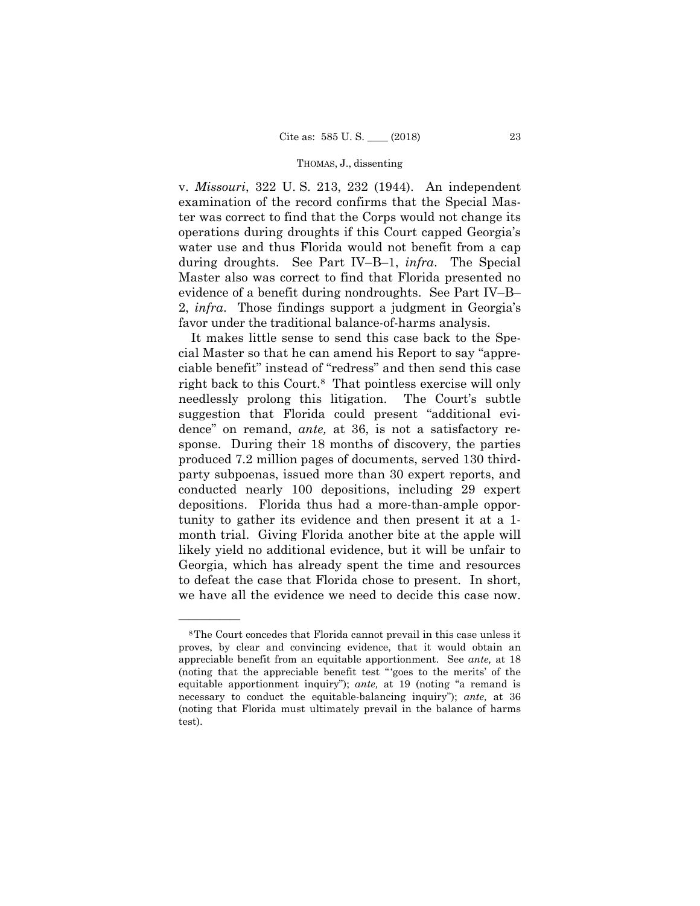2, *infra*. Those findings support a judgment in Georgia's v. *Missouri*, 322 U. S. 213, 232 (1944). An independent examination of the record confirms that the Special Master was correct to find that the Corps would not change its operations during droughts if this Court capped Georgia's water use and thus Florida would not benefit from a cap during droughts. See Part IV–B–1, *infra*. The Special Master also was correct to find that Florida presented no evidence of a benefit during nondroughts. See Part IV–B– favor under the traditional balance-of-harms analysis.

It makes little sense to send this case back to the Special Master so that he can amend his Report to say "appreciable benefit" instead of "redress" and then send this case right back to this Court.8 That pointless exercise will only needlessly prolong this litigation. The Court's subtle suggestion that Florida could present "additional evidence" on remand, *ante,* at 36, is not a satisfactory response. During their 18 months of discovery, the parties produced 7.2 million pages of documents, served 130 thirdparty subpoenas, issued more than 30 expert reports, and conducted nearly 100 depositions, including 29 expert depositions. Florida thus had a more-than-ample opportunity to gather its evidence and then present it at a 1 month trial. Giving Florida another bite at the apple will likely yield no additional evidence, but it will be unfair to Georgia, which has already spent the time and resources to defeat the case that Florida chose to present. In short, we have all the evidence we need to decide this case now.

 equitable apportionment inquiry"); *ante,* at 19 (noting "a remand is 8The Court concedes that Florida cannot prevail in this case unless it proves, by clear and convincing evidence, that it would obtain an appreciable benefit from an equitable apportionment. See *ante,* at 18 (noting that the appreciable benefit test " 'goes to the merits' of the necessary to conduct the equitable-balancing inquiry"); *ante,* at 36 (noting that Florida must ultimately prevail in the balance of harms test).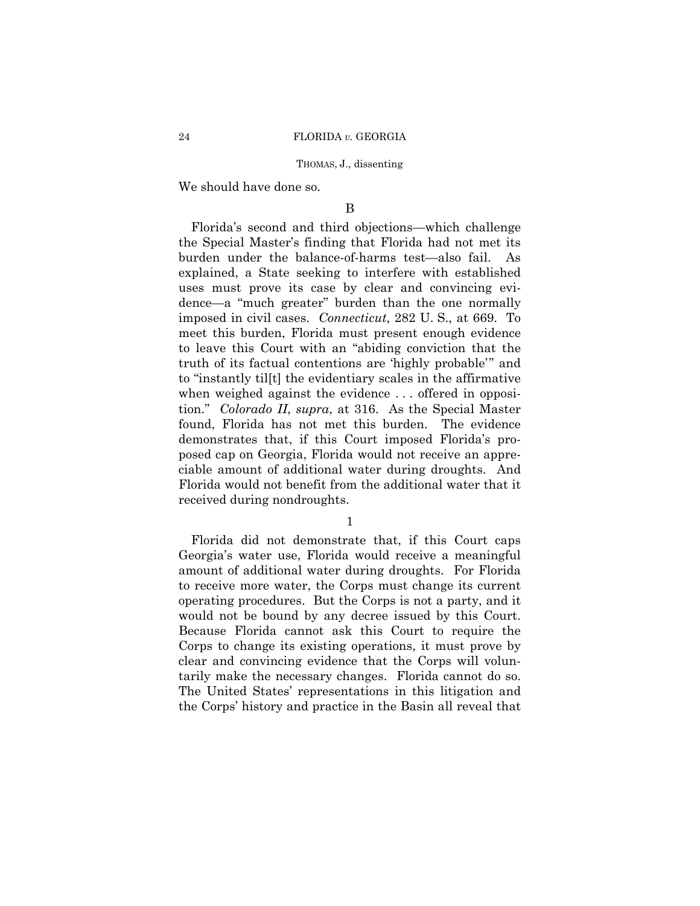We should have done so.

## B

Florida's second and third objections—which challenge the Special Master's finding that Florida had not met its burden under the balance-of-harms test—also fail. As explained, a State seeking to interfere with established uses must prove its case by clear and convincing evidence—a "much greater" burden than the one normally imposed in civil cases. *Connecticut*, 282 U. S., at 669. To meet this burden, Florida must present enough evidence to leave this Court with an "abiding conviction that the truth of its factual contentions are 'highly probable'" and to "instantly til[t] the evidentiary scales in the affirmative when weighed against the evidence . . . offered in opposition." *Colorado II*, *supra*, at 316. As the Special Master found, Florida has not met this burden. The evidence demonstrates that, if this Court imposed Florida's proposed cap on Georgia, Florida would not receive an appreciable amount of additional water during droughts. And Florida would not benefit from the additional water that it received during nondroughts.

1

 tarily make the necessary changes. Florida cannot do so. The United States' representations in this litigation and Florida did not demonstrate that, if this Court caps Georgia's water use, Florida would receive a meaningful amount of additional water during droughts. For Florida to receive more water, the Corps must change its current operating procedures. But the Corps is not a party, and it would not be bound by any decree issued by this Court. Because Florida cannot ask this Court to require the Corps to change its existing operations, it must prove by clear and convincing evidence that the Corps will volunthe Corps' history and practice in the Basin all reveal that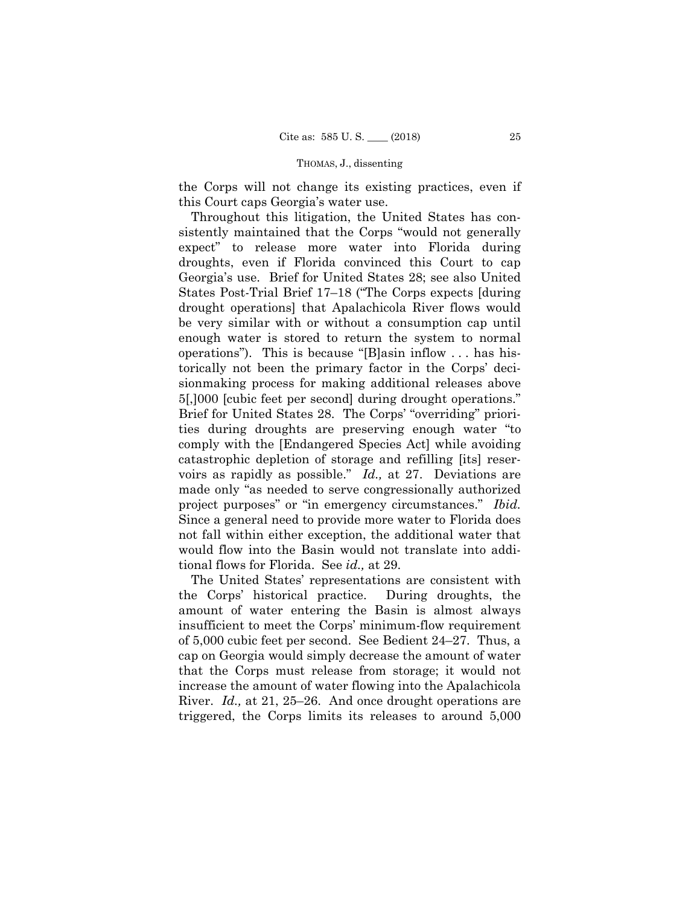the Corps will not change its existing practices, even if this Court caps Georgia's water use.

 voirs as rapidly as possible." *Id.,* at 27. Deviations are Throughout this litigation, the United States has consistently maintained that the Corps "would not generally expect" to release more water into Florida during droughts, even if Florida convinced this Court to cap Georgia's use. Brief for United States 28; see also United States Post-Trial Brief 17–18 ("The Corps expects [during drought operations] that Apalachicola River flows would be very similar with or without a consumption cap until enough water is stored to return the system to normal operations"). This is because "[B]asin inflow . . . has historically not been the primary factor in the Corps' decisionmaking process for making additional releases above 5[,]000 [cubic feet per second] during drought operations." Brief for United States 28. The Corps' "overriding" priorities during droughts are preserving enough water "to comply with the [Endangered Species Act] while avoiding catastrophic depletion of storage and refilling [its] resermade only "as needed to serve congressionally authorized project purposes" or "in emergency circumstances." *Ibid.* Since a general need to provide more water to Florida does not fall within either exception, the additional water that would flow into the Basin would not translate into additional flows for Florida. See *id.,* at 29.

The United States' representations are consistent with the Corps' historical practice. During droughts, the amount of water entering the Basin is almost always insufficient to meet the Corps' minimum-flow requirement of 5,000 cubic feet per second. See Bedient 24–27. Thus, a cap on Georgia would simply decrease the amount of water that the Corps must release from storage; it would not increase the amount of water flowing into the Apalachicola River. *Id.,* at 21, 25–26. And once drought operations are triggered, the Corps limits its releases to around 5,000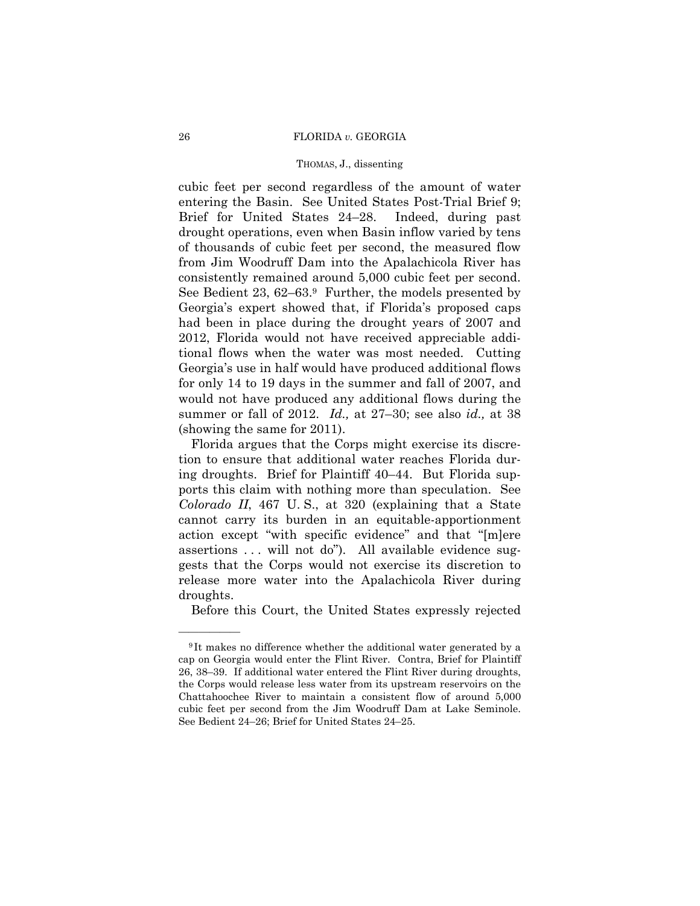### 26 FLORIDA *v.* GEORGIA

## THOMAS, J., dissenting

cubic feet per second regardless of the amount of water entering the Basin. See United States Post-Trial Brief 9; Brief for United States 24–28. Indeed, during past drought operations, even when Basin inflow varied by tens of thousands of cubic feet per second, the measured flow from Jim Woodruff Dam into the Apalachicola River has consistently remained around 5,000 cubic feet per second. See Bedient 23, 62–63.<sup>9</sup> Further, the models presented by Georgia's expert showed that, if Florida's proposed caps had been in place during the drought years of 2007 and 2012, Florida would not have received appreciable additional flows when the water was most needed. Cutting Georgia's use in half would have produced additional flows for only 14 to 19 days in the summer and fall of 2007, and would not have produced any additional flows during the summer or fall of 2012. *Id.,* at 27–30; see also *id.,* at 38 (showing the same for 2011).

Florida argues that the Corps might exercise its discretion to ensure that additional water reaches Florida during droughts. Brief for Plaintiff 40–44. But Florida supports this claim with nothing more than speculation. See *Colorado II*, 467 U. S., at 320 (explaining that a State cannot carry its burden in an equitable-apportionment action except "with specific evidence" and that "[m]ere assertions ... will not do"). All available evidence suggests that the Corps would not exercise its discretion to release more water into the Apalachicola River during droughts.

Before this Court, the United States expressly rejected

<sup>9</sup> It makes no difference whether the additional water generated by a cap on Georgia would enter the Flint River. Contra, Brief for Plaintiff 26, 38–39. If additional water entered the Flint River during droughts, the Corps would release less water from its upstream reservoirs on the Chattahoochee River to maintain a consistent flow of around 5,000 cubic feet per second from the Jim Woodruff Dam at Lake Seminole. See Bedient 24–26; Brief for United States 24–25.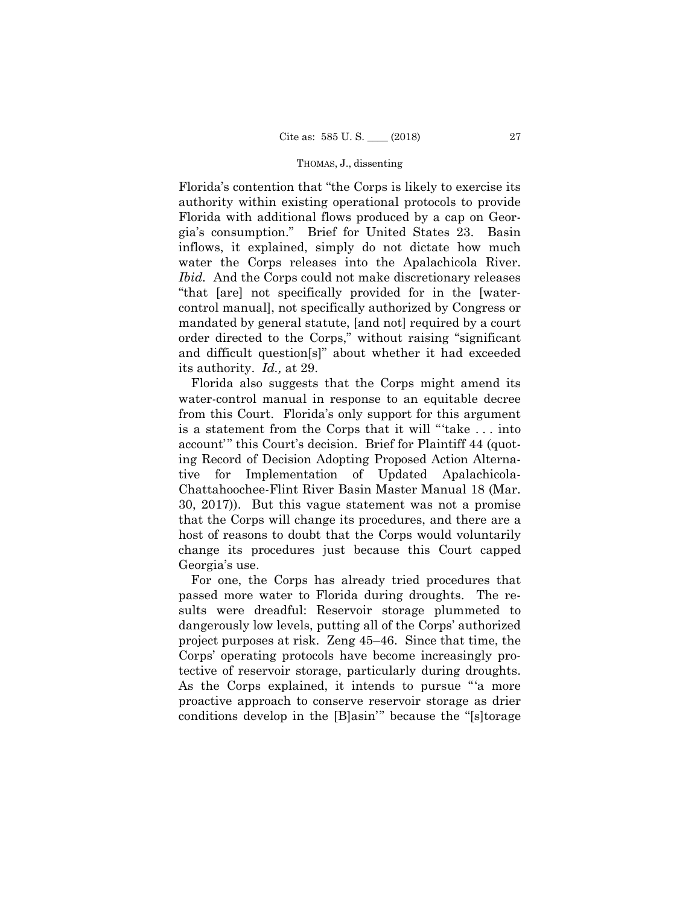Florida's contention that "the Corps is likely to exercise its authority within existing operational protocols to provide Florida with additional flows produced by a cap on Georgia's consumption." Brief for United States 23. Basin inflows, it explained, simply do not dictate how much water the Corps releases into the Apalachicola River. *Ibid.* And the Corps could not make discretionary releases "that [are] not specifically provided for in the [watercontrol manual], not specifically authorized by Congress or mandated by general statute, [and not] required by a court order directed to the Corps," without raising "significant and difficult question[s]" about whether it had exceeded its authority. *Id.,* at 29.

 ing Record of Decision Adopting Proposed Action Alterna-Florida also suggests that the Corps might amend its water-control manual in response to an equitable decree from this Court. Florida's only support for this argument is a statement from the Corps that it will "'take . . . into account'" this Court's decision. Brief for Plaintiff 44 (quottive for Implementation of Updated Apalachicola-Chattahoochee-Flint River Basin Master Manual 18 (Mar. 30, 2017)). But this vague statement was not a promise that the Corps will change its procedures, and there are a host of reasons to doubt that the Corps would voluntarily change its procedures just because this Court capped Georgia's use.

For one, the Corps has already tried procedures that passed more water to Florida during droughts. The results were dreadful: Reservoir storage plummeted to dangerously low levels, putting all of the Corps' authorized project purposes at risk. Zeng 45–46. Since that time, the Corps' operating protocols have become increasingly protective of reservoir storage, particularly during droughts. As the Corps explained, it intends to pursue "'a more proactive approach to conserve reservoir storage as drier conditions develop in the [B]asin'" because the "[s]torage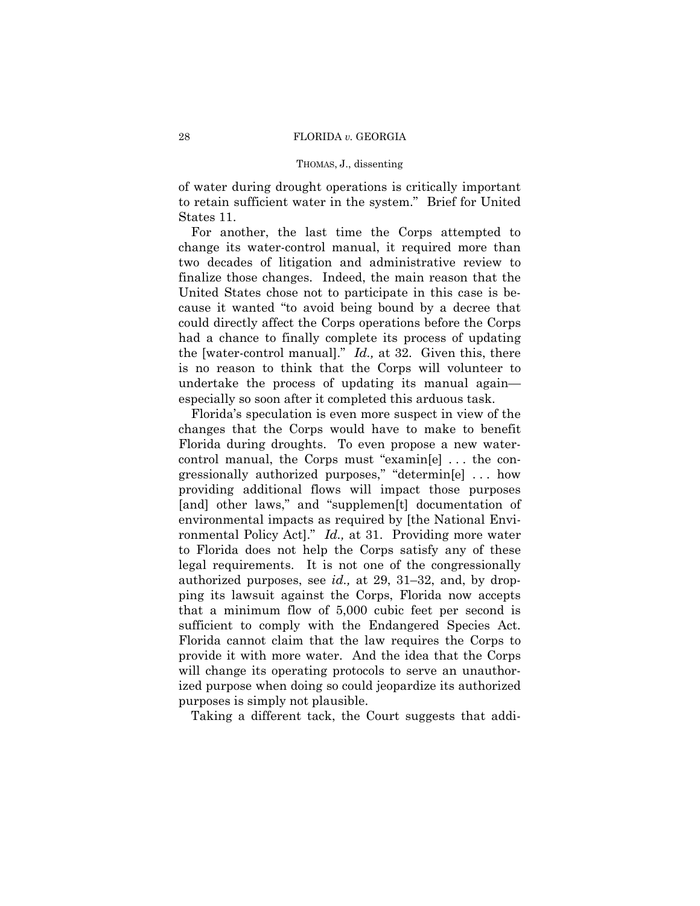of water during drought operations is critically important to retain sufficient water in the system." Brief for United States 11.

For another, the last time the Corps attempted to change its water-control manual, it required more than two decades of litigation and administrative review to finalize those changes. Indeed, the main reason that the United States chose not to participate in this case is because it wanted "to avoid being bound by a decree that could directly affect the Corps operations before the Corps had a chance to finally complete its process of updating the [water-control manual]." *Id.,* at 32. Given this, there is no reason to think that the Corps will volunteer to undertake the process of updating its manual again especially so soon after it completed this arduous task.

 ronmental Policy Act]." *Id.,* at 31. Providing more water Florida's speculation is even more suspect in view of the changes that the Corps would have to make to benefit Florida during droughts. To even propose a new watercontrol manual, the Corps must "examin[e] . . . the congressionally authorized purposes," "determin[e] . . . how providing additional flows will impact those purposes [and] other laws," and "supplemen[t] documentation of environmental impacts as required by [the National Envito Florida does not help the Corps satisfy any of these legal requirements. It is not one of the congressionally authorized purposes, see *id.,* at 29, 31–32, and, by dropping its lawsuit against the Corps, Florida now accepts that a minimum flow of 5,000 cubic feet per second is sufficient to comply with the Endangered Species Act. Florida cannot claim that the law requires the Corps to provide it with more water. And the idea that the Corps will change its operating protocols to serve an unauthorized purpose when doing so could jeopardize its authorized purposes is simply not plausible.

Taking a different tack, the Court suggests that addi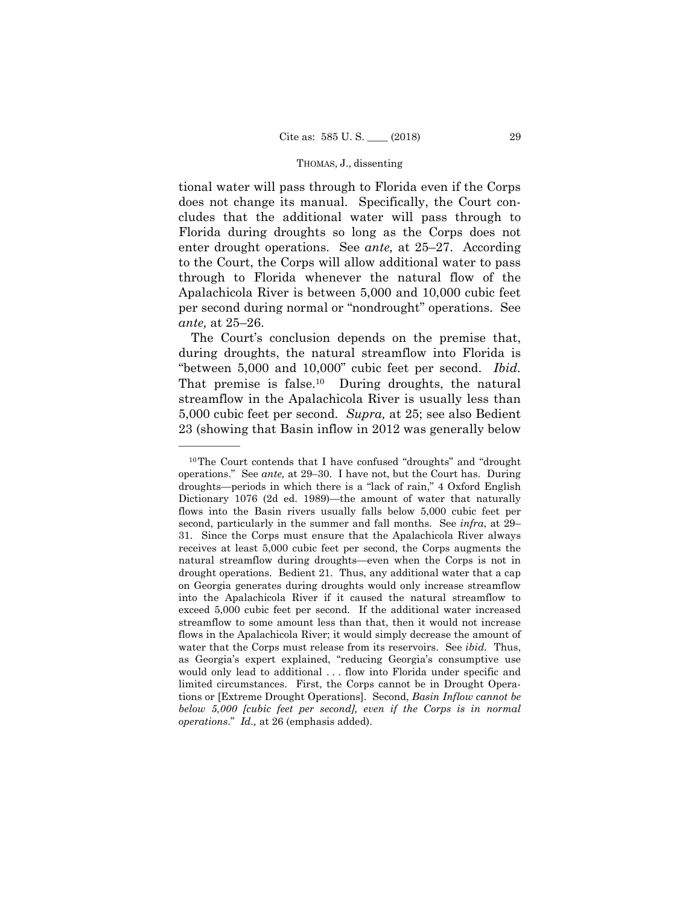tional water will pass through to Florida even if the Corps does not change its manual. Specifically, the Court concludes that the additional water will pass through to Florida during droughts so long as the Corps does not enter drought operations. See *ante,* at 25–27. According to the Court, the Corps will allow additional water to pass through to Florida whenever the natural flow of the Apalachicola River is between 5,000 and 10,000 cubic feet per second during normal or "nondrought" operations. See *ante,* at 25–26.

The Court's conclusion depends on the premise that, during droughts, the natural streamflow into Florida is "between 5,000 and 10,000" cubic feet per second. *Ibid.* That premise is false.10 During droughts, the natural streamflow in the Apalachicola River is usually less than 5,000 cubic feet per second. *Supra,* at 25; see also Bedient 23 (showing that Basin inflow in 2012 was generally below

<sup>10</sup>The Court contends that I have confused "droughts" and "drought operations." See *ante,* at 29–30. I have not, but the Court has. During droughts—periods in which there is a "lack of rain," 4 Oxford English Dictionary 1076 (2d ed. 1989)—the amount of water that naturally flows into the Basin rivers usually falls below 5,000 cubic feet per second, particularly in the summer and fall months. See *infra*, at 29– 31. Since the Corps must ensure that the Apalachicola River always receives at least 5,000 cubic feet per second, the Corps augments the natural streamflow during droughts—even when the Corps is not in drought operations. Bedient 21. Thus, any additional water that a cap on Georgia generates during droughts would only increase streamflow into the Apalachicola River if it caused the natural streamflow to exceed 5,000 cubic feet per second. If the additional water increased streamflow to some amount less than that, then it would not increase flows in the Apalachicola River; it would simply decrease the amount of water that the Corps must release from its reservoirs. See *ibid.* Thus, as Georgia's expert explained, "reducing Georgia's consumptive use would only lead to additional . . . flow into Florida under specific and limited circumstances. First, the Corps cannot be in Drought Operations or [Extreme Drought Operations]. Second, *Basin Inflow cannot be below 5,000 [cubic feet per second], even if the Corps is in normal operations*." *Id.,* at 26 (emphasis added).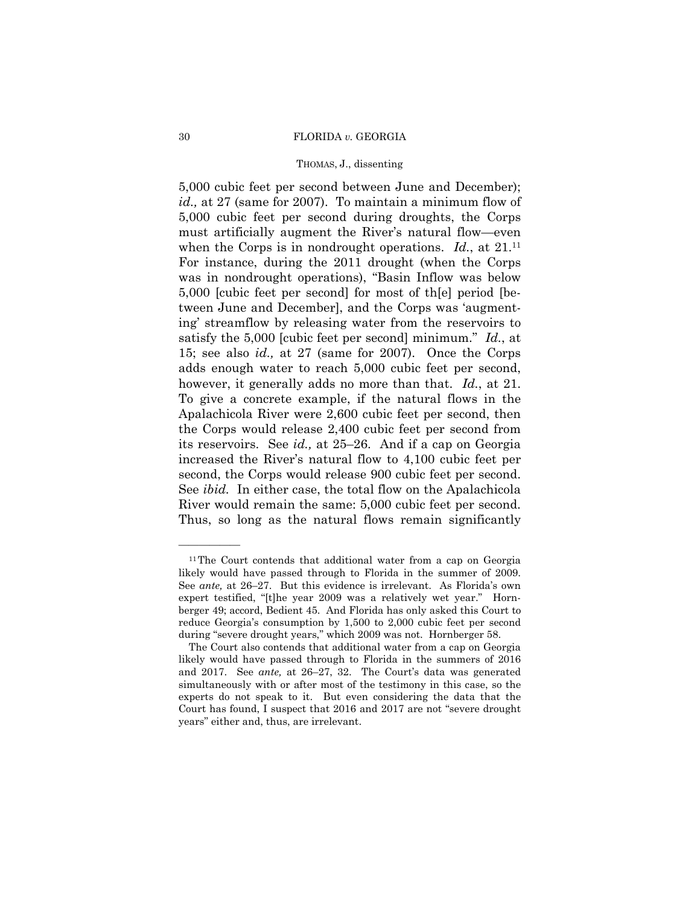### 30 FLORIDA *v.* GEORGIA

## THOMAS, J., dissenting

when the Corps is in nondrought operations. *Id.*, at 21.<sup>11</sup> 5,000 cubic feet per second between June and December); *id.,* at 27 (same for 2007). To maintain a minimum flow of 5,000 cubic feet per second during droughts, the Corps must artificially augment the River's natural flow—even For instance, during the 2011 drought (when the Corps was in nondrought operations), "Basin Inflow was below 5,000 [cubic feet per second] for most of th[e] period [between June and December], and the Corps was 'augmenting' streamflow by releasing water from the reservoirs to satisfy the 5,000 [cubic feet per second] minimum." *Id.*, at 15; see also *id.,* at 27 (same for 2007). Once the Corps adds enough water to reach 5,000 cubic feet per second, however, it generally adds no more than that. *Id.*, at 21. To give a concrete example, if the natural flows in the Apalachicola River were 2,600 cubic feet per second, then the Corps would release 2,400 cubic feet per second from its reservoirs. See *id.,* at 25–26. And if a cap on Georgia increased the River's natural flow to 4,100 cubic feet per second, the Corps would release 900 cubic feet per second. See *ibid.* In either case, the total flow on the Apalachicola River would remain the same: 5,000 cubic feet per second. Thus, so long as the natural flows remain significantly

<sup>&</sup>lt;sup>11</sup>The Court contends that additional water from a cap on Georgia likely would have passed through to Florida in the summer of 2009. See *ante,* at 26–27. But this evidence is irrelevant. As Florida's own expert testified, "[t]he year 2009 was a relatively wet year." Hornberger 49; accord, Bedient 45. And Florida has only asked this Court to reduce Georgia's consumption by 1,500 to 2,000 cubic feet per second during "severe drought years," which 2009 was not. Hornberger 58.

The Court also contends that additional water from a cap on Georgia likely would have passed through to Florida in the summers of 2016 and 2017. See *ante,* at 26–27, 32. The Court's data was generated simultaneously with or after most of the testimony in this case, so the experts do not speak to it. But even considering the data that the Court has found, I suspect that 2016 and 2017 are not "severe drought years" either and, thus, are irrelevant.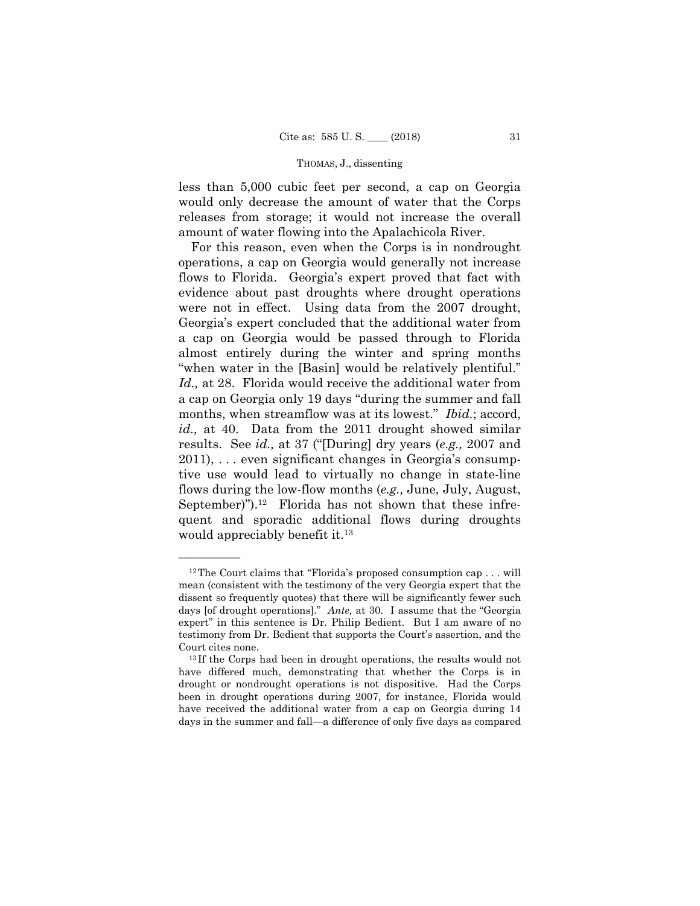less than 5,000 cubic feet per second, a cap on Georgia would only decrease the amount of water that the Corps releases from storage; it would not increase the overall amount of water flowing into the Apalachicola River.

For this reason, even when the Corps is in nondrought operations, a cap on Georgia would generally not increase flows to Florida. Georgia's expert proved that fact with evidence about past droughts where drought operations were not in effect. Using data from the 2007 drought, Georgia's expert concluded that the additional water from a cap on Georgia would be passed through to Florida almost entirely during the winter and spring months "when water in the [Basin] would be relatively plentiful." *Id.,* at 28. Florida would receive the additional water from a cap on Georgia only 19 days "during the summer and fall months, when streamflow was at its lowest." *Ibid.*; accord, *id.,* at 40. Data from the 2011 drought showed similar results. See *id.,* at 37 ("[During] dry years (*e.g.,* 2007 and 2011), . . . even significant changes in Georgia's consumptive use would lead to virtually no change in state-line flows during the low-flow months (*e.g.,* June, July, August, September)").<sup>12</sup> Florida has not shown that these infrequent and sporadic additional flows during droughts would appreciably benefit it.<sup>13</sup>

——————

<sup>&</sup>lt;sup>12</sup>The Court claims that "Florida's proposed consumption cap . . . will mean (consistent with the testimony of the very Georgia expert that the dissent so frequently quotes) that there will be significantly fewer such days [of drought operations]." *Ante,* at 30. I assume that the "Georgia expert" in this sentence is Dr. Philip Bedient. But I am aware of no testimony from Dr. Bedient that supports the Court's assertion, and the

Court cites none.<br><sup>13</sup> If the Corps had been in drought operations, the results would not have differed much, demonstrating that whether the Corps is in drought or nondrought operations is not dispositive. Had the Corps been in drought operations during 2007, for instance, Florida would have received the additional water from a cap on Georgia during 14 days in the summer and fall—a difference of only five days as compared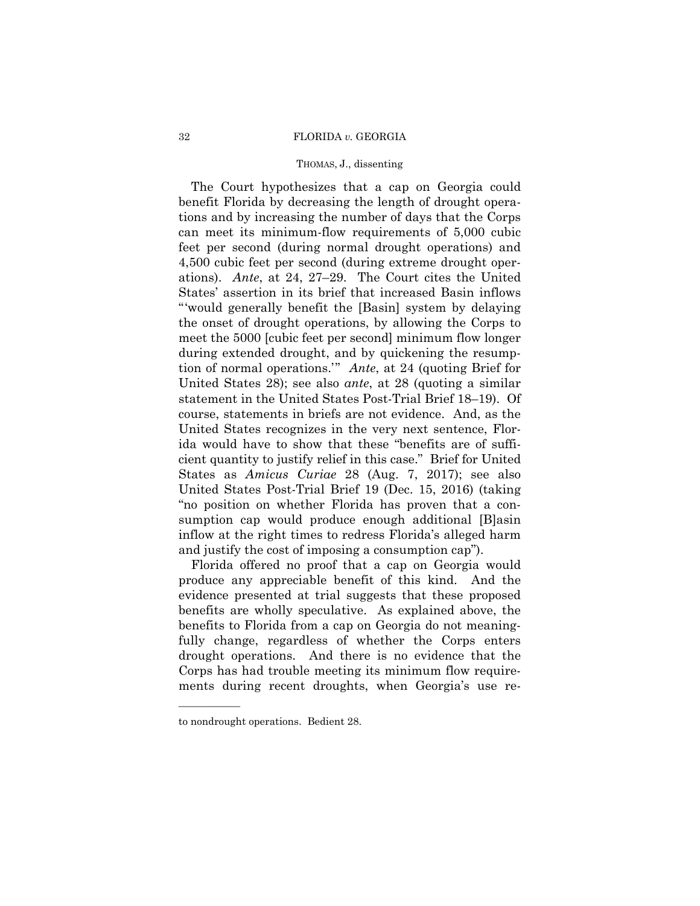## 32 FLORIDA *v.* GEORGIA

# THOMAS, J., dissenting

The Court hypothesizes that a cap on Georgia could benefit Florida by decreasing the length of drought operations and by increasing the number of days that the Corps can meet its minimum-flow requirements of 5,000 cubic feet per second (during normal drought operations) and 4,500 cubic feet per second (during extreme drought operations). *Ante*, at 24, 27–29. The Court cites the United States' assertion in its brief that increased Basin inflows "'would generally benefit the [Basin] system by delaying the onset of drought operations, by allowing the Corps to meet the 5000 [cubic feet per second] minimum flow longer during extended drought, and by quickening the resumption of normal operations.'" *Ante*, at 24 (quoting Brief for United States 28); see also *ante*, at 28 (quoting a similar statement in the United States Post-Trial Brief 18–19). Of course, statements in briefs are not evidence. And, as the United States recognizes in the very next sentence, Florida would have to show that these "benefits are of sufficient quantity to justify relief in this case." Brief for United States as *Amicus Curiae* 28 (Aug. 7, 2017); see also United States Post-Trial Brief 19 (Dec. 15, 2016) (taking "no position on whether Florida has proven that a consumption cap would produce enough additional [B]asin inflow at the right times to redress Florida's alleged harm and justify the cost of imposing a consumption cap").

Florida offered no proof that a cap on Georgia would produce any appreciable benefit of this kind. And the evidence presented at trial suggests that these proposed benefits are wholly speculative. As explained above, the benefits to Florida from a cap on Georgia do not meaningfully change, regardless of whether the Corps enters drought operations. And there is no evidence that the Corps has had trouble meeting its minimum flow requirements during recent droughts, when Georgia's use re

——————

to nondrought operations. Bedient 28.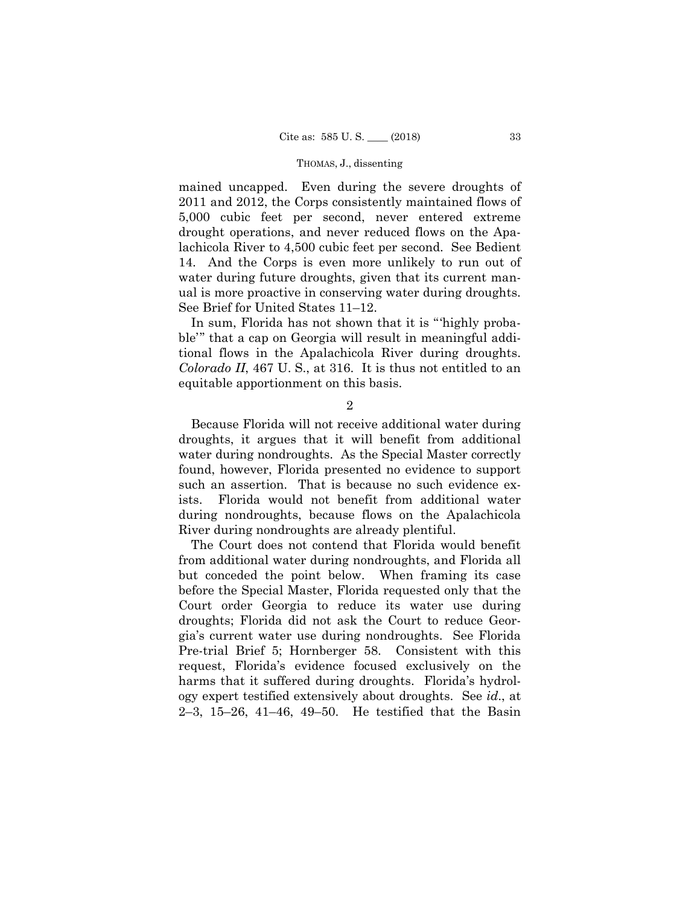mained uncapped. Even during the severe droughts of 2011 and 2012, the Corps consistently maintained flows of 5,000 cubic feet per second, never entered extreme drought operations, and never reduced flows on the Apalachicola River to 4,500 cubic feet per second. See Bedient 14. And the Corps is even more unlikely to run out of water during future droughts, given that its current manual is more proactive in conserving water during droughts. See Brief for United States 11–12.

In sum, Florida has not shown that it is "'highly probable'" that a cap on Georgia will result in meaningful additional flows in the Apalachicola River during droughts. *Colorado II*, 467 U. S., at 316. It is thus not entitled to an equitable apportionment on this basis.

2

 water during nondroughts. As the Special Master correctly Because Florida will not receive additional water during droughts, it argues that it will benefit from additional found, however, Florida presented no evidence to support such an assertion. That is because no such evidence exists. Florida would not benefit from additional water during nondroughts, because flows on the Apalachicola River during nondroughts are already plentiful.

The Court does not contend that Florida would benefit from additional water during nondroughts, and Florida all but conceded the point below. When framing its case before the Special Master, Florida requested only that the Court order Georgia to reduce its water use during droughts; Florida did not ask the Court to reduce Georgia's current water use during nondroughts. See Florida Pre-trial Brief 5; Hornberger 58. Consistent with this request, Florida's evidence focused exclusively on the harms that it suffered during droughts. Florida's hydrology expert testified extensively about droughts. See *id*., at 2–3, 15–26, 41–46, 49–50. He testified that the Basin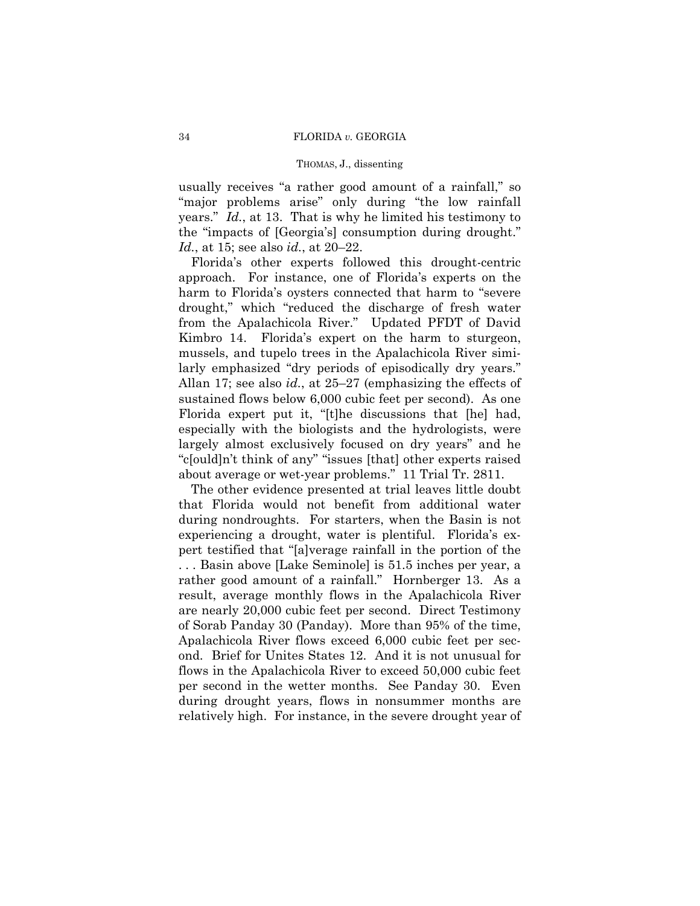usually receives "a rather good amount of a rainfall," so "major problems arise" only during "the low rainfall years." *Id.*, at 13. That is why he limited his testimony to the "impacts of [Georgia's] consumption during drought." *Id.*, at 15; see also *id.*, at 20–22.

Florida's other experts followed this drought-centric approach. For instance, one of Florida's experts on the harm to Florida's oysters connected that harm to "severe drought," which "reduced the discharge of fresh water from the Apalachicola River." Updated PFDT of David Kimbro 14. Florida's expert on the harm to sturgeon, mussels, and tupelo trees in the Apalachicola River similarly emphasized "dry periods of episodically dry years." Allan 17; see also *id.*, at 25–27 (emphasizing the effects of sustained flows below 6,000 cubic feet per second). As one Florida expert put it, "[t]he discussions that [he] had, especially with the biologists and the hydrologists, were largely almost exclusively focused on dry years" and he "c[ould]n't think of any" "issues [that] other experts raised about average or wet-year problems." 11 Trial Tr. 2811.

The other evidence presented at trial leaves little doubt that Florida would not benefit from additional water during nondroughts. For starters, when the Basin is not experiencing a drought, water is plentiful. Florida's expert testified that "[a]verage rainfall in the portion of the . . . Basin above [Lake Seminole] is 51.5 inches per year, a rather good amount of a rainfall." Hornberger 13. As a result, average monthly flows in the Apalachicola River are nearly 20,000 cubic feet per second. Direct Testimony of Sorab Panday 30 (Panday). More than 95% of the time, Apalachicola River flows exceed 6,000 cubic feet per second. Brief for Unites States 12. And it is not unusual for flows in the Apalachicola River to exceed 50,000 cubic feet per second in the wetter months. See Panday 30. Even during drought years, flows in nonsummer months are relatively high. For instance, in the severe drought year of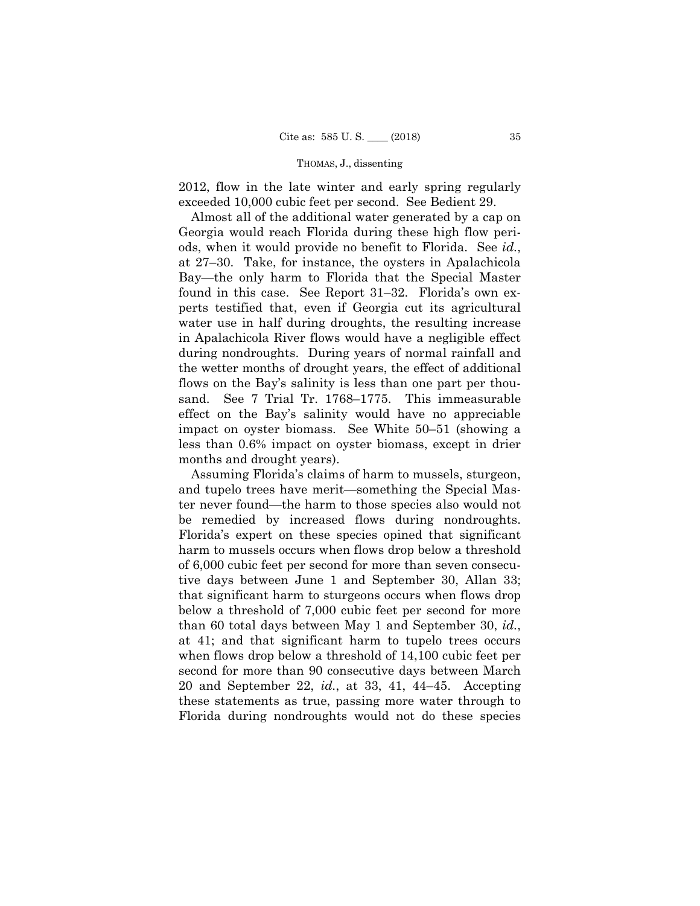2012, flow in the late winter and early spring regularly exceeded 10,000 cubic feet per second. See Bedient 29.

Almost all of the additional water generated by a cap on Georgia would reach Florida during these high flow periods, when it would provide no benefit to Florida. See *id.*, at 27–30. Take, for instance, the oysters in Apalachicola Bay—the only harm to Florida that the Special Master found in this case. See Report 31–32. Florida's own experts testified that, even if Georgia cut its agricultural water use in half during droughts, the resulting increase in Apalachicola River flows would have a negligible effect during nondroughts. During years of normal rainfall and the wetter months of drought years, the effect of additional flows on the Bay's salinity is less than one part per thousand. See 7 Trial Tr. 1768–1775. This immeasurable effect on the Bay's salinity would have no appreciable impact on oyster biomass. See White 50–51 (showing a less than 0.6% impact on oyster biomass, except in drier months and drought years).

Assuming Florida's claims of harm to mussels, sturgeon, and tupelo trees have merit—something the Special Master never found—the harm to those species also would not be remedied by increased flows during nondroughts. Florida's expert on these species opined that significant harm to mussels occurs when flows drop below a threshold of 6,000 cubic feet per second for more than seven consecutive days between June 1 and September 30, Allan 33; that significant harm to sturgeons occurs when flows drop below a threshold of 7,000 cubic feet per second for more than 60 total days between May 1 and September 30, *id.*, at 41; and that significant harm to tupelo trees occurs when flows drop below a threshold of 14,100 cubic feet per second for more than 90 consecutive days between March 20 and September 22, *id.*, at 33, 41, 44–45. Accepting these statements as true, passing more water through to Florida during nondroughts would not do these species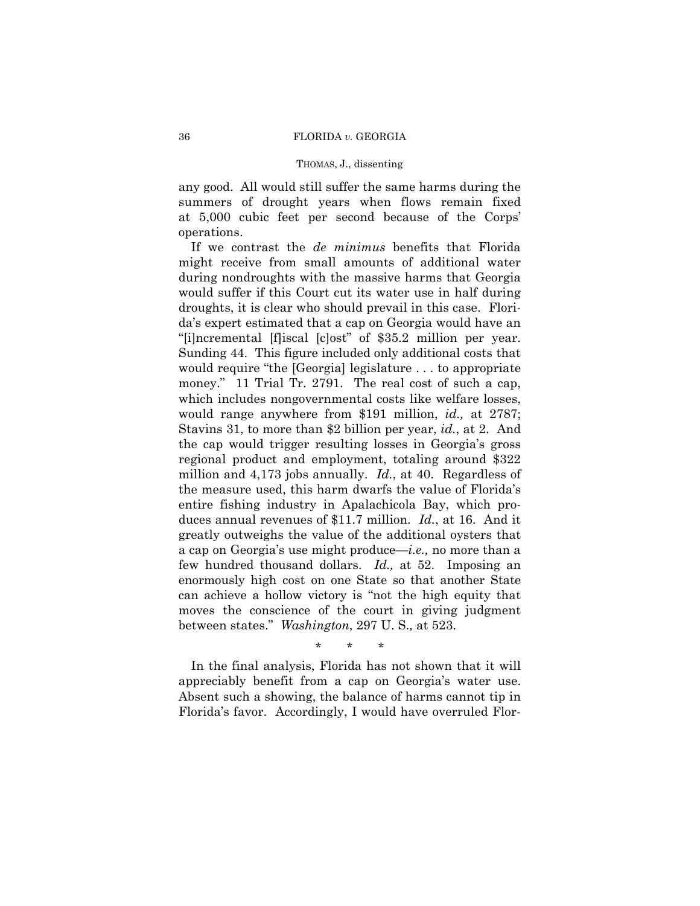any good. All would still suffer the same harms during the summers of drought years when flows remain fixed at 5,000 cubic feet per second because of the Corps' operations.

 Sunding 44. This figure included only additional costs that few hundred thousand dollars. *Id.,* at 52. Imposing an enormously high cost on one State so that another State If we contrast the *de minimus* benefits that Florida might receive from small amounts of additional water during nondroughts with the massive harms that Georgia would suffer if this Court cut its water use in half during droughts, it is clear who should prevail in this case. Florida's expert estimated that a cap on Georgia would have an "[i]ncremental [f]iscal [c]ost" of \$35.2 million per year. would require "the [Georgia] legislature . . . to appropriate money." 11 Trial Tr. 2791. The real cost of such a cap, which includes nongovernmental costs like welfare losses, would range anywhere from \$191 million, *id.,* at 2787; Stavins 31, to more than \$2 billion per year, *id.*, at 2. And the cap would trigger resulting losses in Georgia's gross regional product and employment, totaling around \$322 million and 4,173 jobs annually. *Id.*, at 40. Regardless of the measure used, this harm dwarfs the value of Florida's entire fishing industry in Apalachicola Bay, which produces annual revenues of \$11.7 million. *Id.*, at 16. And it greatly outweighs the value of the additional oysters that a cap on Georgia's use might produce—*i.e.,* no more than a can achieve a hollow victory is "not the high equity that moves the conscience of the court in giving judgment between states." *Washington*, 297 U. S.*,* at 523.

\* \* \*

 appreciably benefit from a cap on Georgia's water use. In the final analysis, Florida has not shown that it will Absent such a showing, the balance of harms cannot tip in Florida's favor. Accordingly, I would have overruled Flor